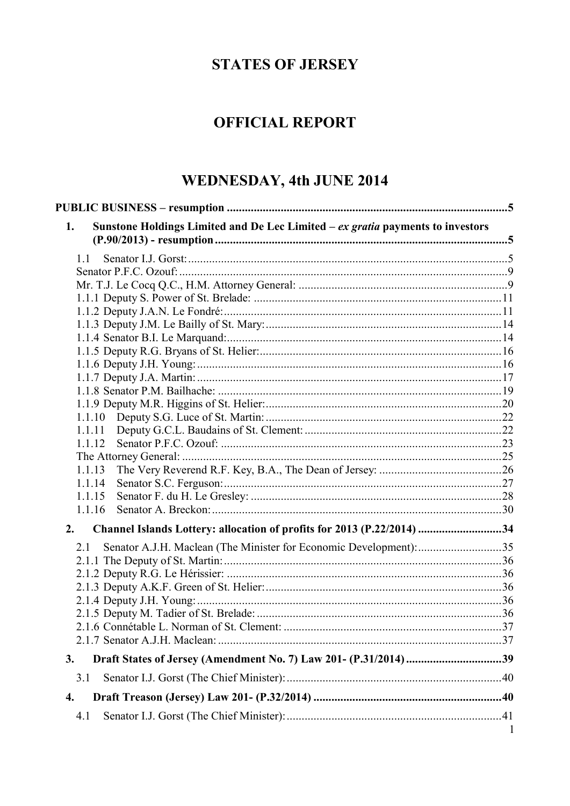# **STATES OF JERSEY**

# **OFFICIAL REPORT**

# WEDNESDAY, 4th JUNE 2014

| Sunstone Holdings Limited and De Lec Limited $-ex$ gratia payments to investors<br>1. |   |
|---------------------------------------------------------------------------------------|---|
| 1.1                                                                                   |   |
|                                                                                       |   |
|                                                                                       |   |
|                                                                                       |   |
|                                                                                       |   |
|                                                                                       |   |
|                                                                                       |   |
|                                                                                       |   |
|                                                                                       |   |
|                                                                                       |   |
|                                                                                       |   |
|                                                                                       |   |
| 1.1.10                                                                                |   |
| 1.1.11                                                                                |   |
| 1.1.12                                                                                |   |
|                                                                                       |   |
| 1.1.13                                                                                |   |
| 1.1.14                                                                                |   |
| 1.1.15                                                                                |   |
| 1.1.16                                                                                |   |
| Channel Islands Lottery: allocation of profits for 2013 (P.22/2014) 34<br>2.          |   |
| Senator A.J.H. Maclean (The Minister for Economic Development): 35<br>2.1             |   |
|                                                                                       |   |
|                                                                                       |   |
|                                                                                       |   |
|                                                                                       |   |
|                                                                                       |   |
|                                                                                       |   |
|                                                                                       |   |
| Draft States of Jersey (Amendment No. 7) Law 201- (P.31/2014) 39<br>3.                |   |
| 3.1                                                                                   |   |
| 4.                                                                                    |   |
| 4.1                                                                                   |   |
|                                                                                       | 1 |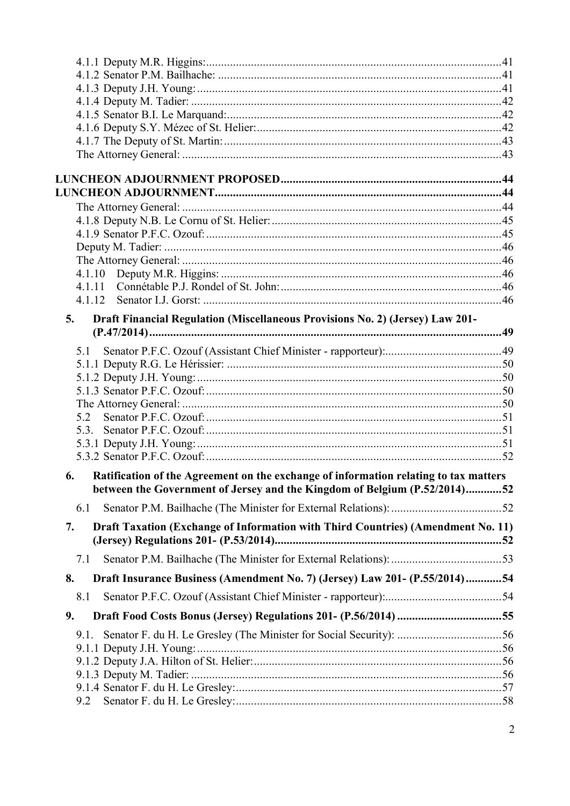| 4.1.11                                                                                     |  |
|--------------------------------------------------------------------------------------------|--|
|                                                                                            |  |
| Draft Financial Regulation (Miscellaneous Provisions No. 2) (Jersey) Law 201-<br>5.        |  |
|                                                                                            |  |
| 5.1                                                                                        |  |
|                                                                                            |  |
|                                                                                            |  |
|                                                                                            |  |
|                                                                                            |  |
| 5.2                                                                                        |  |
| 5.3.                                                                                       |  |
|                                                                                            |  |
|                                                                                            |  |
| Ratification of the Agreement on the exchange of information relating to tax matters<br>6. |  |
| between the Government of Jersey and the Kingdom of Belgium (P.52/2014)52                  |  |
| 6.1                                                                                        |  |
| Draft Taxation (Exchange of Information with Third Countries) (Amendment No. 11)<br>7.     |  |
|                                                                                            |  |
| 7.1                                                                                        |  |
| Draft Insurance Business (Amendment No. 7) (Jersey) Law 201- (P.55/2014)54<br>8.           |  |
| 8.1                                                                                        |  |
| 9.                                                                                         |  |
| 9.1.                                                                                       |  |
|                                                                                            |  |
|                                                                                            |  |
|                                                                                            |  |
|                                                                                            |  |
| 9.2                                                                                        |  |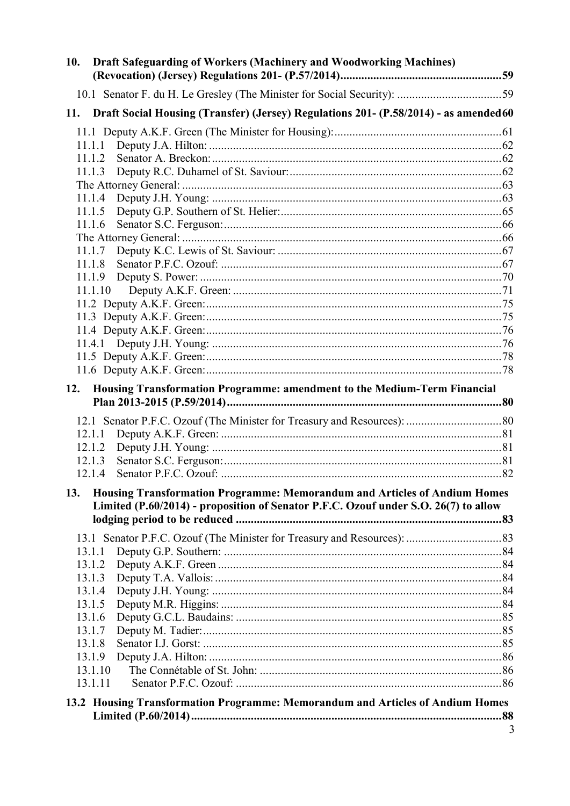| 10.                                                                            | <b>Draft Safeguarding of Workers (Machinery and Woodworking Machines)</b>                 |   |
|--------------------------------------------------------------------------------|-------------------------------------------------------------------------------------------|---|
|                                                                                |                                                                                           |   |
|                                                                                | 11. Draft Social Housing (Transfer) (Jersey) Regulations 201- (P.58/2014) - as amended 60 |   |
|                                                                                |                                                                                           |   |
|                                                                                | 11.1.1                                                                                    |   |
|                                                                                | 11.1.2                                                                                    |   |
|                                                                                | 11.1.3                                                                                    |   |
|                                                                                | 11.1.4                                                                                    |   |
|                                                                                | 11.1.5                                                                                    |   |
|                                                                                | 11.1.6                                                                                    |   |
|                                                                                |                                                                                           |   |
|                                                                                | 11.1.7                                                                                    |   |
|                                                                                | 11.1.8                                                                                    |   |
|                                                                                | 11.1.9                                                                                    |   |
|                                                                                | 11.1.10                                                                                   |   |
|                                                                                |                                                                                           |   |
|                                                                                |                                                                                           |   |
|                                                                                |                                                                                           |   |
|                                                                                |                                                                                           |   |
|                                                                                |                                                                                           |   |
| 12.                                                                            | Housing Transformation Programme: amendment to the Medium-Term Financial                  |   |
|                                                                                |                                                                                           |   |
|                                                                                |                                                                                           |   |
|                                                                                | 12.1.1                                                                                    |   |
|                                                                                | 12.1.2                                                                                    |   |
|                                                                                | 12.1.3                                                                                    |   |
|                                                                                | 12.1.4                                                                                    |   |
| 13.                                                                            | Housing Transformation Programme: Memorandum and Articles of Andium Homes                 |   |
|                                                                                | Limited (P.60/2014) - proposition of Senator P.F.C. Ozouf under S.O. 26(7) to allow       |   |
|                                                                                |                                                                                           |   |
|                                                                                | 13.1.1                                                                                    |   |
|                                                                                | 13.1.2                                                                                    |   |
|                                                                                | 13.1.3                                                                                    |   |
|                                                                                | 13.1.4                                                                                    |   |
|                                                                                | 13.1.5                                                                                    |   |
|                                                                                | 13.1.6                                                                                    |   |
|                                                                                | 13.1.7                                                                                    |   |
|                                                                                | 13.1.8                                                                                    |   |
|                                                                                | 13.1.9                                                                                    |   |
|                                                                                | 13.1.10<br>13.1.11                                                                        |   |
|                                                                                |                                                                                           |   |
| 13.2 Housing Transformation Programme: Memorandum and Articles of Andium Homes |                                                                                           |   |
|                                                                                |                                                                                           | 3 |
|                                                                                |                                                                                           |   |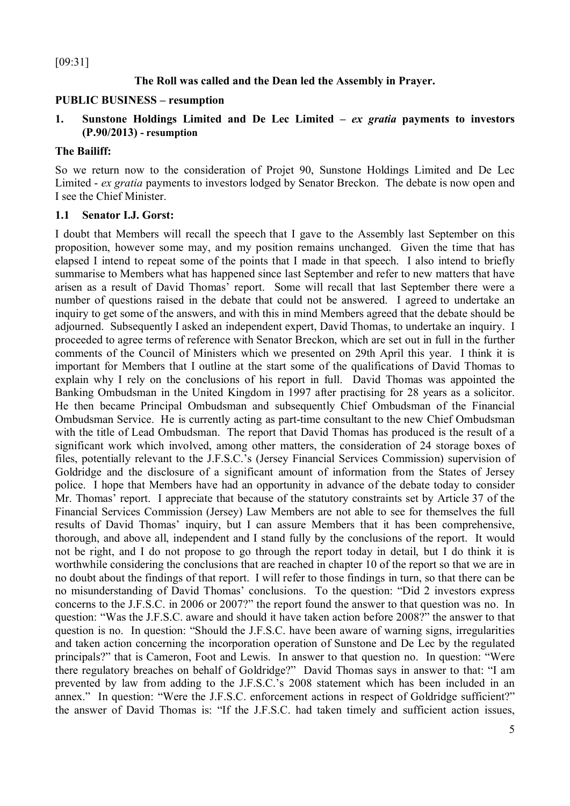[09:31]

## **The Roll was called and the Dean led the Assembly in Prayer.**

#### **PUBLIC BUSINESS – resumption**

#### **1. Sunstone Holdings Limited and De Lec Limited –** *ex gratia* **payments to investors (P.90/2013) - resumption**

#### **The Bailiff:**

So we return now to the consideration of Projet 90, Sunstone Holdings Limited and De Lec Limited - *ex gratia* payments to investors lodged by Senator Breckon. The debate is now open and I see the Chief Minister.

#### **1.1 Senator I.J. Gorst:**

I doubt that Members will recall the speech that I gave to the Assembly last September on this proposition, however some may, and my position remains unchanged. Given the time that has elapsed I intend to repeat some of the points that I made in that speech. I also intend to briefly summarise to Members what has happened since last September and refer to new matters that have arisen as a result of David Thomas' report. Some will recall that last September there were a number of questions raised in the debate that could not be answered. I agreed to undertake an inquiry to get some of the answers, and with this in mind Members agreed that the debate should be adjourned. Subsequently I asked an independent expert, David Thomas, to undertake an inquiry. I proceeded to agree terms of reference with Senator Breckon, which are set out in full in the further comments of the Council of Ministers which we presented on 29th April this year. I think it is important for Members that I outline at the start some of the qualifications of David Thomas to explain why I rely on the conclusions of his report in full. David Thomas was appointed the Banking Ombudsman in the United Kingdom in 1997 after practising for 28 years as a solicitor. He then became Principal Ombudsman and subsequently Chief Ombudsman of the Financial Ombudsman Service. He is currently acting as part-time consultant to the new Chief Ombudsman with the title of Lead Ombudsman. The report that David Thomas has produced is the result of a significant work which involved, among other matters, the consideration of 24 storage boxes of files, potentially relevant to the J.F.S.C.'s (Jersey Financial Services Commission) supervision of Goldridge and the disclosure of a significant amount of information from the States of Jersey police. I hope that Members have had an opportunity in advance of the debate today to consider Mr. Thomas' report. I appreciate that because of the statutory constraints set by Article 37 of the Financial Services Commission (Jersey) Law Members are not able to see for themselves the full results of David Thomas' inquiry, but I can assure Members that it has been comprehensive, thorough, and above all, independent and I stand fully by the conclusions of the report. It would not be right, and I do not propose to go through the report today in detail, but I do think it is worthwhile considering the conclusions that are reached in chapter 10 of the report so that we are in no doubt about the findings of that report. I will refer to those findings in turn, so that there can be no misunderstanding of David Thomas' conclusions. To the question: "Did 2 investors express concerns to the J.F.S.C. in 2006 or 2007?" the report found the answer to that question was no. In question: "Was the J.F.S.C. aware and should it have taken action before 2008?" the answer to that question is no. In question: "Should the J.F.S.C. have been aware of warning signs, irregularities and taken action concerning the incorporation operation of Sunstone and De Lec by the regulated principals?" that is Cameron, Foot and Lewis. In answer to that question no. In question: "Were there regulatory breaches on behalf of Goldridge?" David Thomas says in answer to that: "I am prevented by law from adding to the J.F.S.C.'s 2008 statement which has been included in an annex." In question: "Were the J.F.S.C. enforcement actions in respect of Goldridge sufficient?" the answer of David Thomas is: "If the J.F.S.C. had taken timely and sufficient action issues,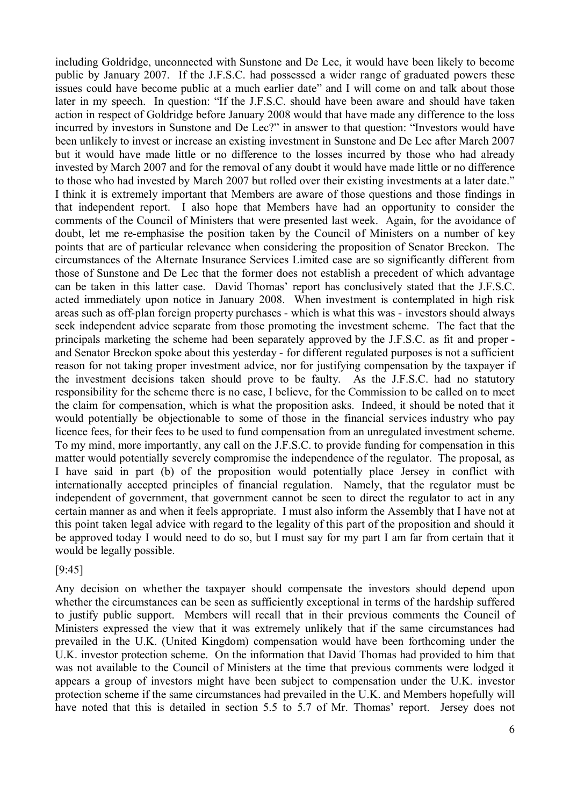including Goldridge, unconnected with Sunstone and De Lec, it would have been likely to become public by January 2007. If the J.F.S.C. had possessed a wider range of graduated powers these issues could have become public at a much earlier date" and I will come on and talk about those later in my speech. In question: "If the J.F.S.C. should have been aware and should have taken action in respect of Goldridge before January 2008 would that have made any difference to the loss incurred by investors in Sunstone and De Lec?" in answer to that question: "Investors would have been unlikely to invest or increase an existing investment in Sunstone and De Lec after March 2007 but it would have made little or no difference to the losses incurred by those who had already invested by March 2007 and for the removal of any doubt it would have made little or no difference to those who had invested by March 2007 but rolled over their existing investments at a later date." I think it is extremely important that Members are aware of those questions and those findings in that independent report. I also hope that Members have had an opportunity to consider the comments of the Council of Ministers that were presented last week. Again, for the avoidance of doubt, let me re-emphasise the position taken by the Council of Ministers on a number of key points that are of particular relevance when considering the proposition of Senator Breckon. The circumstances of the Alternate Insurance Services Limited case are so significantly different from those of Sunstone and De Lec that the former does not establish a precedent of which advantage can be taken in this latter case. David Thomas' report has conclusively stated that the J.F.S.C. acted immediately upon notice in January 2008. When investment is contemplated in high risk areas such as off-plan foreign property purchases - which is what this was - investors should always seek independent advice separate from those promoting the investment scheme. The fact that the principals marketing the scheme had been separately approved by the J.F.S.C. as fit and proper and Senator Breckon spoke about this yesterday - for different regulated purposes is not a sufficient reason for not taking proper investment advice, nor for justifying compensation by the taxpayer if the investment decisions taken should prove to be faulty. As the J.F.S.C. had no statutory responsibility for the scheme there is no case, I believe, for the Commission to be called on to meet the claim for compensation, which is what the proposition asks. Indeed, it should be noted that it would potentially be objectionable to some of those in the financial services industry who pay licence fees, for their fees to be used to fund compensation from an unregulated investment scheme. To my mind, more importantly, any call on the J.F.S.C. to provide funding for compensation in this matter would potentially severely compromise the independence of the regulator. The proposal, as I have said in part (b) of the proposition would potentially place Jersey in conflict with internationally accepted principles of financial regulation. Namely, that the regulator must be independent of government, that government cannot be seen to direct the regulator to act in any certain manner as and when it feels appropriate. I must also inform the Assembly that I have not at this point taken legal advice with regard to the legality of this part of the proposition and should it be approved today I would need to do so, but I must say for my part I am far from certain that it would be legally possible.

#### [9:45]

Any decision on whether the taxpayer should compensate the investors should depend upon whether the circumstances can be seen as sufficiently exceptional in terms of the hardship suffered to justify public support. Members will recall that in their previous comments the Council of Ministers expressed the view that it was extremely unlikely that if the same circumstances had prevailed in the U.K. (United Kingdom) compensation would have been forthcoming under the U.K. investor protection scheme. On the information that David Thomas had provided to him that was not available to the Council of Ministers at the time that previous comments were lodged it appears a group of investors might have been subject to compensation under the U.K. investor protection scheme if the same circumstances had prevailed in the U.K. and Members hopefully will have noted that this is detailed in section 5.5 to 5.7 of Mr. Thomas' report. Jersey does not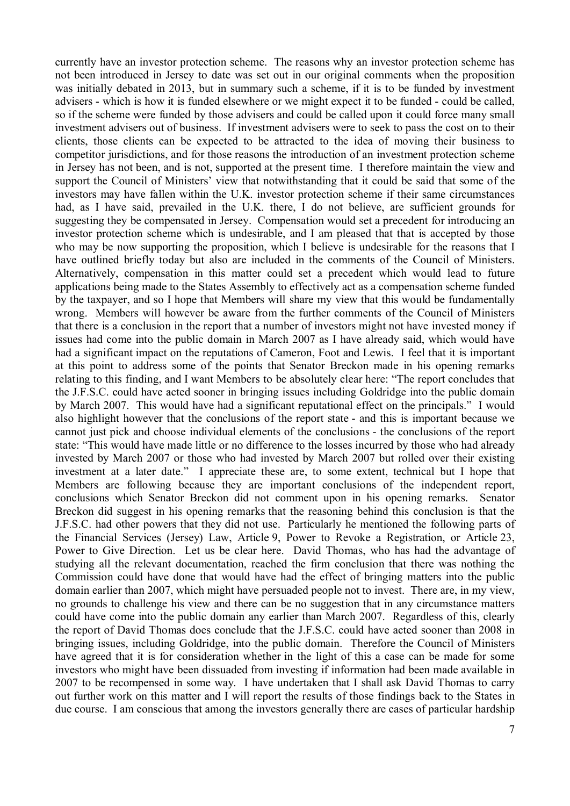currently have an investor protection scheme. The reasons why an investor protection scheme has not been introduced in Jersey to date was set out in our original comments when the proposition was initially debated in 2013, but in summary such a scheme, if it is to be funded by investment advisers - which is how it is funded elsewhere or we might expect it to be funded - could be called, so if the scheme were funded by those advisers and could be called upon it could force many small investment advisers out of business. If investment advisers were to seek to pass the cost on to their clients, those clients can be expected to be attracted to the idea of moving their business to competitor jurisdictions, and for those reasons the introduction of an investment protection scheme in Jersey has not been, and is not, supported at the present time. I therefore maintain the view and support the Council of Ministers' view that notwithstanding that it could be said that some of the investors may have fallen within the U.K. investor protection scheme if their same circumstances had, as I have said, prevailed in the U.K. there, I do not believe, are sufficient grounds for suggesting they be compensated in Jersey. Compensation would set a precedent for introducing an investor protection scheme which is undesirable, and I am pleased that that is accepted by those who may be now supporting the proposition, which I believe is undesirable for the reasons that I have outlined briefly today but also are included in the comments of the Council of Ministers. Alternatively, compensation in this matter could set a precedent which would lead to future applications being made to the States Assembly to effectively act as a compensation scheme funded by the taxpayer, and so I hope that Members will share my view that this would be fundamentally wrong. Members will however be aware from the further comments of the Council of Ministers that there is a conclusion in the report that a number of investors might not have invested money if issues had come into the public domain in March 2007 as I have already said, which would have had a significant impact on the reputations of Cameron, Foot and Lewis. I feel that it is important at this point to address some of the points that Senator Breckon made in his opening remarks relating to this finding, and I want Members to be absolutely clear here: "The report concludes that the J.F.S.C. could have acted sooner in bringing issues including Goldridge into the public domain by March 2007. This would have had a significant reputational effect on the principals." I would also highlight however that the conclusions of the report state - and this is important because we cannot just pick and choose individual elements of the conclusions - the conclusions of the report state: "This would have made little or no difference to the losses incurred by those who had already invested by March 2007 or those who had invested by March 2007 but rolled over their existing investment at a later date." I appreciate these are, to some extent, technical but I hope that Members are following because they are important conclusions of the independent report, conclusions which Senator Breckon did not comment upon in his opening remarks. Senator Breckon did suggest in his opening remarks that the reasoning behind this conclusion is that the J.F.S.C. had other powers that they did not use. Particularly he mentioned the following parts of the Financial Services (Jersey) Law, Article 9, Power to Revoke a Registration, or Article 23, Power to Give Direction. Let us be clear here. David Thomas, who has had the advantage of studying all the relevant documentation, reached the firm conclusion that there was nothing the Commission could have done that would have had the effect of bringing matters into the public domain earlier than 2007, which might have persuaded people not to invest. There are, in my view, no grounds to challenge his view and there can be no suggestion that in any circumstance matters could have come into the public domain any earlier than March 2007. Regardless of this, clearly the report of David Thomas does conclude that the J.F.S.C. could have acted sooner than 2008 in bringing issues, including Goldridge, into the public domain. Therefore the Council of Ministers have agreed that it is for consideration whether in the light of this a case can be made for some investors who might have been dissuaded from investing if information had been made available in 2007 to be recompensed in some way. I have undertaken that I shall ask David Thomas to carry out further work on this matter and I will report the results of those findings back to the States in due course. I am conscious that among the investors generally there are cases of particular hardship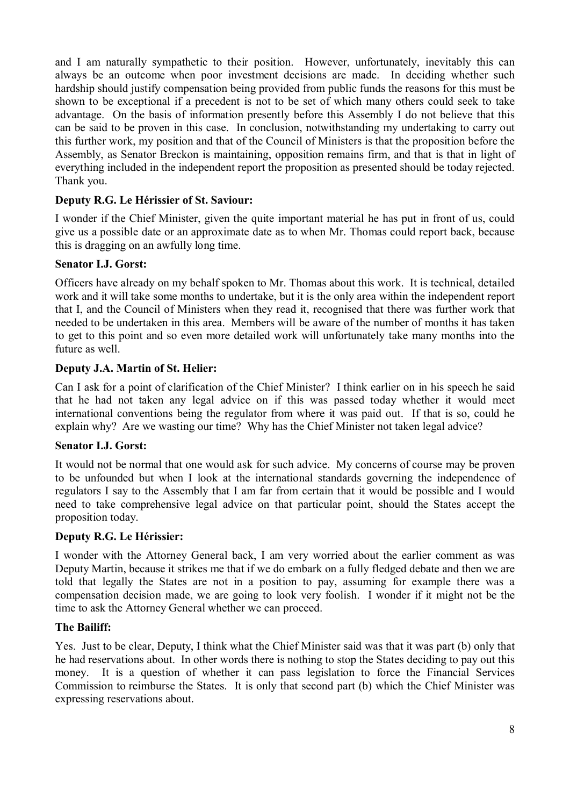and I am naturally sympathetic to their position. However, unfortunately, inevitably this can always be an outcome when poor investment decisions are made. In deciding whether such hardship should justify compensation being provided from public funds the reasons for this must be shown to be exceptional if a precedent is not to be set of which many others could seek to take advantage. On the basis of information presently before this Assembly I do not believe that this can be said to be proven in this case. In conclusion, notwithstanding my undertaking to carry out this further work, my position and that of the Council of Ministers is that the proposition before the Assembly, as Senator Breckon is maintaining, opposition remains firm, and that is that in light of everything included in the independent report the proposition as presented should be today rejected. Thank you.

# **Deputy R.G. Le Hérissier of St. Saviour:**

I wonder if the Chief Minister, given the quite important material he has put in front of us, could give us a possible date or an approximate date as to when Mr. Thomas could report back, because this is dragging on an awfully long time.

## **Senator I.J. Gorst:**

Officers have already on my behalf spoken to Mr. Thomas about this work. It is technical, detailed work and it will take some months to undertake, but it is the only area within the independent report that I, and the Council of Ministers when they read it, recognised that there was further work that needed to be undertaken in this area. Members will be aware of the number of months it has taken to get to this point and so even more detailed work will unfortunately take many months into the future as well.

## **Deputy J.A. Martin of St. Helier:**

Can I ask for a point of clarification of the Chief Minister? I think earlier on in his speech he said that he had not taken any legal advice on if this was passed today whether it would meet international conventions being the regulator from where it was paid out. If that is so, could he explain why? Are we wasting our time? Why has the Chief Minister not taken legal advice?

## **Senator I.J. Gorst:**

It would not be normal that one would ask for such advice. My concerns of course may be proven to be unfounded but when I look at the international standards governing the independence of regulators I say to the Assembly that I am far from certain that it would be possible and I would need to take comprehensive legal advice on that particular point, should the States accept the proposition today.

## **Deputy R.G. Le Hérissier:**

I wonder with the Attorney General back, I am very worried about the earlier comment as was Deputy Martin, because it strikes me that if we do embark on a fully fledged debate and then we are told that legally the States are not in a position to pay, assuming for example there was a compensation decision made, we are going to look very foolish. I wonder if it might not be the time to ask the Attorney General whether we can proceed.

## **The Bailiff:**

Yes. Just to be clear, Deputy, I think what the Chief Minister said was that it was part (b) only that he had reservations about. In other words there is nothing to stop the States deciding to pay out this money. It is a question of whether it can pass legislation to force the Financial Services Commission to reimburse the States. It is only that second part (b) which the Chief Minister was expressing reservations about.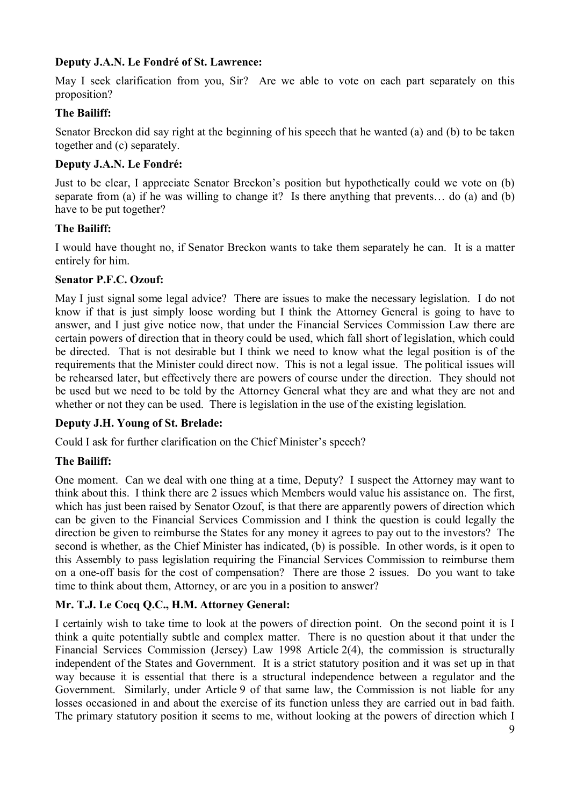# **Deputy J.A.N. Le Fondré of St. Lawrence:**

May I seek clarification from you, Sir? Are we able to vote on each part separately on this proposition?

#### **The Bailiff:**

Senator Breckon did say right at the beginning of his speech that he wanted (a) and (b) to be taken together and (c) separately.

#### **Deputy J.A.N. Le Fondré:**

Just to be clear, I appreciate Senator Breckon's position but hypothetically could we vote on (b) separate from (a) if he was willing to change it? Is there anything that prevents... do (a) and (b) have to be put together?

#### **The Bailiff:**

I would have thought no, if Senator Breckon wants to take them separately he can. It is a matter entirely for him.

#### **Senator P.F.C. Ozouf:**

May I just signal some legal advice? There are issues to make the necessary legislation. I do not know if that is just simply loose wording but I think the Attorney General is going to have to answer, and I just give notice now, that under the Financial Services Commission Law there are certain powers of direction that in theory could be used, which fall short of legislation, which could be directed. That is not desirable but I think we need to know what the legal position is of the requirements that the Minister could direct now. This is not a legal issue. The political issues will be rehearsed later, but effectively there are powers of course under the direction. They should not be used but we need to be told by the Attorney General what they are and what they are not and whether or not they can be used. There is legislation in the use of the existing legislation.

## **Deputy J.H. Young of St. Brelade:**

Could I ask for further clarification on the Chief Minister's speech?

## **The Bailiff:**

One moment. Can we deal with one thing at a time, Deputy? I suspect the Attorney may want to think about this. I think there are 2 issues which Members would value his assistance on. The first, which has just been raised by Senator Ozouf, is that there are apparently powers of direction which can be given to the Financial Services Commission and I think the question is could legally the direction be given to reimburse the States for any money it agrees to pay out to the investors? The second is whether, as the Chief Minister has indicated, (b) is possible. In other words, is it open to this Assembly to pass legislation requiring the Financial Services Commission to reimburse them on a one-off basis for the cost of compensation? There are those 2 issues. Do you want to take time to think about them, Attorney, or are you in a position to answer?

## **Mr. T.J. Le Cocq Q.C., H.M. Attorney General:**

I certainly wish to take time to look at the powers of direction point. On the second point it is I think a quite potentially subtle and complex matter. There is no question about it that under the Financial Services Commission (Jersey) Law 1998 Article 2(4), the commission is structurally independent of the States and Government. It is a strict statutory position and it was set up in that way because it is essential that there is a structural independence between a regulator and the Government. Similarly, under Article 9 of that same law, the Commission is not liable for any losses occasioned in and about the exercise of its function unless they are carried out in bad faith. The primary statutory position it seems to me, without looking at the powers of direction which I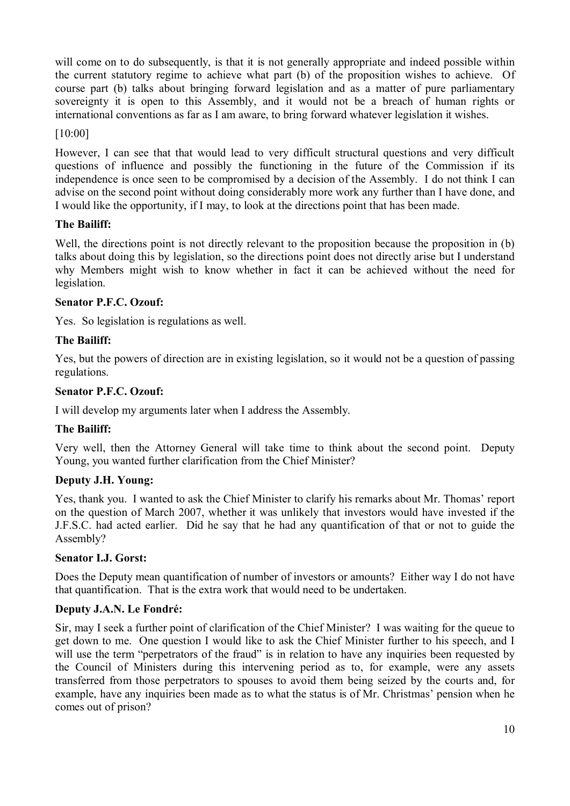will come on to do subsequently, is that it is not generally appropriate and indeed possible within the current statutory regime to achieve what part (b) of the proposition wishes to achieve. Of course part (b) talks about bringing forward legislation and as a matter of pure parliamentary sovereignty it is open to this Assembly, and it would not be a breach of human rights or international conventions as far as I am aware, to bring forward whatever legislation it wishes.

## [10:00]

However, I can see that that would lead to very difficult structural questions and very difficult questions of influence and possibly the functioning in the future of the Commission if its independence is once seen to be compromised by a decision of the Assembly. I do not think I can advise on the second point without doing considerably more work any further than I have done, and I would like the opportunity, if I may, to look at the directions point that has been made.

# **The Bailiff:**

Well, the directions point is not directly relevant to the proposition because the proposition in (b) talks about doing this by legislation, so the directions point does not directly arise but I understand why Members might wish to know whether in fact it can be achieved without the need for legislation.

## **Senator P.F.C. Ozouf:**

Yes. So legislation is regulations as well.

# **The Bailiff:**

Yes, but the powers of direction are in existing legislation, so it would not be a question of passing regulations.

## **Senator P.F.C. Ozouf:**

I will develop my arguments later when I address the Assembly.

## **The Bailiff:**

Very well, then the Attorney General will take time to think about the second point. Deputy Young, you wanted further clarification from the Chief Minister?

## **Deputy J.H. Young:**

Yes, thank you. I wanted to ask the Chief Minister to clarify his remarks about Mr. Thomas' report on the question of March 2007, whether it was unlikely that investors would have invested if the J.F.S.C. had acted earlier. Did he say that he had any quantification of that or not to guide the Assembly?

## **Senator I.J. Gorst:**

Does the Deputy mean quantification of number of investors or amounts? Either way I do not have that quantification. That is the extra work that would need to be undertaken.

## **Deputy J.A.N. Le Fondré:**

Sir, may I seek a further point of clarification of the Chief Minister? I was waiting for the queue to get down to me. One question I would like to ask the Chief Minister further to his speech, and I will use the term "perpetrators of the fraud" is in relation to have any inquiries been requested by the Council of Ministers during this intervening period as to, for example, were any assets transferred from those perpetrators to spouses to avoid them being seized by the courts and, for example, have any inquiries been made as to what the status is of Mr. Christmas' pension when he comes out of prison?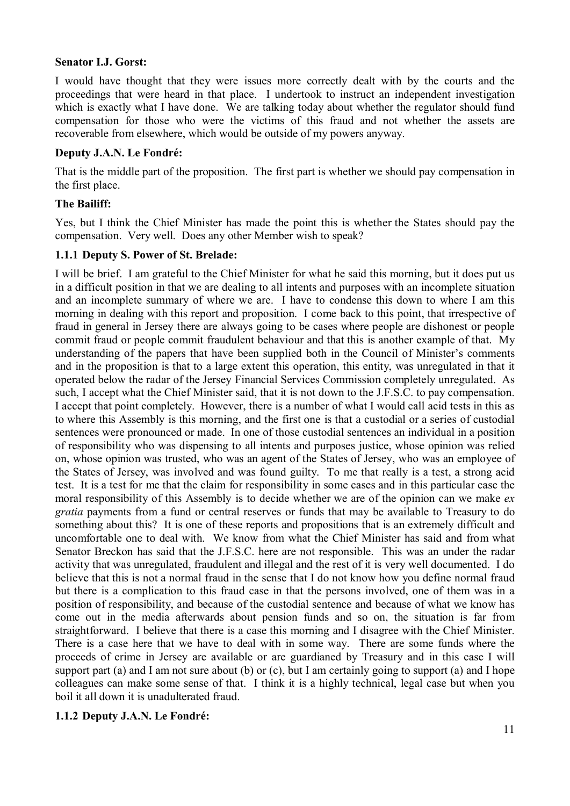#### **Senator I.J. Gorst:**

I would have thought that they were issues more correctly dealt with by the courts and the proceedings that were heard in that place. I undertook to instruct an independent investigation which is exactly what I have done. We are talking today about whether the regulator should fund compensation for those who were the victims of this fraud and not whether the assets are recoverable from elsewhere, which would be outside of my powers anyway.

#### **Deputy J.A.N. Le Fondré:**

That is the middle part of the proposition. The first part is whether we should pay compensation in the first place.

## **The Bailiff:**

Yes, but I think the Chief Minister has made the point this is whether the States should pay the compensation. Very well. Does any other Member wish to speak?

## **1.1.1 Deputy S. Power of St. Brelade:**

I will be brief. I am grateful to the Chief Minister for what he said this morning, but it does put us in a difficult position in that we are dealing to all intents and purposes with an incomplete situation and an incomplete summary of where we are. I have to condense this down to where I am this morning in dealing with this report and proposition. I come back to this point, that irrespective of fraud in general in Jersey there are always going to be cases where people are dishonest or people commit fraud or people commit fraudulent behaviour and that this is another example of that. My understanding of the papers that have been supplied both in the Council of Minister's comments and in the proposition is that to a large extent this operation, this entity, was unregulated in that it operated below the radar of the Jersey Financial Services Commission completely unregulated. As such, I accept what the Chief Minister said, that it is not down to the J.F.S.C. to pay compensation. I accept that point completely. However, there is a number of what I would call acid tests in this as to where this Assembly is this morning, and the first one is that a custodial or a series of custodial sentences were pronounced or made. In one of those custodial sentences an individual in a position of responsibility who was dispensing to all intents and purposes justice, whose opinion was relied on, whose opinion was trusted, who was an agent of the States of Jersey, who was an employee of the States of Jersey, was involved and was found guilty. To me that really is a test, a strong acid test. It is a test for me that the claim for responsibility in some cases and in this particular case the moral responsibility of this Assembly is to decide whether we are of the opinion can we make *ex gratia* payments from a fund or central reserves or funds that may be available to Treasury to do something about this? It is one of these reports and propositions that is an extremely difficult and uncomfortable one to deal with. We know from what the Chief Minister has said and from what Senator Breckon has said that the J.F.S.C. here are not responsible. This was an under the radar activity that was unregulated, fraudulent and illegal and the rest of it is very well documented. I do believe that this is not a normal fraud in the sense that I do not know how you define normal fraud but there is a complication to this fraud case in that the persons involved, one of them was in a position of responsibility, and because of the custodial sentence and because of what we know has come out in the media afterwards about pension funds and so on, the situation is far from straightforward. I believe that there is a case this morning and I disagree with the Chief Minister. There is a case here that we have to deal with in some way. There are some funds where the proceeds of crime in Jersey are available or are guardianed by Treasury and in this case I will support part (a) and I am not sure about (b) or (c), but I am certainly going to support (a) and I hope colleagues can make some sense of that. I think it is a highly technical, legal case but when you boil it all down it is unadulterated fraud.

## **1.1.2 Deputy J.A.N. Le Fondré:**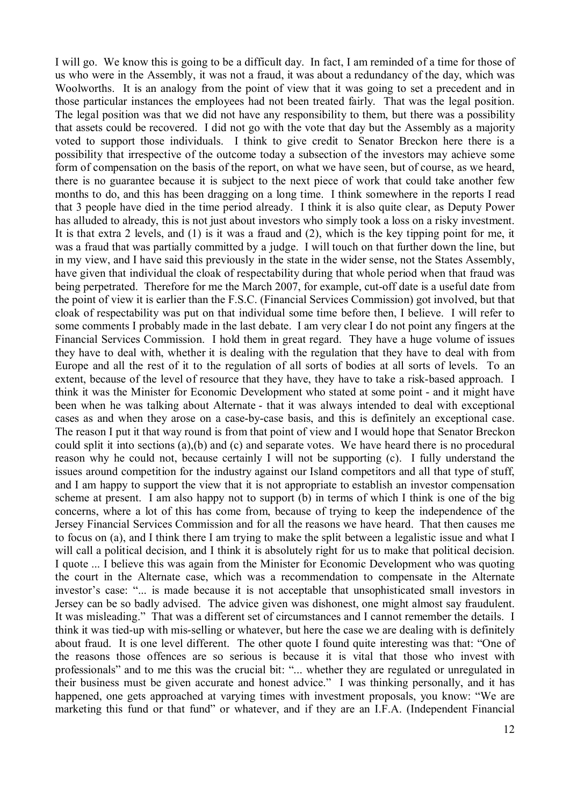I will go. We know this is going to be a difficult day. In fact, I am reminded of a time for those of us who were in the Assembly, it was not a fraud, it was about a redundancy of the day, which was Woolworths. It is an analogy from the point of view that it was going to set a precedent and in those particular instances the employees had not been treated fairly. That was the legal position. The legal position was that we did not have any responsibility to them, but there was a possibility that assets could be recovered. I did not go with the vote that day but the Assembly as a majority voted to support those individuals. I think to give credit to Senator Breckon here there is a possibility that irrespective of the outcome today a subsection of the investors may achieve some form of compensation on the basis of the report, on what we have seen, but of course, as we heard, there is no guarantee because it is subject to the next piece of work that could take another few months to do, and this has been dragging on a long time. I think somewhere in the reports I read that 3 people have died in the time period already. I think it is also quite clear, as Deputy Power has alluded to already, this is not just about investors who simply took a loss on a risky investment. It is that extra 2 levels, and (1) is it was a fraud and (2), which is the key tipping point for me, it was a fraud that was partially committed by a judge. I will touch on that further down the line, but in my view, and I have said this previously in the state in the wider sense, not the States Assembly, have given that individual the cloak of respectability during that whole period when that fraud was being perpetrated. Therefore for me the March 2007, for example, cut-off date is a useful date from the point of view it is earlier than the F.S.C. (Financial Services Commission) got involved, but that cloak of respectability was put on that individual some time before then, I believe. I will refer to some comments I probably made in the last debate. I am very clear I do not point any fingers at the Financial Services Commission. I hold them in great regard. They have a huge volume of issues they have to deal with, whether it is dealing with the regulation that they have to deal with from Europe and all the rest of it to the regulation of all sorts of bodies at all sorts of levels. To an extent, because of the level of resource that they have, they have to take a risk-based approach. I think it was the Minister for Economic Development who stated at some point - and it might have been when he was talking about Alternate - that it was always intended to deal with exceptional cases as and when they arose on a case-by-case basis, and this is definitely an exceptional case. The reason I put it that way round is from that point of view and I would hope that Senator Breckon could split it into sections (a),(b) and (c) and separate votes. We have heard there is no procedural reason why he could not, because certainly I will not be supporting (c). I fully understand the issues around competition for the industry against our Island competitors and all that type of stuff, and I am happy to support the view that it is not appropriate to establish an investor compensation scheme at present. I am also happy not to support (b) in terms of which I think is one of the big concerns, where a lot of this has come from, because of trying to keep the independence of the Jersey Financial Services Commission and for all the reasons we have heard. That then causes me to focus on (a), and I think there I am trying to make the split between a legalistic issue and what I will call a political decision, and I think it is absolutely right for us to make that political decision. I quote ... I believe this was again from the Minister for Economic Development who was quoting the court in the Alternate case, which was a recommendation to compensate in the Alternate investor's case: "... is made because it is not acceptable that unsophisticated small investors in Jersey can be so badly advised. The advice given was dishonest, one might almost say fraudulent. It was misleading." That was a different set of circumstances and I cannot remember the details. I think it was tied-up with mis-selling or whatever, but here the case we are dealing with is definitely about fraud. It is one level different. The other quote I found quite interesting was that: "One of the reasons those offences are so serious is because it is vital that those who invest with professionals" and to me this was the crucial bit: "... whether they are regulated or unregulated in their business must be given accurate and honest advice." I was thinking personally, and it has happened, one gets approached at varying times with investment proposals, you know: "We are marketing this fund or that fund" or whatever, and if they are an I.F.A. (Independent Financial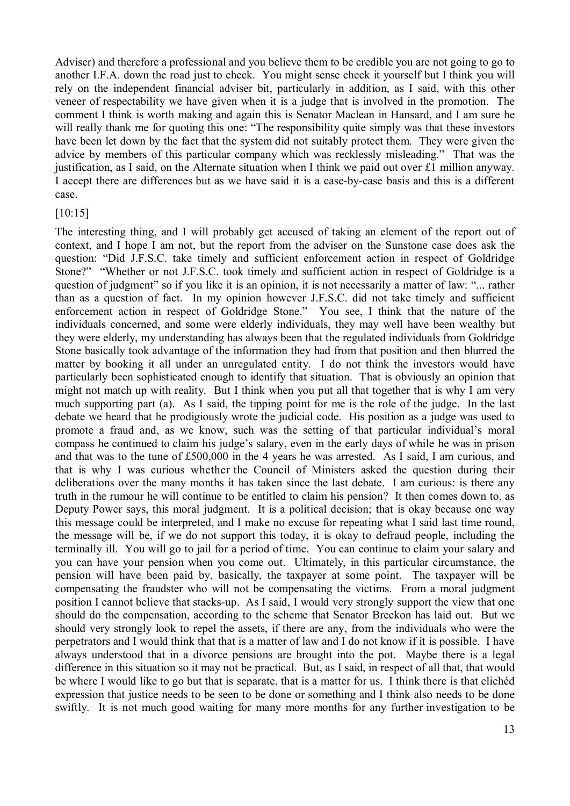Adviser) and therefore a professional and you believe them to be credible you are not going to go to another I.F.A. down the road just to check. You might sense check it yourself but I think you will rely on the independent financial adviser bit, particularly in addition, as I said, with this other veneer of respectability we have given when it is a judge that is involved in the promotion. The comment I think is worth making and again this is Senator Maclean in Hansard, and I am sure he will really thank me for quoting this one: "The responsibility quite simply was that these investors have been let down by the fact that the system did not suitably protect them. They were given the advice by members of this particular company which was recklessly misleading." That was the justification, as I said, on the Alternate situation when I think we paid out over £1 million anyway. I accept there are differences but as we have said it is a case-by-case basis and this is a different case.

#### [10:15]

The interesting thing, and I will probably get accused of taking an element of the report out of context, and I hope I am not, but the report from the adviser on the Sunstone case does ask the question: "Did J.F.S.C. take timely and sufficient enforcement action in respect of Goldridge Stone?" "Whether or not J.F.S.C. took timely and sufficient action in respect of Goldridge is a question of judgment" so if you like it is an opinion, it is not necessarily a matter of law: "... rather than as a question of fact. In my opinion however J.F.S.C. did not take timely and sufficient enforcement action in respect of Goldridge Stone." You see, I think that the nature of the individuals concerned, and some were elderly individuals, they may well have been wealthy but they were elderly, my understanding has always been that the regulated individuals from Goldridge Stone basically took advantage of the information they had from that position and then blurred the matter by booking it all under an unregulated entity. I do not think the investors would have particularly been sophisticated enough to identify that situation. That is obviously an opinion that might not match up with reality. But I think when you put all that together that is why I am very much supporting part (a). As I said, the tipping point for me is the role of the judge. In the last debate we heard that he prodigiously wrote the judicial code. His position as a judge was used to promote a fraud and, as we know, such was the setting of that particular individual's moral compass he continued to claim his judge's salary, even in the early days of while he was in prison and that was to the tune of £500,000 in the 4 years he was arrested. As I said, I am curious, and that is why I was curious whether the Council of Ministers asked the question during their deliberations over the many months it has taken since the last debate. I am curious: is there any truth in the rumour he will continue to be entitled to claim his pension? It then comes down to, as Deputy Power says, this moral judgment. It is a political decision; that is okay because one way this message could be interpreted, and I make no excuse for repeating what I said last time round, the message will be, if we do not support this today, it is okay to defraud people, including the terminally ill. You will go to jail for a period of time. You can continue to claim your salary and you can have your pension when you come out. Ultimately, in this particular circumstance, the pension will have been paid by, basically, the taxpayer at some point. The taxpayer will be compensating the fraudster who will not be compensating the victims. From a moral judgment position I cannot believe that stacks-up. As I said, I would very strongly support the view that one should do the compensation, according to the scheme that Senator Breckon has laid out. But we should very strongly look to repel the assets, if there are any, from the individuals who were the perpetrators and I would think that that is a matter of law and I do not know if it is possible. I have always understood that in a divorce pensions are brought into the pot. Maybe there is a legal difference in this situation so it may not be practical. But, as I said, in respect of all that, that would be where I would like to go but that is separate, that is a matter for us. I think there is that clichéd expression that justice needs to be seen to be done or something and I think also needs to be done swiftly. It is not much good waiting for many more months for any further investigation to be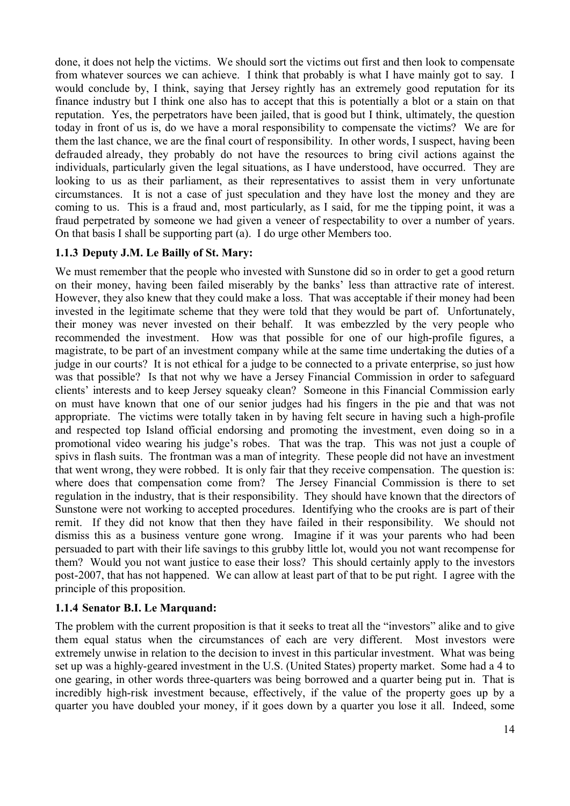done, it does not help the victims. We should sort the victims out first and then look to compensate from whatever sources we can achieve. I think that probably is what I have mainly got to say. I would conclude by, I think, saying that Jersey rightly has an extremely good reputation for its finance industry but I think one also has to accept that this is potentially a blot or a stain on that reputation. Yes, the perpetrators have been jailed, that is good but I think, ultimately, the question today in front of us is, do we have a moral responsibility to compensate the victims? We are for them the last chance, we are the final court of responsibility. In other words, I suspect, having been defrauded already, they probably do not have the resources to bring civil actions against the individuals, particularly given the legal situations, as I have understood, have occurred. They are looking to us as their parliament, as their representatives to assist them in very unfortunate circumstances. It is not a case of just speculation and they have lost the money and they are coming to us. This is a fraud and, most particularly, as I said, for me the tipping point, it was a fraud perpetrated by someone we had given a veneer of respectability to over a number of years. On that basis I shall be supporting part (a). I do urge other Members too.

# **1.1.3 Deputy J.M. Le Bailly of St. Mary:**

We must remember that the people who invested with Sunstone did so in order to get a good return on their money, having been failed miserably by the banks' less than attractive rate of interest. However, they also knew that they could make a loss. That was acceptable if their money had been invested in the legitimate scheme that they were told that they would be part of. Unfortunately, their money was never invested on their behalf. It was embezzled by the very people who recommended the investment. How was that possible for one of our high-profile figures, a magistrate, to be part of an investment company while at the same time undertaking the duties of a judge in our courts? It is not ethical for a judge to be connected to a private enterprise, so just how was that possible? Is that not why we have a Jersey Financial Commission in order to safeguard clients' interests and to keep Jersey squeaky clean? Someone in this Financial Commission early on must have known that one of our senior judges had his fingers in the pie and that was not appropriate. The victims were totally taken in by having felt secure in having such a high-profile and respected top Island official endorsing and promoting the investment, even doing so in a promotional video wearing his judge's robes. That was the trap. This was not just a couple of spivs in flash suits. The frontman was a man of integrity. These people did not have an investment that went wrong, they were robbed. It is only fair that they receive compensation. The question is: where does that compensation come from? The Jersey Financial Commission is there to set regulation in the industry, that is their responsibility. They should have known that the directors of Sunstone were not working to accepted procedures. Identifying who the crooks are is part of their remit. If they did not know that then they have failed in their responsibility. We should not dismiss this as a business venture gone wrong. Imagine if it was your parents who had been persuaded to part with their life savings to this grubby little lot, would you not want recompense for them? Would you not want justice to ease their loss? This should certainly apply to the investors post-2007, that has not happened. We can allow at least part of that to be put right. I agree with the principle of this proposition.

# **1.1.4 Senator B.I. Le Marquand:**

The problem with the current proposition is that it seeks to treat all the "investors" alike and to give them equal status when the circumstances of each are very different. Most investors were extremely unwise in relation to the decision to invest in this particular investment. What was being set up was a highly-geared investment in the U.S. (United States) property market. Some had a 4 to one gearing, in other words three-quarters was being borrowed and a quarter being put in. That is incredibly high-risk investment because, effectively, if the value of the property goes up by a quarter you have doubled your money, if it goes down by a quarter you lose it all. Indeed, some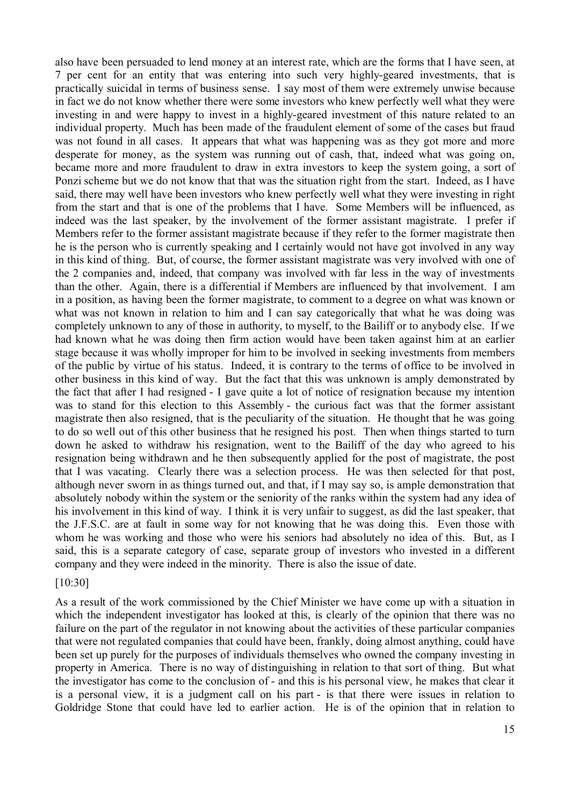also have been persuaded to lend money at an interest rate, which are the forms that I have seen, at 7 per cent for an entity that was entering into such very highly-geared investments, that is practically suicidal in terms of business sense. I say most of them were extremely unwise because in fact we do not know whether there were some investors who knew perfectly well what they were investing in and were happy to invest in a highly-geared investment of this nature related to an individual property. Much has been made of the fraudulent element of some of the cases but fraud was not found in all cases. It appears that what was happening was as they got more and more desperate for money, as the system was running out of cash, that, indeed what was going on, became more and more fraudulent to draw in extra investors to keep the system going, a sort of Ponzi scheme but we do not know that that was the situation right from the start. Indeed, as I have said, there may well have been investors who knew perfectly well what they were investing in right from the start and that is one of the problems that I have. Some Members will be influenced, as indeed was the last speaker, by the involvement of the former assistant magistrate. I prefer if Members refer to the former assistant magistrate because if they refer to the former magistrate then he is the person who is currently speaking and I certainly would not have got involved in any way in this kind of thing. But, of course, the former assistant magistrate was very involved with one of the 2 companies and, indeed, that company was involved with far less in the way of investments than the other. Again, there is a differential if Members are influenced by that involvement. I am in a position, as having been the former magistrate, to comment to a degree on what was known or what was not known in relation to him and I can say categorically that what he was doing was completely unknown to any of those in authority, to myself, to the Bailiff or to anybody else. If we had known what he was doing then firm action would have been taken against him at an earlier stage because it was wholly improper for him to be involved in seeking investments from members of the public by virtue of his status. Indeed, it is contrary to the terms of office to be involved in other business in this kind of way. But the fact that this was unknown is amply demonstrated by the fact that after I had resigned - I gave quite a lot of notice of resignation because my intention was to stand for this election to this Assembly - the curious fact was that the former assistant magistrate then also resigned, that is the peculiarity of the situation. He thought that he was going to do so well out of this other business that he resigned his post. Then when things started to turn down he asked to withdraw his resignation, went to the Bailiff of the day who agreed to his resignation being withdrawn and he then subsequently applied for the post of magistrate, the post that I was vacating. Clearly there was a selection process. He was then selected for that post, although never sworn in as things turned out, and that, if I may say so, is ample demonstration that absolutely nobody within the system or the seniority of the ranks within the system had any idea of his involvement in this kind of way. I think it is very unfair to suggest, as did the last speaker, that the J.F.S.C. are at fault in some way for not knowing that he was doing this. Even those with whom he was working and those who were his seniors had absolutely no idea of this. But, as I said, this is a separate category of case, separate group of investors who invested in a different company and they were indeed in the minority. There is also the issue of date.

#### [10:30]

As a result of the work commissioned by the Chief Minister we have come up with a situation in which the independent investigator has looked at this, is clearly of the opinion that there was no failure on the part of the regulator in not knowing about the activities of these particular companies that were not regulated companies that could have been, frankly, doing almost anything, could have been set up purely for the purposes of individuals themselves who owned the company investing in property in America. There is no way of distinguishing in relation to that sort of thing. But what the investigator has come to the conclusion of - and this is his personal view, he makes that clear it is a personal view, it is a judgment call on his part - is that there were issues in relation to Goldridge Stone that could have led to earlier action. He is of the opinion that in relation to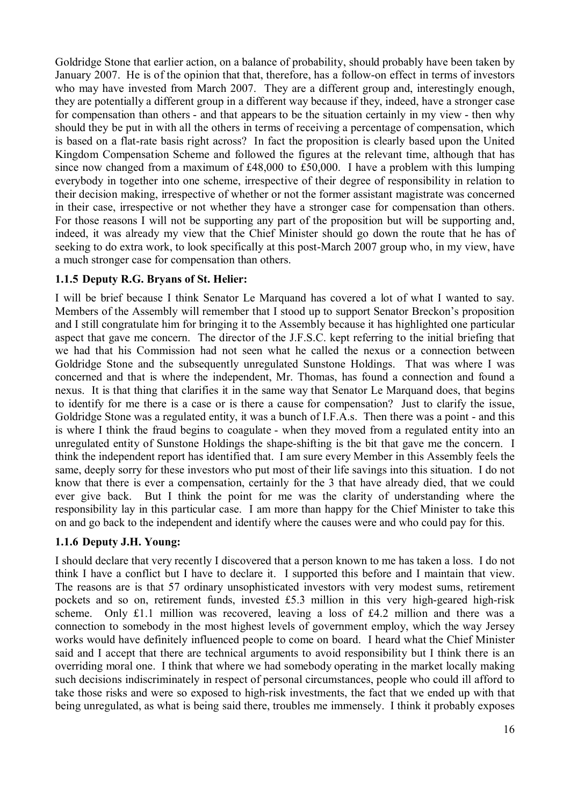Goldridge Stone that earlier action, on a balance of probability, should probably have been taken by January 2007. He is of the opinion that that, therefore, has a follow-on effect in terms of investors who may have invested from March 2007. They are a different group and, interestingly enough, they are potentially a different group in a different way because if they, indeed, have a stronger case for compensation than others - and that appears to be the situation certainly in my view - then why should they be put in with all the others in terms of receiving a percentage of compensation, which is based on a flat-rate basis right across? In fact the proposition is clearly based upon the United Kingdom Compensation Scheme and followed the figures at the relevant time, although that has since now changed from a maximum of £48,000 to £50,000. I have a problem with this lumping everybody in together into one scheme, irrespective of their degree of responsibility in relation to their decision making, irrespective of whether or not the former assistant magistrate was concerned in their case, irrespective or not whether they have a stronger case for compensation than others. For those reasons I will not be supporting any part of the proposition but will be supporting and, indeed, it was already my view that the Chief Minister should go down the route that he has of seeking to do extra work, to look specifically at this post-March 2007 group who, in my view, have a much stronger case for compensation than others.

# **1.1.5 Deputy R.G. Bryans of St. Helier:**

I will be brief because I think Senator Le Marquand has covered a lot of what I wanted to say. Members of the Assembly will remember that I stood up to support Senator Breckon's proposition and I still congratulate him for bringing it to the Assembly because it has highlighted one particular aspect that gave me concern. The director of the J.F.S.C. kept referring to the initial briefing that we had that his Commission had not seen what he called the nexus or a connection between Goldridge Stone and the subsequently unregulated Sunstone Holdings. That was where I was concerned and that is where the independent, Mr. Thomas, has found a connection and found a nexus. It is that thing that clarifies it in the same way that Senator Le Marquand does, that begins to identify for me there is a case or is there a cause for compensation? Just to clarify the issue, Goldridge Stone was a regulated entity, it was a bunch of I.F.A.s. Then there was a point - and this is where I think the fraud begins to coagulate - when they moved from a regulated entity into an unregulated entity of Sunstone Holdings the shape-shifting is the bit that gave me the concern. I think the independent report has identified that. I am sure every Member in this Assembly feels the same, deeply sorry for these investors who put most of their life savings into this situation. I do not know that there is ever a compensation, certainly for the 3 that have already died, that we could ever give back. But I think the point for me was the clarity of understanding where the responsibility lay in this particular case. I am more than happy for the Chief Minister to take this on and go back to the independent and identify where the causes were and who could pay for this.

## **1.1.6 Deputy J.H. Young:**

I should declare that very recently I discovered that a person known to me has taken a loss. I do not think I have a conflict but I have to declare it. I supported this before and I maintain that view. The reasons are is that 57 ordinary unsophisticated investors with very modest sums, retirement pockets and so on, retirement funds, invested £5.3 million in this very high-geared high-risk scheme. Only £1.1 million was recovered, leaving a loss of £4.2 million and there was a connection to somebody in the most highest levels of government employ, which the way Jersey works would have definitely influenced people to come on board. I heard what the Chief Minister said and I accept that there are technical arguments to avoid responsibility but I think there is an overriding moral one. I think that where we had somebody operating in the market locally making such decisions indiscriminately in respect of personal circumstances, people who could ill afford to take those risks and were so exposed to high-risk investments, the fact that we ended up with that being unregulated, as what is being said there, troubles me immensely. I think it probably exposes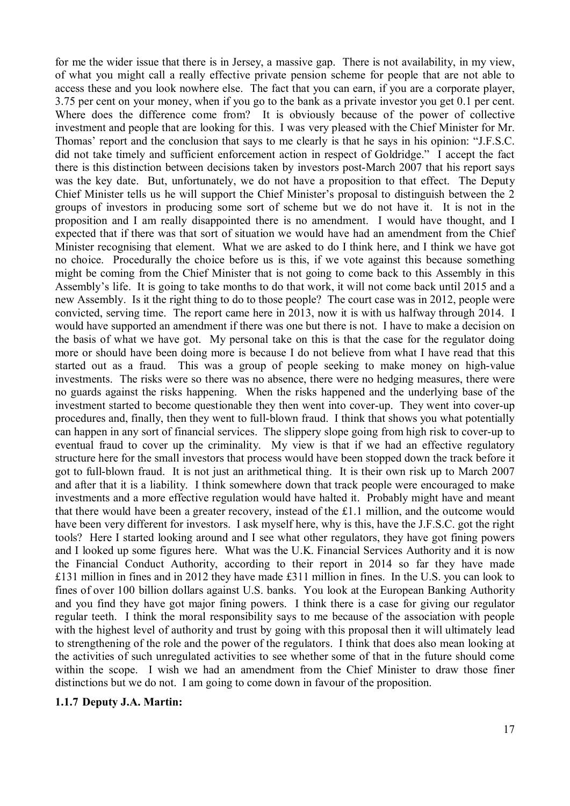for me the wider issue that there is in Jersey, a massive gap. There is not availability, in my view, of what you might call a really effective private pension scheme for people that are not able to access these and you look nowhere else. The fact that you can earn, if you are a corporate player, 3.75 per cent on your money, when if you go to the bank as a private investor you get 0.1 per cent. Where does the difference come from? It is obviously because of the power of collective investment and people that are looking for this. I was very pleased with the Chief Minister for Mr. Thomas' report and the conclusion that says to me clearly is that he says in his opinion: "J.F.S.C. did not take timely and sufficient enforcement action in respect of Goldridge." I accept the fact there is this distinction between decisions taken by investors post-March 2007 that his report says was the key date. But, unfortunately, we do not have a proposition to that effect. The Deputy Chief Minister tells us he will support the Chief Minister's proposal to distinguish between the 2 groups of investors in producing some sort of scheme but we do not have it. It is not in the proposition and I am really disappointed there is no amendment. I would have thought, and I expected that if there was that sort of situation we would have had an amendment from the Chief Minister recognising that element. What we are asked to do I think here, and I think we have got no choice. Procedurally the choice before us is this, if we vote against this because something might be coming from the Chief Minister that is not going to come back to this Assembly in this Assembly's life. It is going to take months to do that work, it will not come back until 2015 and a new Assembly. Is it the right thing to do to those people? The court case was in 2012, people were convicted, serving time. The report came here in 2013, now it is with us halfway through 2014. I would have supported an amendment if there was one but there is not. I have to make a decision on the basis of what we have got. My personal take on this is that the case for the regulator doing more or should have been doing more is because I do not believe from what I have read that this started out as a fraud. This was a group of people seeking to make money on high-value investments. The risks were so there was no absence, there were no hedging measures, there were no guards against the risks happening. When the risks happened and the underlying base of the investment started to become questionable they then went into cover-up. They went into cover-up procedures and, finally, then they went to full-blown fraud. I think that shows you what potentially can happen in any sort of financial services. The slippery slope going from high risk to cover-up to eventual fraud to cover up the criminality. My view is that if we had an effective regulatory structure here for the small investors that process would have been stopped down the track before it got to full-blown fraud. It is not just an arithmetical thing. It is their own risk up to March 2007 and after that it is a liability. I think somewhere down that track people were encouraged to make investments and a more effective regulation would have halted it. Probably might have and meant that there would have been a greater recovery, instead of the £1.1 million, and the outcome would have been very different for investors. I ask myself here, why is this, have the J.F.S.C. got the right tools? Here I started looking around and I see what other regulators, they have got fining powers and I looked up some figures here. What was the U.K. Financial Services Authority and it is now the Financial Conduct Authority, according to their report in 2014 so far they have made £131 million in fines and in 2012 they have made £311 million in fines. In the U.S. you can look to fines of over 100 billion dollars against U.S. banks. You look at the European Banking Authority and you find they have got major fining powers. I think there is a case for giving our regulator regular teeth. I think the moral responsibility says to me because of the association with people with the highest level of authority and trust by going with this proposal then it will ultimately lead to strengthening of the role and the power of the regulators. I think that does also mean looking at the activities of such unregulated activities to see whether some of that in the future should come within the scope. I wish we had an amendment from the Chief Minister to draw those finer distinctions but we do not. I am going to come down in favour of the proposition.

#### **1.1.7 Deputy J.A. Martin:**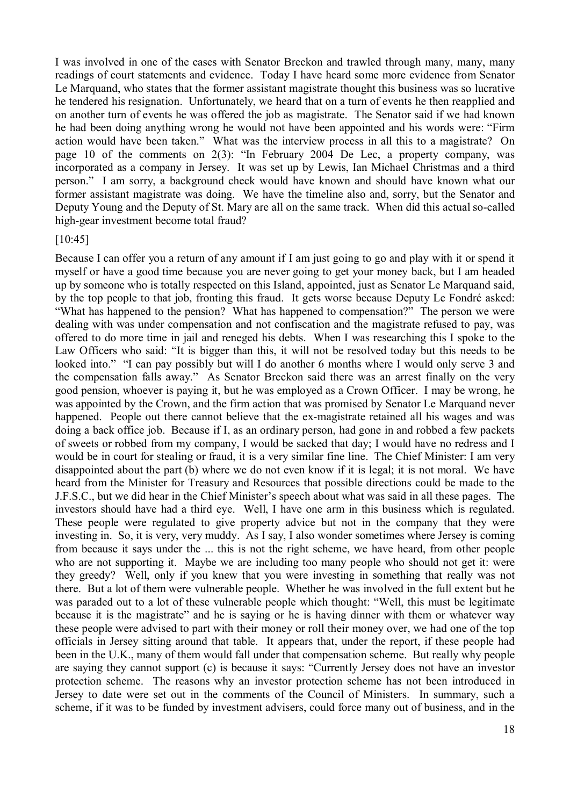I was involved in one of the cases with Senator Breckon and trawled through many, many, many readings of court statements and evidence. Today I have heard some more evidence from Senator Le Marquand, who states that the former assistant magistrate thought this business was so lucrative he tendered his resignation. Unfortunately, we heard that on a turn of events he then reapplied and on another turn of events he was offered the job as magistrate. The Senator said if we had known he had been doing anything wrong he would not have been appointed and his words were: "Firm action would have been taken." What was the interview process in all this to a magistrate? On page 10 of the comments on 2(3): "In February 2004 De Lec, a property company, was incorporated as a company in Jersey. It was set up by Lewis, Ian Michael Christmas and a third person." I am sorry, a background check would have known and should have known what our former assistant magistrate was doing. We have the timeline also and, sorry, but the Senator and Deputy Young and the Deputy of St. Mary are all on the same track. When did this actual so-called high-gear investment become total fraud?

#### [10:45]

Because I can offer you a return of any amount if I am just going to go and play with it or spend it myself or have a good time because you are never going to get your money back, but I am headed up by someone who is totally respected on this Island, appointed, just as Senator Le Marquand said, by the top people to that job, fronting this fraud. It gets worse because Deputy Le Fondré asked: "What has happened to the pension? What has happened to compensation?" The person we were dealing with was under compensation and not confiscation and the magistrate refused to pay, was offered to do more time in jail and reneged his debts. When I was researching this I spoke to the Law Officers who said: "It is bigger than this, it will not be resolved today but this needs to be looked into." "I can pay possibly but will I do another 6 months where I would only serve 3 and the compensation falls away." As Senator Breckon said there was an arrest finally on the very good pension, whoever is paying it, but he was employed as a Crown Officer. I may be wrong, he was appointed by the Crown, and the firm action that was promised by Senator Le Marquand never happened. People out there cannot believe that the ex-magistrate retained all his wages and was doing a back office job. Because if I, as an ordinary person, had gone in and robbed a few packets of sweets or robbed from my company, I would be sacked that day; I would have no redress and I would be in court for stealing or fraud, it is a very similar fine line. The Chief Minister: I am very disappointed about the part (b) where we do not even know if it is legal; it is not moral. We have heard from the Minister for Treasury and Resources that possible directions could be made to the J.F.S.C., but we did hear in the Chief Minister's speech about what was said in all these pages. The investors should have had a third eye. Well, I have one arm in this business which is regulated. These people were regulated to give property advice but not in the company that they were investing in. So, it is very, very muddy. As I say, I also wonder sometimes where Jersey is coming from because it says under the ... this is not the right scheme, we have heard, from other people who are not supporting it. Maybe we are including too many people who should not get it: were they greedy? Well, only if you knew that you were investing in something that really was not there. But a lot of them were vulnerable people. Whether he was involved in the full extent but he was paraded out to a lot of these vulnerable people which thought: "Well, this must be legitimate because it is the magistrate" and he is saying or he is having dinner with them or whatever way these people were advised to part with their money or roll their money over, we had one of the top officials in Jersey sitting around that table. It appears that, under the report, if these people had been in the U.K., many of them would fall under that compensation scheme. But really why people are saying they cannot support (c) is because it says: "Currently Jersey does not have an investor protection scheme. The reasons why an investor protection scheme has not been introduced in Jersey to date were set out in the comments of the Council of Ministers. In summary, such a scheme, if it was to be funded by investment advisers, could force many out of business, and in the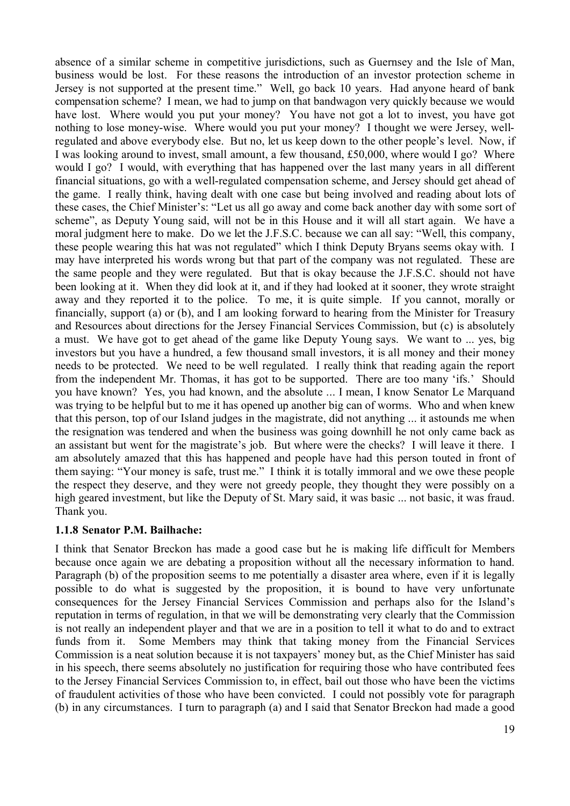absence of a similar scheme in competitive jurisdictions, such as Guernsey and the Isle of Man, business would be lost. For these reasons the introduction of an investor protection scheme in Jersey is not supported at the present time." Well, go back 10 years. Had anyone heard of bank compensation scheme? I mean, we had to jump on that bandwagon very quickly because we would have lost. Where would you put your money? You have not got a lot to invest, you have got nothing to lose money-wise. Where would you put your money? I thought we were Jersey, wellregulated and above everybody else. But no, let us keep down to the other people's level. Now, if I was looking around to invest, small amount, a few thousand, £50,000, where would I go? Where would I go? I would, with everything that has happened over the last many years in all different financial situations, go with a well-regulated compensation scheme, and Jersey should get ahead of the game. I really think, having dealt with one case but being involved and reading about lots of these cases, the Chief Minister's: "Let us all go away and come back another day with some sort of scheme", as Deputy Young said, will not be in this House and it will all start again. We have a moral judgment here to make. Do we let the J.F.S.C. because we can all say: "Well, this company, these people wearing this hat was not regulated" which I think Deputy Bryans seems okay with. I may have interpreted his words wrong but that part of the company was not regulated. These are the same people and they were regulated. But that is okay because the J.F.S.C. should not have been looking at it. When they did look at it, and if they had looked at it sooner, they wrote straight away and they reported it to the police. To me, it is quite simple. If you cannot, morally or financially, support (a) or (b), and I am looking forward to hearing from the Minister for Treasury and Resources about directions for the Jersey Financial Services Commission, but (c) is absolutely a must. We have got to get ahead of the game like Deputy Young says. We want to ... yes, big investors but you have a hundred, a few thousand small investors, it is all money and their money needs to be protected. We need to be well regulated. I really think that reading again the report from the independent Mr. Thomas, it has got to be supported. There are too many 'ifs.' Should you have known? Yes, you had known, and the absolute ... I mean, I know Senator Le Marquand was trying to be helpful but to me it has opened up another big can of worms. Who and when knew that this person, top of our Island judges in the magistrate, did not anything ... it astounds me when the resignation was tendered and when the business was going downhill he not only came back as an assistant but went for the magistrate's job. But where were the checks? I will leave it there. I am absolutely amazed that this has happened and people have had this person touted in front of them saying: "Your money is safe, trust me." I think it is totally immoral and we owe these people the respect they deserve, and they were not greedy people, they thought they were possibly on a high geared investment, but like the Deputy of St. Mary said, it was basic ... not basic, it was fraud. Thank you.

## **1.1.8 Senator P.M. Bailhache:**

I think that Senator Breckon has made a good case but he is making life difficult for Members because once again we are debating a proposition without all the necessary information to hand. Paragraph (b) of the proposition seems to me potentially a disaster area where, even if it is legally possible to do what is suggested by the proposition, it is bound to have very unfortunate consequences for the Jersey Financial Services Commission and perhaps also for the Island's reputation in terms of regulation, in that we will be demonstrating very clearly that the Commission is not really an independent player and that we are in a position to tell it what to do and to extract funds from it. Some Members may think that taking money from the Financial Services Commission is a neat solution because it is not taxpayers' money but, as the Chief Minister has said in his speech, there seems absolutely no justification for requiring those who have contributed fees to the Jersey Financial Services Commission to, in effect, bail out those who have been the victims of fraudulent activities of those who have been convicted. I could not possibly vote for paragraph (b) in any circumstances. I turn to paragraph (a) and I said that Senator Breckon had made a good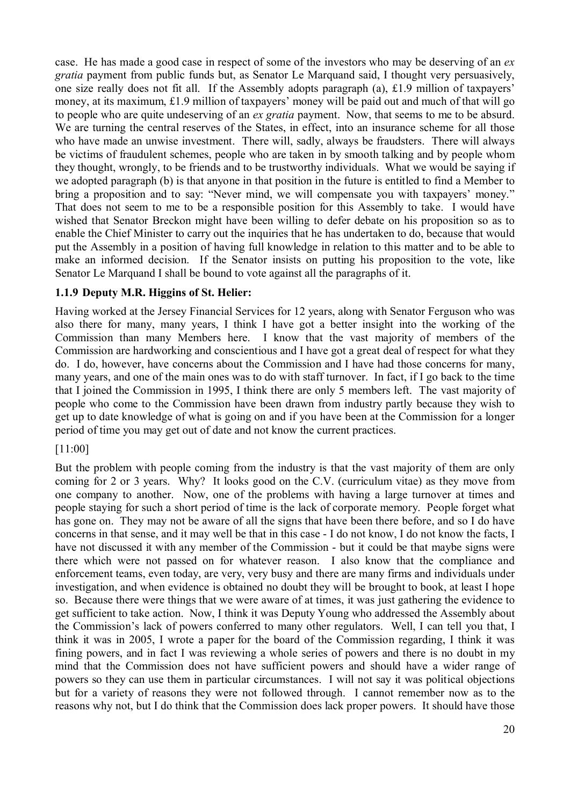case. He has made a good case in respect of some of the investors who may be deserving of an *ex gratia* payment from public funds but, as Senator Le Marquand said, I thought very persuasively, one size really does not fit all. If the Assembly adopts paragraph (a), £1.9 million of taxpayers' money, at its maximum, £1.9 million of taxpayers' money will be paid out and much of that will go to people who are quite undeserving of an *ex gratia* payment. Now, that seems to me to be absurd. We are turning the central reserves of the States, in effect, into an insurance scheme for all those who have made an unwise investment. There will, sadly, always be fraudsters. There will always be victims of fraudulent schemes, people who are taken in by smooth talking and by people whom they thought, wrongly, to be friends and to be trustworthy individuals. What we would be saying if we adopted paragraph (b) is that anyone in that position in the future is entitled to find a Member to bring a proposition and to say: "Never mind, we will compensate you with taxpayers' money." That does not seem to me to be a responsible position for this Assembly to take. I would have wished that Senator Breckon might have been willing to defer debate on his proposition so as to enable the Chief Minister to carry out the inquiries that he has undertaken to do, because that would put the Assembly in a position of having full knowledge in relation to this matter and to be able to make an informed decision. If the Senator insists on putting his proposition to the vote, like Senator Le Marquand I shall be bound to vote against all the paragraphs of it.

## **1.1.9 Deputy M.R. Higgins of St. Helier:**

Having worked at the Jersey Financial Services for 12 years, along with Senator Ferguson who was also there for many, many years, I think I have got a better insight into the working of the Commission than many Members here. I know that the vast majority of members of the Commission are hardworking and conscientious and I have got a great deal of respect for what they do. I do, however, have concerns about the Commission and I have had those concerns for many, many years, and one of the main ones was to do with staff turnover. In fact, if I go back to the time that I joined the Commission in 1995, I think there are only 5 members left. The vast majority of people who come to the Commission have been drawn from industry partly because they wish to get up to date knowledge of what is going on and if you have been at the Commission for a longer period of time you may get out of date and not know the current practices.

## [11:00]

But the problem with people coming from the industry is that the vast majority of them are only coming for 2 or 3 years. Why? It looks good on the C.V. (curriculum vitae) as they move from one company to another. Now, one of the problems with having a large turnover at times and people staying for such a short period of time is the lack of corporate memory. People forget what has gone on. They may not be aware of all the signs that have been there before, and so I do have concerns in that sense, and it may well be that in this case - I do not know, I do not know the facts, I have not discussed it with any member of the Commission - but it could be that maybe signs were there which were not passed on for whatever reason. I also know that the compliance and enforcement teams, even today, are very, very busy and there are many firms and individuals under investigation, and when evidence is obtained no doubt they will be brought to book, at least I hope so. Because there were things that we were aware of at times, it was just gathering the evidence to get sufficient to take action. Now, I think it was Deputy Young who addressed the Assembly about the Commission's lack of powers conferred to many other regulators. Well, I can tell you that, I think it was in 2005, I wrote a paper for the board of the Commission regarding, I think it was fining powers, and in fact I was reviewing a whole series of powers and there is no doubt in my mind that the Commission does not have sufficient powers and should have a wider range of powers so they can use them in particular circumstances. I will not say it was political objections but for a variety of reasons they were not followed through. I cannot remember now as to the reasons why not, but I do think that the Commission does lack proper powers. It should have those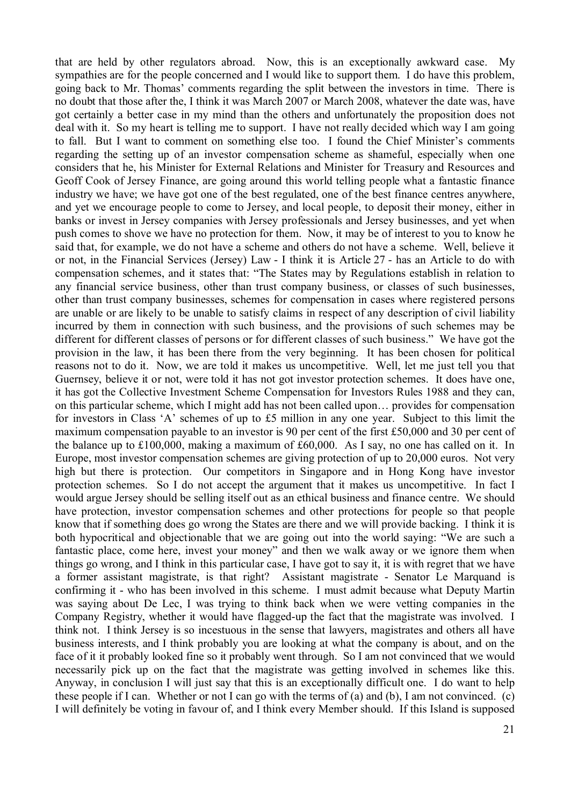that are held by other regulators abroad. Now, this is an exceptionally awkward case. My sympathies are for the people concerned and I would like to support them. I do have this problem, going back to Mr. Thomas' comments regarding the split between the investors in time. There is no doubt that those after the, I think it was March 2007 or March 2008, whatever the date was, have got certainly a better case in my mind than the others and unfortunately the proposition does not deal with it. So my heart is telling me to support. I have not really decided which way I am going to fall. But I want to comment on something else too. I found the Chief Minister's comments regarding the setting up of an investor compensation scheme as shameful, especially when one considers that he, his Minister for External Relations and Minister for Treasury and Resources and Geoff Cook of Jersey Finance, are going around this world telling people what a fantastic finance industry we have; we have got one of the best regulated, one of the best finance centres anywhere, and yet we encourage people to come to Jersey, and local people, to deposit their money, either in banks or invest in Jersey companies with Jersey professionals and Jersey businesses, and yet when push comes to shove we have no protection for them. Now, it may be of interest to you to know he said that, for example, we do not have a scheme and others do not have a scheme. Well, believe it or not, in the Financial Services (Jersey) Law - I think it is Article 27 - has an Article to do with compensation schemes, and it states that: "The States may by Regulations establish in relation to any financial service business, other than trust company business, or classes of such businesses, other than trust company businesses, schemes for compensation in cases where registered persons are unable or are likely to be unable to satisfy claims in respect of any description of civil liability incurred by them in connection with such business, and the provisions of such schemes may be different for different classes of persons or for different classes of such business." We have got the provision in the law, it has been there from the very beginning. It has been chosen for political reasons not to do it. Now, we are told it makes us uncompetitive. Well, let me just tell you that Guernsey, believe it or not, were told it has not got investor protection schemes. It does have one, it has got the Collective Investment Scheme Compensation for Investors Rules 1988 and they can, on this particular scheme, which I might add has not been called upon… provides for compensation for investors in Class 'A' schemes of up to £5 million in any one year. Subject to this limit the maximum compensation payable to an investor is 90 per cent of the first £50,000 and 30 per cent of the balance up to £100,000, making a maximum of £60,000. As I say, no one has called on it. In Europe, most investor compensation schemes are giving protection of up to 20,000 euros. Not very high but there is protection. Our competitors in Singapore and in Hong Kong have investor protection schemes. So I do not accept the argument that it makes us uncompetitive. In fact I would argue Jersey should be selling itself out as an ethical business and finance centre. We should have protection, investor compensation schemes and other protections for people so that people know that if something does go wrong the States are there and we will provide backing. I think it is both hypocritical and objectionable that we are going out into the world saying: "We are such a fantastic place, come here, invest your money" and then we walk away or we ignore them when things go wrong, and I think in this particular case, I have got to say it, it is with regret that we have a former assistant magistrate, is that right? Assistant magistrate - Senator Le Marquand is confirming it - who has been involved in this scheme. I must admit because what Deputy Martin was saying about De Lec, I was trying to think back when we were vetting companies in the Company Registry, whether it would have flagged-up the fact that the magistrate was involved. I think not. I think Jersey is so incestuous in the sense that lawyers, magistrates and others all have business interests, and I think probably you are looking at what the company is about, and on the face of it it probably looked fine so it probably went through. So I am not convinced that we would necessarily pick up on the fact that the magistrate was getting involved in schemes like this. Anyway, in conclusion I will just say that this is an exceptionally difficult one. I do want to help these people if I can. Whether or not I can go with the terms of (a) and (b), I am not convinced. (c) I will definitely be voting in favour of, and I think every Member should. If this Island is supposed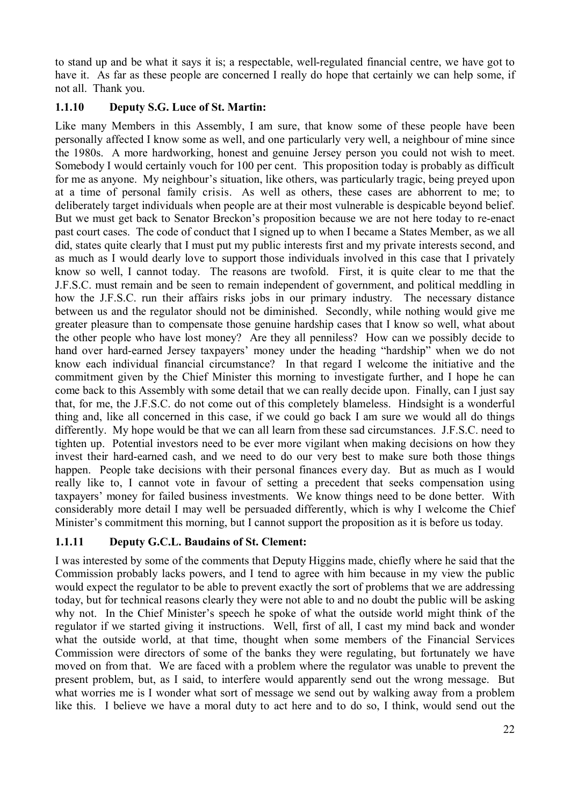to stand up and be what it says it is; a respectable, well-regulated financial centre, we have got to have it. As far as these people are concerned I really do hope that certainly we can help some, if not all. Thank you.

## **1.1.10 Deputy S.G. Luce of St. Martin:**

Like many Members in this Assembly, I am sure, that know some of these people have been personally affected I know some as well, and one particularly very well, a neighbour of mine since the 1980s. A more hardworking, honest and genuine Jersey person you could not wish to meet. Somebody I would certainly vouch for 100 per cent. This proposition today is probably as difficult for me as anyone. My neighbour's situation, like others, was particularly tragic, being preyed upon at a time of personal family crisis. As well as others, these cases are abhorrent to me; to deliberately target individuals when people are at their most vulnerable is despicable beyond belief. But we must get back to Senator Breckon's proposition because we are not here today to re-enact past court cases. The code of conduct that I signed up to when I became a States Member, as we all did, states quite clearly that I must put my public interests first and my private interests second, and as much as I would dearly love to support those individuals involved in this case that I privately know so well, I cannot today. The reasons are twofold. First, it is quite clear to me that the J.F.S.C. must remain and be seen to remain independent of government, and political meddling in how the J.F.S.C. run their affairs risks jobs in our primary industry. The necessary distance between us and the regulator should not be diminished. Secondly, while nothing would give me greater pleasure than to compensate those genuine hardship cases that I know so well, what about the other people who have lost money? Are they all penniless? How can we possibly decide to hand over hard-earned Jersey taxpayers' money under the heading "hardship" when we do not know each individual financial circumstance? In that regard I welcome the initiative and the commitment given by the Chief Minister this morning to investigate further, and I hope he can come back to this Assembly with some detail that we can really decide upon. Finally, can I just say that, for me, the J.F.S.C. do not come out of this completely blameless. Hindsight is a wonderful thing and, like all concerned in this case, if we could go back I am sure we would all do things differently. My hope would be that we can all learn from these sad circumstances. J.F.S.C. need to tighten up. Potential investors need to be ever more vigilant when making decisions on how they invest their hard-earned cash, and we need to do our very best to make sure both those things happen. People take decisions with their personal finances every day. But as much as I would really like to, I cannot vote in favour of setting a precedent that seeks compensation using taxpayers' money for failed business investments. We know things need to be done better. With considerably more detail I may well be persuaded differently, which is why I welcome the Chief Minister's commitment this morning, but I cannot support the proposition as it is before us today.

# **1.1.11 Deputy G.C.L. Baudains of St. Clement:**

I was interested by some of the comments that Deputy Higgins made, chiefly where he said that the Commission probably lacks powers, and I tend to agree with him because in my view the public would expect the regulator to be able to prevent exactly the sort of problems that we are addressing today, but for technical reasons clearly they were not able to and no doubt the public will be asking why not. In the Chief Minister's speech he spoke of what the outside world might think of the regulator if we started giving it instructions. Well, first of all, I cast my mind back and wonder what the outside world, at that time, thought when some members of the Financial Services Commission were directors of some of the banks they were regulating, but fortunately we have moved on from that. We are faced with a problem where the regulator was unable to prevent the present problem, but, as I said, to interfere would apparently send out the wrong message. But what worries me is I wonder what sort of message we send out by walking away from a problem like this. I believe we have a moral duty to act here and to do so, I think, would send out the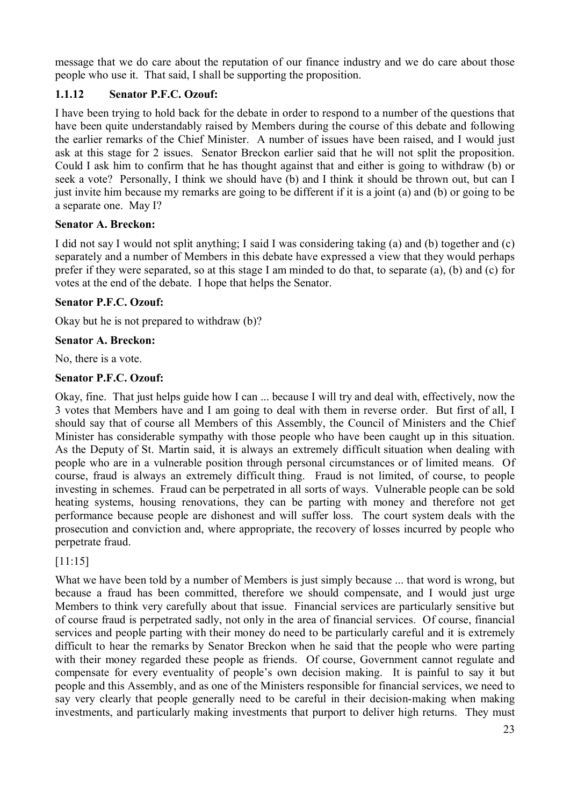message that we do care about the reputation of our finance industry and we do care about those people who use it. That said, I shall be supporting the proposition.

# **1.1.12 Senator P.F.C. Ozouf:**

I have been trying to hold back for the debate in order to respond to a number of the questions that have been quite understandably raised by Members during the course of this debate and following the earlier remarks of the Chief Minister. A number of issues have been raised, and I would just ask at this stage for 2 issues. Senator Breckon earlier said that he will not split the proposition. Could I ask him to confirm that he has thought against that and either is going to withdraw (b) or seek a vote? Personally, I think we should have (b) and I think it should be thrown out, but can I just invite him because my remarks are going to be different if it is a joint (a) and (b) or going to be a separate one. May I?

# **Senator A. Breckon:**

I did not say I would not split anything; I said I was considering taking (a) and (b) together and (c) separately and a number of Members in this debate have expressed a view that they would perhaps prefer if they were separated, so at this stage I am minded to do that, to separate (a), (b) and (c) for votes at the end of the debate. I hope that helps the Senator.

# **Senator P.F.C. Ozouf:**

Okay but he is not prepared to withdraw (b)?

# **Senator A. Breckon:**

No, there is a vote.

# **Senator P.F.C. Ozouf:**

Okay, fine. That just helps guide how I can ... because I will try and deal with, effectively, now the 3 votes that Members have and I am going to deal with them in reverse order. But first of all, I should say that of course all Members of this Assembly, the Council of Ministers and the Chief Minister has considerable sympathy with those people who have been caught up in this situation. As the Deputy of St. Martin said, it is always an extremely difficult situation when dealing with people who are in a vulnerable position through personal circumstances or of limited means. Of course, fraud is always an extremely difficult thing. Fraud is not limited, of course, to people investing in schemes. Fraud can be perpetrated in all sorts of ways. Vulnerable people can be sold heating systems, housing renovations, they can be parting with money and therefore not get performance because people are dishonest and will suffer loss. The court system deals with the prosecution and conviction and, where appropriate, the recovery of losses incurred by people who perpetrate fraud.

# [11:15]

What we have been told by a number of Members is just simply because ... that word is wrong, but because a fraud has been committed, therefore we should compensate, and I would just urge Members to think very carefully about that issue. Financial services are particularly sensitive but of course fraud is perpetrated sadly, not only in the area of financial services. Of course, financial services and people parting with their money do need to be particularly careful and it is extremely difficult to hear the remarks by Senator Breckon when he said that the people who were parting with their money regarded these people as friends. Of course, Government cannot regulate and compensate for every eventuality of people's own decision making. It is painful to say it but people and this Assembly, and as one of the Ministers responsible for financial services, we need to say very clearly that people generally need to be careful in their decision-making when making investments, and particularly making investments that purport to deliver high returns. They must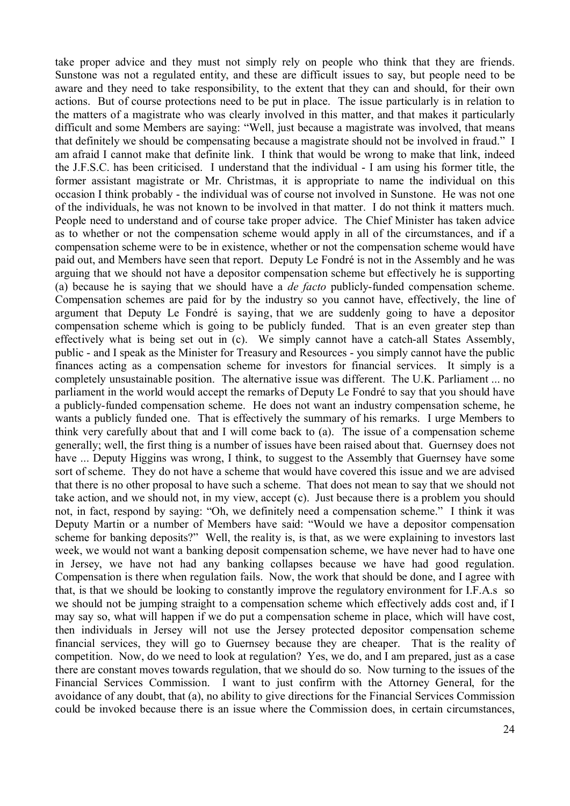take proper advice and they must not simply rely on people who think that they are friends. Sunstone was not a regulated entity, and these are difficult issues to say, but people need to be aware and they need to take responsibility, to the extent that they can and should, for their own actions. But of course protections need to be put in place. The issue particularly is in relation to the matters of a magistrate who was clearly involved in this matter, and that makes it particularly difficult and some Members are saying: "Well, just because a magistrate was involved, that means that definitely we should be compensating because a magistrate should not be involved in fraud." I am afraid I cannot make that definite link. I think that would be wrong to make that link, indeed the J.F.S.C. has been criticised. I understand that the individual - I am using his former title, the former assistant magistrate or Mr. Christmas, it is appropriate to name the individual on this occasion I think probably - the individual was of course not involved in Sunstone. He was not one of the individuals, he was not known to be involved in that matter. I do not think it matters much. People need to understand and of course take proper advice. The Chief Minister has taken advice as to whether or not the compensation scheme would apply in all of the circumstances, and if a compensation scheme were to be in existence, whether or not the compensation scheme would have paid out, and Members have seen that report. Deputy Le Fondré is not in the Assembly and he was arguing that we should not have a depositor compensation scheme but effectively he is supporting (a) because he is saying that we should have a *de facto* publicly-funded compensation scheme. Compensation schemes are paid for by the industry so you cannot have, effectively, the line of argument that Deputy Le Fondré is saying, that we are suddenly going to have a depositor compensation scheme which is going to be publicly funded. That is an even greater step than effectively what is being set out in (c). We simply cannot have a catch-all States Assembly, public - and I speak as the Minister for Treasury and Resources - you simply cannot have the public finances acting as a compensation scheme for investors for financial services. It simply is a completely unsustainable position. The alternative issue was different. The U.K. Parliament ... no parliament in the world would accept the remarks of Deputy Le Fondré to say that you should have a publicly-funded compensation scheme. He does not want an industry compensation scheme, he wants a publicly funded one. That is effectively the summary of his remarks. I urge Members to think very carefully about that and I will come back to (a). The issue of a compensation scheme generally; well, the first thing is a number of issues have been raised about that. Guernsey does not have ... Deputy Higgins was wrong, I think, to suggest to the Assembly that Guernsey have some sort of scheme. They do not have a scheme that would have covered this issue and we are advised that there is no other proposal to have such a scheme. That does not mean to say that we should not take action, and we should not, in my view, accept (c). Just because there is a problem you should not, in fact, respond by saying: "Oh, we definitely need a compensation scheme." I think it was Deputy Martin or a number of Members have said: "Would we have a depositor compensation scheme for banking deposits?" Well, the reality is, is that, as we were explaining to investors last week, we would not want a banking deposit compensation scheme, we have never had to have one in Jersey, we have not had any banking collapses because we have had good regulation. Compensation is there when regulation fails. Now, the work that should be done, and I agree with that, is that we should be looking to constantly improve the regulatory environment for I.F.A.s so we should not be jumping straight to a compensation scheme which effectively adds cost and, if I may say so, what will happen if we do put a compensation scheme in place, which will have cost, then individuals in Jersey will not use the Jersey protected depositor compensation scheme financial services, they will go to Guernsey because they are cheaper. That is the reality of competition. Now, do we need to look at regulation? Yes, we do, and I am prepared, just as a case there are constant moves towards regulation, that we should do so. Now turning to the issues of the Financial Services Commission. I want to just confirm with the Attorney General, for the avoidance of any doubt, that (a), no ability to give directions for the Financial Services Commission could be invoked because there is an issue where the Commission does, in certain circumstances,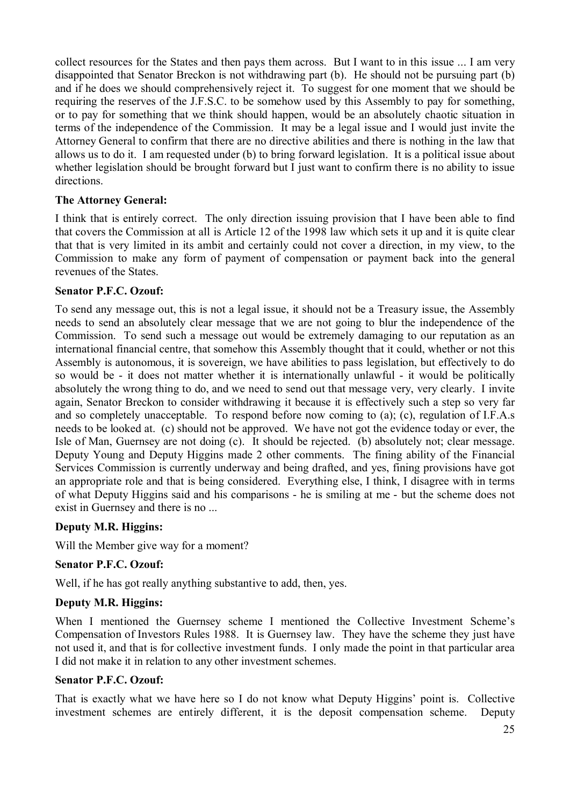collect resources for the States and then pays them across. But I want to in this issue ... I am very disappointed that Senator Breckon is not withdrawing part (b). He should not be pursuing part (b) and if he does we should comprehensively reject it. To suggest for one moment that we should be requiring the reserves of the J.F.S.C. to be somehow used by this Assembly to pay for something, or to pay for something that we think should happen, would be an absolutely chaotic situation in terms of the independence of the Commission. It may be a legal issue and I would just invite the Attorney General to confirm that there are no directive abilities and there is nothing in the law that allows us to do it. I am requested under (b) to bring forward legislation. It is a political issue about whether legislation should be brought forward but I just want to confirm there is no ability to issue directions.

## **The Attorney General:**

I think that is entirely correct. The only direction issuing provision that I have been able to find that covers the Commission at all is Article 12 of the 1998 law which sets it up and it is quite clear that that is very limited in its ambit and certainly could not cover a direction, in my view, to the Commission to make any form of payment of compensation or payment back into the general revenues of the States.

#### **Senator P.F.C. Ozouf:**

To send any message out, this is not a legal issue, it should not be a Treasury issue, the Assembly needs to send an absolutely clear message that we are not going to blur the independence of the Commission. To send such a message out would be extremely damaging to our reputation as an international financial centre, that somehow this Assembly thought that it could, whether or not this Assembly is autonomous, it is sovereign, we have abilities to pass legislation, but effectively to do so would be - it does not matter whether it is internationally unlawful - it would be politically absolutely the wrong thing to do, and we need to send out that message very, very clearly. I invite again, Senator Breckon to consider withdrawing it because it is effectively such a step so very far and so completely unacceptable. To respond before now coming to (a); (c), regulation of I.F.A.s needs to be looked at. (c) should not be approved. We have not got the evidence today or ever, the Isle of Man, Guernsey are not doing (c). It should be rejected. (b) absolutely not; clear message. Deputy Young and Deputy Higgins made 2 other comments. The fining ability of the Financial Services Commission is currently underway and being drafted, and yes, fining provisions have got an appropriate role and that is being considered. Everything else, I think, I disagree with in terms of what Deputy Higgins said and his comparisons - he is smiling at me - but the scheme does not exist in Guernsey and there is no ...

## **Deputy M.R. Higgins:**

Will the Member give way for a moment?

## **Senator P.F.C. Ozouf:**

Well, if he has got really anything substantive to add, then, yes.

## **Deputy M.R. Higgins:**

When I mentioned the Guernsey scheme I mentioned the Collective Investment Scheme's Compensation of Investors Rules 1988. It is Guernsey law. They have the scheme they just have not used it, and that is for collective investment funds. I only made the point in that particular area I did not make it in relation to any other investment schemes.

#### **Senator P.F.C. Ozouf:**

That is exactly what we have here so I do not know what Deputy Higgins' point is. Collective investment schemes are entirely different, it is the deposit compensation scheme. Deputy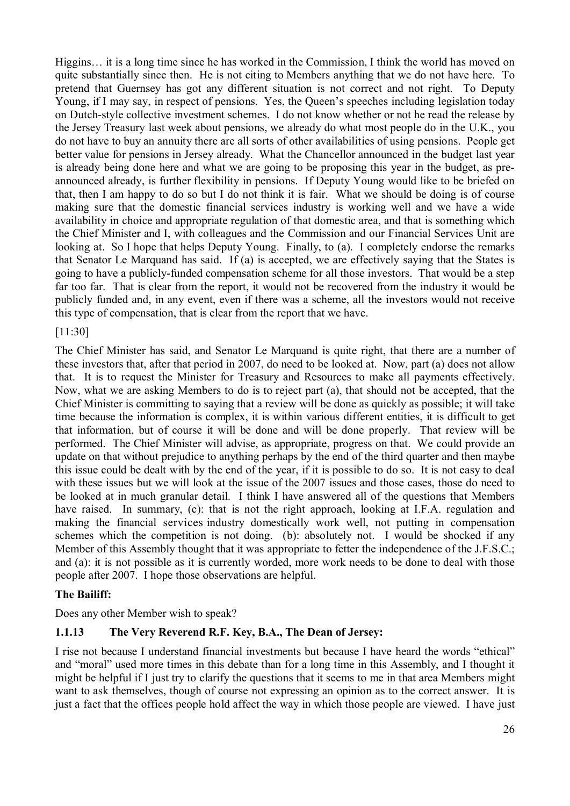Higgins… it is a long time since he has worked in the Commission, I think the world has moved on quite substantially since then. He is not citing to Members anything that we do not have here. To pretend that Guernsey has got any different situation is not correct and not right. To Deputy Young, if I may say, in respect of pensions. Yes, the Queen's speeches including legislation today on Dutch-style collective investment schemes. I do not know whether or not he read the release by the Jersey Treasury last week about pensions, we already do what most people do in the U.K., you do not have to buy an annuity there are all sorts of other availabilities of using pensions. People get better value for pensions in Jersey already. What the Chancellor announced in the budget last year is already being done here and what we are going to be proposing this year in the budget, as preannounced already, is further flexibility in pensions. If Deputy Young would like to be briefed on that, then I am happy to do so but I do not think it is fair. What we should be doing is of course making sure that the domestic financial services industry is working well and we have a wide availability in choice and appropriate regulation of that domestic area, and that is something which the Chief Minister and I, with colleagues and the Commission and our Financial Services Unit are looking at. So I hope that helps Deputy Young. Finally, to (a). I completely endorse the remarks that Senator Le Marquand has said. If (a) is accepted, we are effectively saying that the States is going to have a publicly-funded compensation scheme for all those investors. That would be a step far too far. That is clear from the report, it would not be recovered from the industry it would be publicly funded and, in any event, even if there was a scheme, all the investors would not receive this type of compensation, that is clear from the report that we have.

## [11:30]

The Chief Minister has said, and Senator Le Marquand is quite right, that there are a number of these investors that, after that period in 2007, do need to be looked at. Now, part (a) does not allow that. It is to request the Minister for Treasury and Resources to make all payments effectively. Now, what we are asking Members to do is to reject part (a), that should not be accepted, that the Chief Minister is committing to saying that a review will be done as quickly as possible; it will take time because the information is complex, it is within various different entities, it is difficult to get that information, but of course it will be done and will be done properly. That review will be performed. The Chief Minister will advise, as appropriate, progress on that. We could provide an update on that without prejudice to anything perhaps by the end of the third quarter and then maybe this issue could be dealt with by the end of the year, if it is possible to do so. It is not easy to deal with these issues but we will look at the issue of the 2007 issues and those cases, those do need to be looked at in much granular detail. I think I have answered all of the questions that Members have raised. In summary, (c): that is not the right approach, looking at I.F.A. regulation and making the financial services industry domestically work well, not putting in compensation schemes which the competition is not doing. (b): absolutely not. I would be shocked if any Member of this Assembly thought that it was appropriate to fetter the independence of the J.F.S.C.; and (a): it is not possible as it is currently worded, more work needs to be done to deal with those people after 2007. I hope those observations are helpful.

## **The Bailiff:**

Does any other Member wish to speak?

## **1.1.13 The Very Reverend R.F. Key, B.A., The Dean of Jersey:**

I rise not because I understand financial investments but because I have heard the words "ethical" and "moral" used more times in this debate than for a long time in this Assembly, and I thought it might be helpful if I just try to clarify the questions that it seems to me in that area Members might want to ask themselves, though of course not expressing an opinion as to the correct answer. It is just a fact that the offices people hold affect the way in which those people are viewed. I have just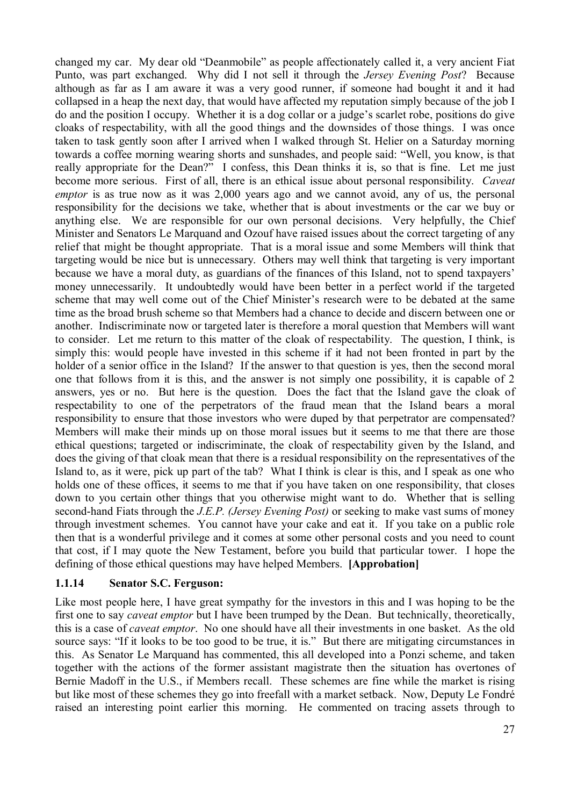changed my car. My dear old "Deanmobile" as people affectionately called it, a very ancient Fiat Punto, was part exchanged. Why did I not sell it through the *Jersey Evening Post*? Because although as far as I am aware it was a very good runner, if someone had bought it and it had collapsed in a heap the next day, that would have affected my reputation simply because of the job I do and the position I occupy. Whether it is a dog collar or a judge's scarlet robe, positions do give cloaks of respectability, with all the good things and the downsides of those things. I was once taken to task gently soon after I arrived when I walked through St. Helier on a Saturday morning towards a coffee morning wearing shorts and sunshades, and people said: "Well, you know, is that really appropriate for the Dean?" I confess, this Dean thinks it is, so that is fine. Let me just become more serious. First of all, there is an ethical issue about personal responsibility. *Caveat emptor* is as true now as it was 2,000 years ago and we cannot avoid, any of us, the personal responsibility for the decisions we take, whether that is about investments or the car we buy or anything else. We are responsible for our own personal decisions. Very helpfully, the Chief Minister and Senators Le Marquand and Ozouf have raised issues about the correct targeting of any relief that might be thought appropriate. That is a moral issue and some Members will think that targeting would be nice but is unnecessary. Others may well think that targeting is very important because we have a moral duty, as guardians of the finances of this Island, not to spend taxpayers' money unnecessarily. It undoubtedly would have been better in a perfect world if the targeted scheme that may well come out of the Chief Minister's research were to be debated at the same time as the broad brush scheme so that Members had a chance to decide and discern between one or another. Indiscriminate now or targeted later is therefore a moral question that Members will want to consider. Let me return to this matter of the cloak of respectability. The question, I think, is simply this: would people have invested in this scheme if it had not been fronted in part by the holder of a senior office in the Island? If the answer to that question is yes, then the second moral one that follows from it is this, and the answer is not simply one possibility, it is capable of 2 answers, yes or no. But here is the question. Does the fact that the Island gave the cloak of respectability to one of the perpetrators of the fraud mean that the Island bears a moral responsibility to ensure that those investors who were duped by that perpetrator are compensated? Members will make their minds up on those moral issues but it seems to me that there are those ethical questions; targeted or indiscriminate, the cloak of respectability given by the Island, and does the giving of that cloak mean that there is a residual responsibility on the representatives of the Island to, as it were, pick up part of the tab? What I think is clear is this, and I speak as one who holds one of these offices, it seems to me that if you have taken on one responsibility, that closes down to you certain other things that you otherwise might want to do. Whether that is selling second-hand Fiats through the *J.E.P. (Jersey Evening Post)* or seeking to make vast sums of money through investment schemes. You cannot have your cake and eat it. If you take on a public role then that is a wonderful privilege and it comes at some other personal costs and you need to count that cost, if I may quote the New Testament, before you build that particular tower. I hope the defining of those ethical questions may have helped Members. **[Approbation]**

#### **1.1.14 Senator S.C. Ferguson:**

Like most people here, I have great sympathy for the investors in this and I was hoping to be the first one to say *caveat emptor* but I have been trumped by the Dean. But technically, theoretically, this is a case of *caveat emptor*. No one should have all their investments in one basket. As the old source says: "If it looks to be too good to be true, it is." But there are mitigating circumstances in this. As Senator Le Marquand has commented, this all developed into a Ponzi scheme, and taken together with the actions of the former assistant magistrate then the situation has overtones of Bernie Madoff in the U.S., if Members recall. These schemes are fine while the market is rising but like most of these schemes they go into freefall with a market setback. Now, Deputy Le Fondré raised an interesting point earlier this morning. He commented on tracing assets through to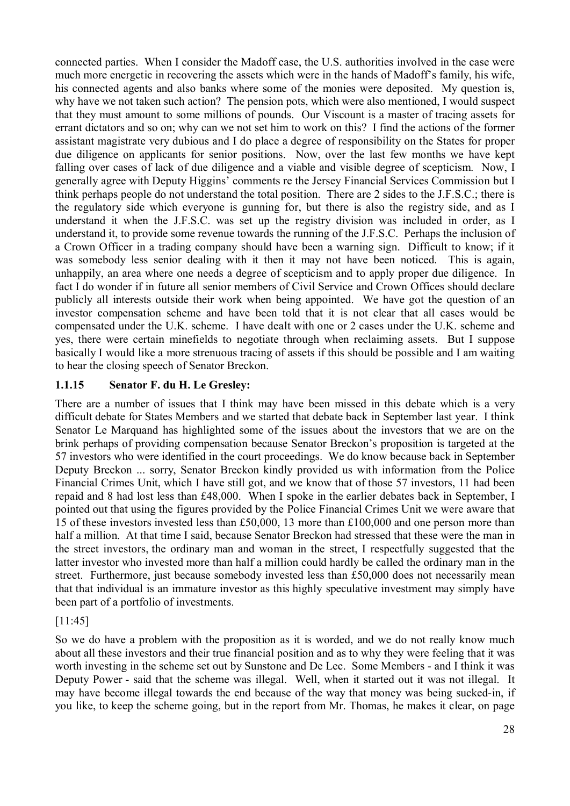connected parties. When I consider the Madoff case, the U.S. authorities involved in the case were much more energetic in recovering the assets which were in the hands of Madoff's family, his wife, his connected agents and also banks where some of the monies were deposited. My question is, why have we not taken such action? The pension pots, which were also mentioned, I would suspect that they must amount to some millions of pounds. Our Viscount is a master of tracing assets for errant dictators and so on; why can we not set him to work on this? I find the actions of the former assistant magistrate very dubious and I do place a degree of responsibility on the States for proper due diligence on applicants for senior positions. Now, over the last few months we have kept falling over cases of lack of due diligence and a viable and visible degree of scepticism. Now, I generally agree with Deputy Higgins' comments re the Jersey Financial Services Commission but I think perhaps people do not understand the total position. There are 2 sides to the J.F.S.C.; there is the regulatory side which everyone is gunning for, but there is also the registry side, and as I understand it when the J.F.S.C. was set up the registry division was included in order, as I understand it, to provide some revenue towards the running of the J.F.S.C. Perhaps the inclusion of a Crown Officer in a trading company should have been a warning sign. Difficult to know; if it was somebody less senior dealing with it then it may not have been noticed. This is again, unhappily, an area where one needs a degree of scepticism and to apply proper due diligence. In fact I do wonder if in future all senior members of Civil Service and Crown Offices should declare publicly all interests outside their work when being appointed. We have got the question of an investor compensation scheme and have been told that it is not clear that all cases would be compensated under the U.K. scheme. I have dealt with one or 2 cases under the U.K. scheme and yes, there were certain minefields to negotiate through when reclaiming assets. But I suppose basically I would like a more strenuous tracing of assets if this should be possible and I am waiting to hear the closing speech of Senator Breckon.

# **1.1.15 Senator F. du H. Le Gresley:**

There are a number of issues that I think may have been missed in this debate which is a very difficult debate for States Members and we started that debate back in September last year. I think Senator Le Marquand has highlighted some of the issues about the investors that we are on the brink perhaps of providing compensation because Senator Breckon's proposition is targeted at the 57 investors who were identified in the court proceedings. We do know because back in September Deputy Breckon ... sorry, Senator Breckon kindly provided us with information from the Police Financial Crimes Unit, which I have still got, and we know that of those 57 investors, 11 had been repaid and 8 had lost less than £48,000. When I spoke in the earlier debates back in September, I pointed out that using the figures provided by the Police Financial Crimes Unit we were aware that 15 of these investors invested less than £50,000, 13 more than £100,000 and one person more than half a million. At that time I said, because Senator Breckon had stressed that these were the man in the street investors, the ordinary man and woman in the street, I respectfully suggested that the latter investor who invested more than half a million could hardly be called the ordinary man in the street. Furthermore, just because somebody invested less than £50,000 does not necessarily mean that that individual is an immature investor as this highly speculative investment may simply have been part of a portfolio of investments.

## [11:45]

So we do have a problem with the proposition as it is worded, and we do not really know much about all these investors and their true financial position and as to why they were feeling that it was worth investing in the scheme set out by Sunstone and De Lec. Some Members - and I think it was Deputy Power - said that the scheme was illegal. Well, when it started out it was not illegal. It may have become illegal towards the end because of the way that money was being sucked-in, if you like, to keep the scheme going, but in the report from Mr. Thomas, he makes it clear, on page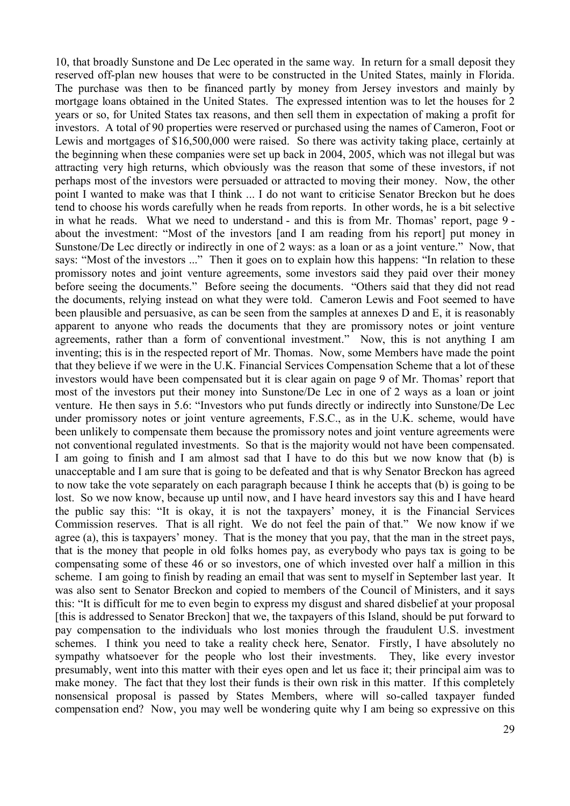10, that broadly Sunstone and De Lec operated in the same way. In return for a small deposit they reserved off-plan new houses that were to be constructed in the United States, mainly in Florida. The purchase was then to be financed partly by money from Jersey investors and mainly by mortgage loans obtained in the United States. The expressed intention was to let the houses for 2 years or so, for United States tax reasons, and then sell them in expectation of making a profit for investors. A total of 90 properties were reserved or purchased using the names of Cameron, Foot or Lewis and mortgages of \$16,500,000 were raised. So there was activity taking place, certainly at the beginning when these companies were set up back in 2004, 2005, which was not illegal but was attracting very high returns, which obviously was the reason that some of these investors, if not perhaps most of the investors were persuaded or attracted to moving their money. Now, the other point I wanted to make was that I think ... I do not want to criticise Senator Breckon but he does tend to choose his words carefully when he reads from reports. In other words, he is a bit selective in what he reads. What we need to understand - and this is from Mr. Thomas' report, page 9 about the investment: "Most of the investors [and I am reading from his report] put money in Sunstone/De Lec directly or indirectly in one of 2 ways: as a loan or as a joint venture." Now, that says: "Most of the investors ..." Then it goes on to explain how this happens: "In relation to these promissory notes and joint venture agreements, some investors said they paid over their money before seeing the documents." Before seeing the documents. "Others said that they did not read the documents, relying instead on what they were told. Cameron Lewis and Foot seemed to have been plausible and persuasive, as can be seen from the samples at annexes D and E, it is reasonably apparent to anyone who reads the documents that they are promissory notes or joint venture agreements, rather than a form of conventional investment." Now, this is not anything I am inventing; this is in the respected report of Mr. Thomas. Now, some Members have made the point that they believe if we were in the U.K. Financial Services Compensation Scheme that a lot of these investors would have been compensated but it is clear again on page 9 of Mr. Thomas' report that most of the investors put their money into Sunstone/De Lec in one of 2 ways as a loan or joint venture. He then says in 5.6: "Investors who put funds directly or indirectly into Sunstone/De Lec under promissory notes or joint venture agreements, F.S.C., as in the U.K. scheme, would have been unlikely to compensate them because the promissory notes and joint venture agreements were not conventional regulated investments. So that is the majority would not have been compensated. I am going to finish and I am almost sad that I have to do this but we now know that (b) is unacceptable and I am sure that is going to be defeated and that is why Senator Breckon has agreed to now take the vote separately on each paragraph because I think he accepts that (b) is going to be lost. So we now know, because up until now, and I have heard investors say this and I have heard the public say this: "It is okay, it is not the taxpayers' money, it is the Financial Services Commission reserves. That is all right. We do not feel the pain of that." We now know if we agree (a), this is taxpayers' money. That is the money that you pay, that the man in the street pays, that is the money that people in old folks homes pay, as everybody who pays tax is going to be compensating some of these 46 or so investors, one of which invested over half a million in this scheme. I am going to finish by reading an email that was sent to myself in September last year. It was also sent to Senator Breckon and copied to members of the Council of Ministers, and it says this: "It is difficult for me to even begin to express my disgust and shared disbelief at your proposal [this is addressed to Senator Breckon] that we, the taxpayers of this Island, should be put forward to pay compensation to the individuals who lost monies through the fraudulent U.S. investment schemes. I think you need to take a reality check here, Senator. Firstly, I have absolutely no sympathy whatsoever for the people who lost their investments. They, like every investor presumably, went into this matter with their eyes open and let us face it; their principal aim was to make money. The fact that they lost their funds is their own risk in this matter. If this completely nonsensical proposal is passed by States Members, where will so-called taxpayer funded compensation end? Now, you may well be wondering quite why I am being so expressive on this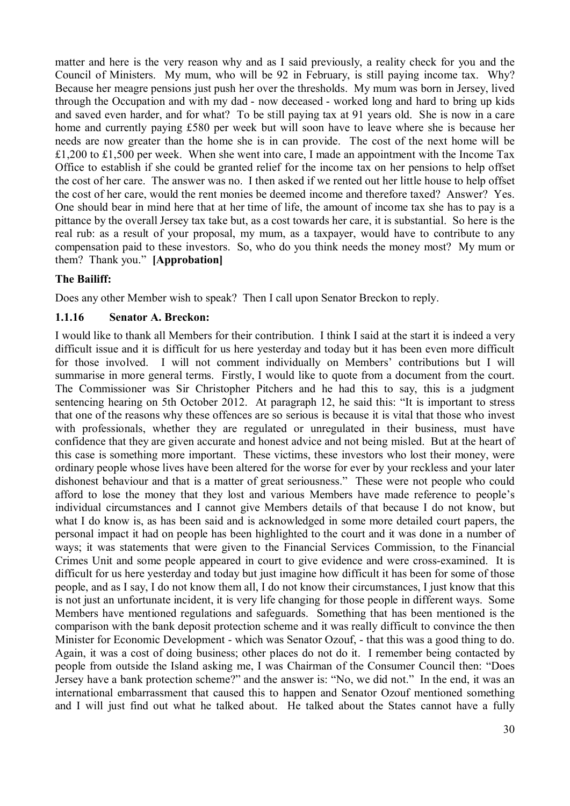matter and here is the very reason why and as I said previously, a reality check for you and the Council of Ministers. My mum, who will be 92 in February, is still paying income tax. Why? Because her meagre pensions just push her over the thresholds. My mum was born in Jersey, lived through the Occupation and with my dad - now deceased - worked long and hard to bring up kids and saved even harder, and for what? To be still paying tax at 91 years old. She is now in a care home and currently paying £580 per week but will soon have to leave where she is because her needs are now greater than the home she is in can provide. The cost of the next home will be £1,200 to £1,500 per week. When she went into care, I made an appointment with the Income Tax Office to establish if she could be granted relief for the income tax on her pensions to help offset the cost of her care. The answer was no. I then asked if we rented out her little house to help offset the cost of her care, would the rent monies be deemed income and therefore taxed? Answer? Yes. One should bear in mind here that at her time of life, the amount of income tax she has to pay is a pittance by the overall Jersey tax take but, as a cost towards her care, it is substantial. So here is the real rub: as a result of your proposal, my mum, as a taxpayer, would have to contribute to any compensation paid to these investors. So, who do you think needs the money most? My mum or them? Thank you." **[Approbation]**

# **The Bailiff:**

Does any other Member wish to speak? Then I call upon Senator Breckon to reply.

## **1.1.16 Senator A. Breckon:**

I would like to thank all Members for their contribution. I think I said at the start it is indeed a very difficult issue and it is difficult for us here yesterday and today but it has been even more difficult for those involved. I will not comment individually on Members' contributions but I will summarise in more general terms. Firstly, I would like to quote from a document from the court. The Commissioner was Sir Christopher Pitchers and he had this to say, this is a judgment sentencing hearing on 5th October 2012. At paragraph 12, he said this: "It is important to stress that one of the reasons why these offences are so serious is because it is vital that those who invest with professionals, whether they are regulated or unregulated in their business, must have confidence that they are given accurate and honest advice and not being misled. But at the heart of this case is something more important. These victims, these investors who lost their money, were ordinary people whose lives have been altered for the worse for ever by your reckless and your later dishonest behaviour and that is a matter of great seriousness." These were not people who could afford to lose the money that they lost and various Members have made reference to people's individual circumstances and I cannot give Members details of that because I do not know, but what I do know is, as has been said and is acknowledged in some more detailed court papers, the personal impact it had on people has been highlighted to the court and it was done in a number of ways; it was statements that were given to the Financial Services Commission, to the Financial Crimes Unit and some people appeared in court to give evidence and were cross-examined. It is difficult for us here yesterday and today but just imagine how difficult it has been for some of those people, and as I say, I do not know them all, I do not know their circumstances, I just know that this is not just an unfortunate incident, it is very life changing for those people in different ways. Some Members have mentioned regulations and safeguards. Something that has been mentioned is the comparison with the bank deposit protection scheme and it was really difficult to convince the then Minister for Economic Development - which was Senator Ozouf, - that this was a good thing to do. Again, it was a cost of doing business; other places do not do it. I remember being contacted by people from outside the Island asking me, I was Chairman of the Consumer Council then: "Does Jersey have a bank protection scheme?" and the answer is: "No, we did not." In the end, it was an international embarrassment that caused this to happen and Senator Ozouf mentioned something and I will just find out what he talked about. He talked about the States cannot have a fully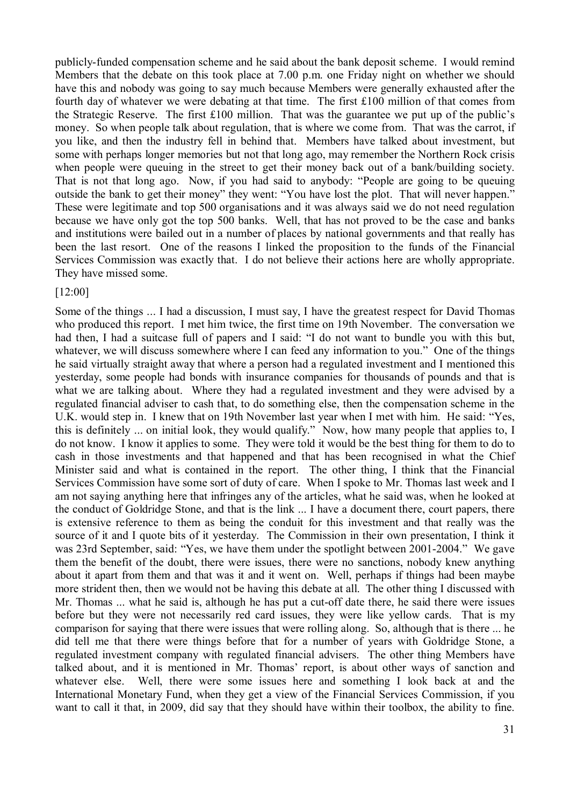publicly-funded compensation scheme and he said about the bank deposit scheme. I would remind Members that the debate on this took place at 7.00 p.m. one Friday night on whether we should have this and nobody was going to say much because Members were generally exhausted after the fourth day of whatever we were debating at that time. The first £100 million of that comes from the Strategic Reserve. The first £100 million. That was the guarantee we put up of the public's money. So when people talk about regulation, that is where we come from. That was the carrot, if you like, and then the industry fell in behind that. Members have talked about investment, but some with perhaps longer memories but not that long ago, may remember the Northern Rock crisis when people were queuing in the street to get their money back out of a bank/building society. That is not that long ago. Now, if you had said to anybody: "People are going to be queuing outside the bank to get their money" they went: "You have lost the plot. That will never happen." These were legitimate and top 500 organisations and it was always said we do not need regulation because we have only got the top 500 banks. Well, that has not proved to be the case and banks and institutions were bailed out in a number of places by national governments and that really has been the last resort. One of the reasons I linked the proposition to the funds of the Financial Services Commission was exactly that. I do not believe their actions here are wholly appropriate. They have missed some.

## [12:00]

Some of the things ... I had a discussion, I must say, I have the greatest respect for David Thomas who produced this report. I met him twice, the first time on 19th November. The conversation we had then, I had a suitcase full of papers and I said: "I do not want to bundle you with this but, whatever, we will discuss somewhere where I can feed any information to you." One of the things he said virtually straight away that where a person had a regulated investment and I mentioned this yesterday, some people had bonds with insurance companies for thousands of pounds and that is what we are talking about. Where they had a regulated investment and they were advised by a regulated financial adviser to cash that, to do something else, then the compensation scheme in the U.K. would step in. I knew that on 19th November last year when I met with him. He said: "Yes, this is definitely ... on initial look, they would qualify." Now, how many people that applies to, I do not know. I know it applies to some. They were told it would be the best thing for them to do to cash in those investments and that happened and that has been recognised in what the Chief Minister said and what is contained in the report. The other thing, I think that the Financial Services Commission have some sort of duty of care. When I spoke to Mr. Thomas last week and I am not saying anything here that infringes any of the articles, what he said was, when he looked at the conduct of Goldridge Stone, and that is the link ... I have a document there, court papers, there is extensive reference to them as being the conduit for this investment and that really was the source of it and I quote bits of it yesterday. The Commission in their own presentation, I think it was 23rd September, said: "Yes, we have them under the spotlight between 2001-2004." We gave them the benefit of the doubt, there were issues, there were no sanctions, nobody knew anything about it apart from them and that was it and it went on. Well, perhaps if things had been maybe more strident then, then we would not be having this debate at all. The other thing I discussed with Mr. Thomas ... what he said is, although he has put a cut-off date there, he said there were issues before but they were not necessarily red card issues, they were like yellow cards. That is my comparison for saying that there were issues that were rolling along. So, although that is there ... he did tell me that there were things before that for a number of years with Goldridge Stone, a regulated investment company with regulated financial advisers. The other thing Members have talked about, and it is mentioned in Mr. Thomas' report, is about other ways of sanction and whatever else. Well, there were some issues here and something I look back at and the International Monetary Fund, when they get a view of the Financial Services Commission, if you want to call it that, in 2009, did say that they should have within their toolbox, the ability to fine.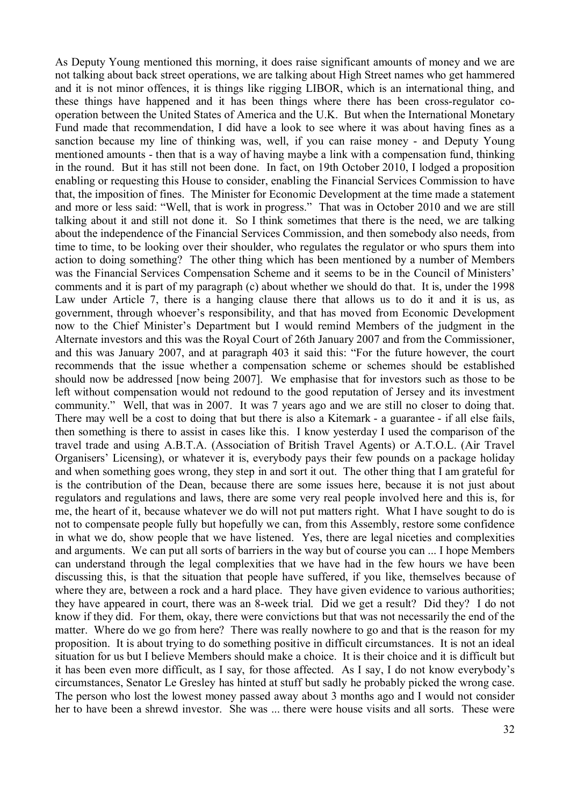As Deputy Young mentioned this morning, it does raise significant amounts of money and we are not talking about back street operations, we are talking about High Street names who get hammered and it is not minor offences, it is things like rigging LIBOR, which is an international thing, and these things have happened and it has been things where there has been cross-regulator cooperation between the United States of America and the U.K. But when the International Monetary Fund made that recommendation, I did have a look to see where it was about having fines as a sanction because my line of thinking was, well, if you can raise money - and Deputy Young mentioned amounts - then that is a way of having maybe a link with a compensation fund, thinking in the round. But it has still not been done. In fact, on 19th October 2010, I lodged a proposition enabling or requesting this House to consider, enabling the Financial Services Commission to have that, the imposition of fines. The Minister for Economic Development at the time made a statement and more or less said: "Well, that is work in progress." That was in October 2010 and we are still talking about it and still not done it. So I think sometimes that there is the need, we are talking about the independence of the Financial Services Commission, and then somebody also needs, from time to time, to be looking over their shoulder, who regulates the regulator or who spurs them into action to doing something? The other thing which has been mentioned by a number of Members was the Financial Services Compensation Scheme and it seems to be in the Council of Ministers' comments and it is part of my paragraph (c) about whether we should do that. It is, under the 1998 Law under Article 7, there is a hanging clause there that allows us to do it and it is us, as government, through whoever's responsibility, and that has moved from Economic Development now to the Chief Minister's Department but I would remind Members of the judgment in the Alternate investors and this was the Royal Court of 26th January 2007 and from the Commissioner, and this was January 2007, and at paragraph 403 it said this: "For the future however, the court recommends that the issue whether a compensation scheme or schemes should be established should now be addressed [now being 2007]. We emphasise that for investors such as those to be left without compensation would not redound to the good reputation of Jersey and its investment community." Well, that was in 2007. It was 7 years ago and we are still no closer to doing that. There may well be a cost to doing that but there is also a Kitemark - a guarantee - if all else fails, then something is there to assist in cases like this. I know yesterday I used the comparison of the travel trade and using A.B.T.A. (Association of British Travel Agents) or A.T.O.L. (Air Travel Organisers' Licensing), or whatever it is, everybody pays their few pounds on a package holiday and when something goes wrong, they step in and sort it out. The other thing that I am grateful for is the contribution of the Dean, because there are some issues here, because it is not just about regulators and regulations and laws, there are some very real people involved here and this is, for me, the heart of it, because whatever we do will not put matters right. What I have sought to do is not to compensate people fully but hopefully we can, from this Assembly, restore some confidence in what we do, show people that we have listened. Yes, there are legal niceties and complexities and arguments. We can put all sorts of barriers in the way but of course you can ... I hope Members can understand through the legal complexities that we have had in the few hours we have been discussing this, is that the situation that people have suffered, if you like, themselves because of where they are, between a rock and a hard place. They have given evidence to various authorities; they have appeared in court, there was an 8-week trial. Did we get a result? Did they? I do not know if they did. For them, okay, there were convictions but that was not necessarily the end of the matter. Where do we go from here? There was really nowhere to go and that is the reason for my proposition. It is about trying to do something positive in difficult circumstances. It is not an ideal situation for us but I believe Members should make a choice. It is their choice and it is difficult but it has been even more difficult, as I say, for those affected. As I say, I do not know everybody's circumstances, Senator Le Gresley has hinted at stuff but sadly he probably picked the wrong case. The person who lost the lowest money passed away about 3 months ago and I would not consider her to have been a shrewd investor. She was ... there were house visits and all sorts. These were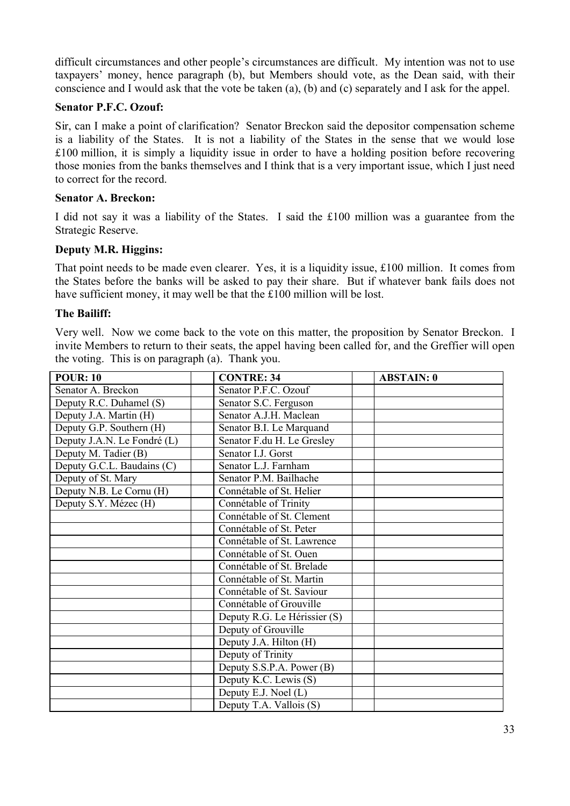difficult circumstances and other people's circumstances are difficult. My intention was not to use taxpayers' money, hence paragraph (b), but Members should vote, as the Dean said, with their conscience and I would ask that the vote be taken (a), (b) and (c) separately and I ask for the appel.

#### **Senator P.F.C. Ozouf:**

Sir, can I make a point of clarification? Senator Breckon said the depositor compensation scheme is a liability of the States. It is not a liability of the States in the sense that we would lose £100 million, it is simply a liquidity issue in order to have a holding position before recovering those monies from the banks themselves and I think that is a very important issue, which I just need to correct for the record.

#### **Senator A. Breckon:**

I did not say it was a liability of the States. I said the £100 million was a guarantee from the Strategic Reserve.

#### **Deputy M.R. Higgins:**

That point needs to be made even clearer. Yes, it is a liquidity issue, £100 million. It comes from the States before the banks will be asked to pay their share. But if whatever bank fails does not have sufficient money, it may well be that the £100 million will be lost.

#### **The Bailiff:**

Very well. Now we come back to the vote on this matter, the proposition by Senator Breckon. I invite Members to return to their seats, the appel having been called for, and the Greffier will open the voting. This is on paragraph (a). Thank you.

| <b>POUR: 10</b>             | <b>CONTRE: 34</b>            | <b>ABSTAIN: 0</b> |
|-----------------------------|------------------------------|-------------------|
| Senator A. Breckon          | Senator P.F.C. Ozouf         |                   |
| Deputy R.C. Duhamel (S)     | Senator S.C. Ferguson        |                   |
| Deputy J.A. Martin (H)      | Senator A.J.H. Maclean       |                   |
| Deputy G.P. Southern (H)    | Senator B.I. Le Marquand     |                   |
| Deputy J.A.N. Le Fondré (L) | Senator F.du H. Le Gresley   |                   |
| Deputy M. Tadier (B)        | Senator I.J. Gorst           |                   |
| Deputy G.C.L. Baudains (C)  | Senator L.J. Farnham         |                   |
| Deputy of St. Mary          | Senator P.M. Bailhache       |                   |
| Deputy N.B. Le Cornu (H)    | Connétable of St. Helier     |                   |
| Deputy S.Y. Mézec (H)       | Connétable of Trinity        |                   |
|                             | Connétable of St. Clement    |                   |
|                             | Connétable of St. Peter      |                   |
|                             | Connétable of St. Lawrence   |                   |
|                             | Connétable of St. Ouen       |                   |
|                             | Connétable of St. Brelade    |                   |
|                             | Connétable of St. Martin     |                   |
|                             | Connétable of St. Saviour    |                   |
|                             | Connétable of Grouville      |                   |
|                             | Deputy R.G. Le Hérissier (S) |                   |
|                             | Deputy of Grouville          |                   |
|                             | Deputy J.A. Hilton (H)       |                   |
|                             | Deputy of Trinity            |                   |
|                             | Deputy S.S.P.A. Power (B)    |                   |
|                             | Deputy K.C. Lewis (S)        |                   |
|                             | Deputy E.J. Noel (L)         |                   |
|                             | Deputy T.A. Vallois (S)      |                   |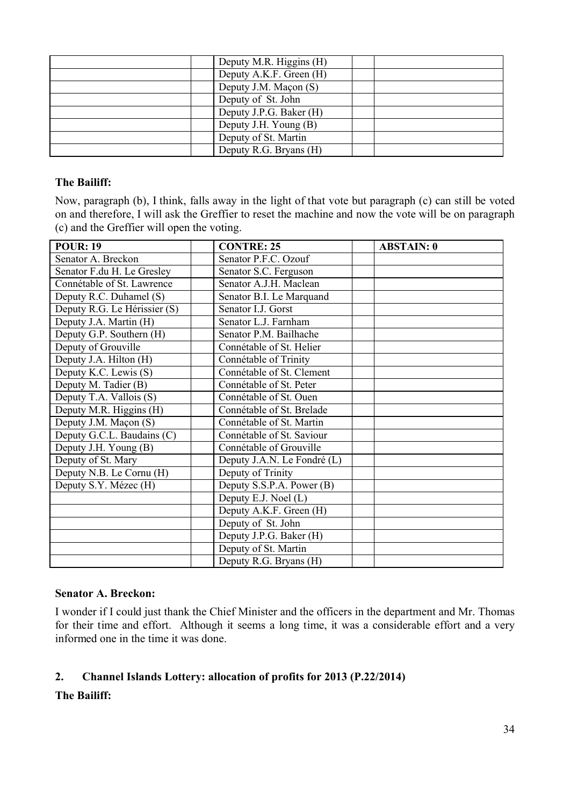| Deputy M.R. Higgins (H) |  |
|-------------------------|--|
| Deputy A.K.F. Green (H) |  |
| Deputy J.M. Maçon (S)   |  |
| Deputy of St. John      |  |
| Deputy J.P.G. Baker (H) |  |
| Deputy J.H. Young (B)   |  |
| Deputy of St. Martin    |  |
| Deputy R.G. Bryans (H)  |  |

#### **The Bailiff:**

Now, paragraph (b), I think, falls away in the light of that vote but paragraph (c) can still be voted on and therefore, I will ask the Greffier to reset the machine and now the vote will be on paragraph (c) and the Greffier will open the voting.

| <b>POUR: 19</b>              | <b>CONTRE: 25</b>             | <b>ABSTAIN: 0</b> |
|------------------------------|-------------------------------|-------------------|
| Senator A. Breckon           | Senator P.F.C. Ozouf          |                   |
| Senator F.du H. Le Gresley   | Senator S.C. Ferguson         |                   |
| Connétable of St. Lawrence   | Senator A.J.H. Maclean        |                   |
| Deputy R.C. Duhamel (S)      | Senator B.I. Le Marquand      |                   |
| Deputy R.G. Le Hérissier (S) | Senator I.J. Gorst            |                   |
| Deputy J.A. Martin (H)       | Senator L.J. Farnham          |                   |
| Deputy G.P. Southern (H)     | Senator P.M. Bailhache        |                   |
| Deputy of Grouville          | Connétable of St. Helier      |                   |
| Deputy J.A. Hilton (H)       | Connétable of Trinity         |                   |
| Deputy K.C. Lewis (S)        | Connétable of St. Clement     |                   |
| Deputy M. Tadier (B)         | Connétable of St. Peter       |                   |
| Deputy T.A. Vallois (S)      | Connétable of St. Ouen        |                   |
| Deputy M.R. Higgins (H)      | Connétable of St. Brelade     |                   |
| Deputy J.M. Maçon (S)        | Connétable of St. Martin      |                   |
| Deputy G.C.L. Baudains (C)   | Connétable of St. Saviour     |                   |
| Deputy J.H. Young (B)        | Connétable of Grouville       |                   |
| Deputy of St. Mary           | Deputy J.A.N. Le Fondré (L)   |                   |
| Deputy N.B. Le Cornu (H)     | Deputy of Trinity             |                   |
| Deputy S.Y. Mézec (H)        | Deputy $S.S.P.A.$ Power $(B)$ |                   |
|                              | Deputy E.J. Noel (L)          |                   |
|                              | Deputy A.K.F. Green (H)       |                   |
|                              | Deputy of St. John            |                   |
|                              | Deputy J.P.G. Baker (H)       |                   |
|                              | Deputy of St. Martin          |                   |
|                              | Deputy R.G. Bryans (H)        |                   |

## **Senator A. Breckon:**

I wonder if I could just thank the Chief Minister and the officers in the department and Mr. Thomas for their time and effort. Although it seems a long time, it was a considerable effort and a very informed one in the time it was done.

# **2. Channel Islands Lottery: allocation of profits for 2013 (P.22/2014)**

**The Bailiff:**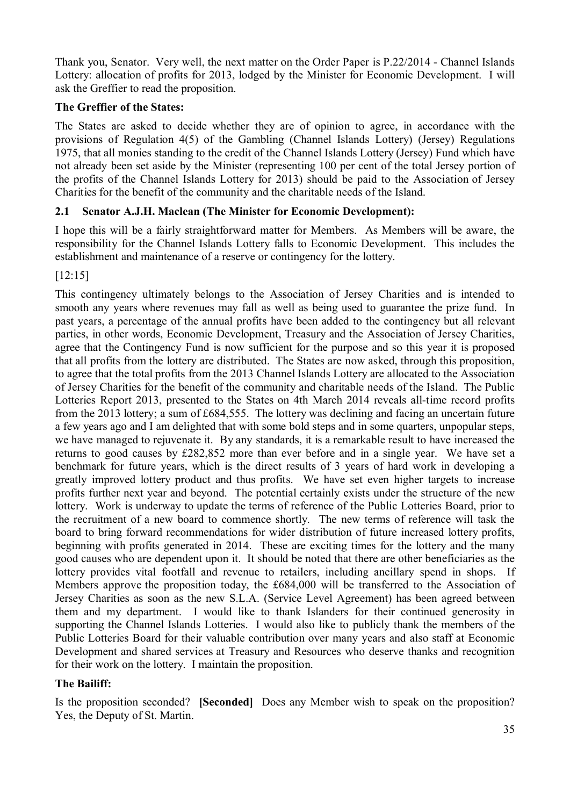Thank you, Senator. Very well, the next matter on the Order Paper is P.22/2014 - Channel Islands Lottery: allocation of profits for 2013, lodged by the Minister for Economic Development. I will ask the Greffier to read the proposition.

# **The Greffier of the States:**

The States are asked to decide whether they are of opinion to agree, in accordance with the provisions of Regulation 4(5) of the Gambling (Channel Islands Lottery) (Jersey) Regulations 1975, that all monies standing to the credit of the Channel Islands Lottery (Jersey) Fund which have not already been set aside by the Minister (representing 100 per cent of the total Jersey portion of the profits of the Channel Islands Lottery for 2013) should be paid to the Association of Jersey Charities for the benefit of the community and the charitable needs of the Island.

# **2.1 Senator A.J.H. Maclean (The Minister for Economic Development):**

I hope this will be a fairly straightforward matter for Members. As Members will be aware, the responsibility for the Channel Islands Lottery falls to Economic Development. This includes the establishment and maintenance of a reserve or contingency for the lottery.

[12:15]

This contingency ultimately belongs to the Association of Jersey Charities and is intended to smooth any years where revenues may fall as well as being used to guarantee the prize fund. In past years, a percentage of the annual profits have been added to the contingency but all relevant parties, in other words, Economic Development, Treasury and the Association of Jersey Charities, agree that the Contingency Fund is now sufficient for the purpose and so this year it is proposed that all profits from the lottery are distributed. The States are now asked, through this proposition, to agree that the total profits from the 2013 Channel Islands Lottery are allocated to the Association of Jersey Charities for the benefit of the community and charitable needs of the Island. The Public Lotteries Report 2013, presented to the States on 4th March 2014 reveals all-time record profits from the 2013 lottery; a sum of £684,555. The lottery was declining and facing an uncertain future a few years ago and I am delighted that with some bold steps and in some quarters, unpopular steps, we have managed to rejuvenate it. By any standards, it is a remarkable result to have increased the returns to good causes by £282,852 more than ever before and in a single year. We have set a benchmark for future years, which is the direct results of 3 years of hard work in developing a greatly improved lottery product and thus profits. We have set even higher targets to increase profits further next year and beyond. The potential certainly exists under the structure of the new lottery. Work is underway to update the terms of reference of the Public Lotteries Board, prior to the recruitment of a new board to commence shortly. The new terms of reference will task the board to bring forward recommendations for wider distribution of future increased lottery profits, beginning with profits generated in 2014. These are exciting times for the lottery and the many good causes who are dependent upon it. It should be noted that there are other beneficiaries as the lottery provides vital footfall and revenue to retailers, including ancillary spend in shops. If Members approve the proposition today, the £684,000 will be transferred to the Association of Jersey Charities as soon as the new S.L.A. (Service Level Agreement) has been agreed between them and my department. I would like to thank Islanders for their continued generosity in supporting the Channel Islands Lotteries. I would also like to publicly thank the members of the Public Lotteries Board for their valuable contribution over many years and also staff at Economic Development and shared services at Treasury and Resources who deserve thanks and recognition for their work on the lottery. I maintain the proposition.

## **The Bailiff:**

Is the proposition seconded? **[Seconded]** Does any Member wish to speak on the proposition? Yes, the Deputy of St. Martin.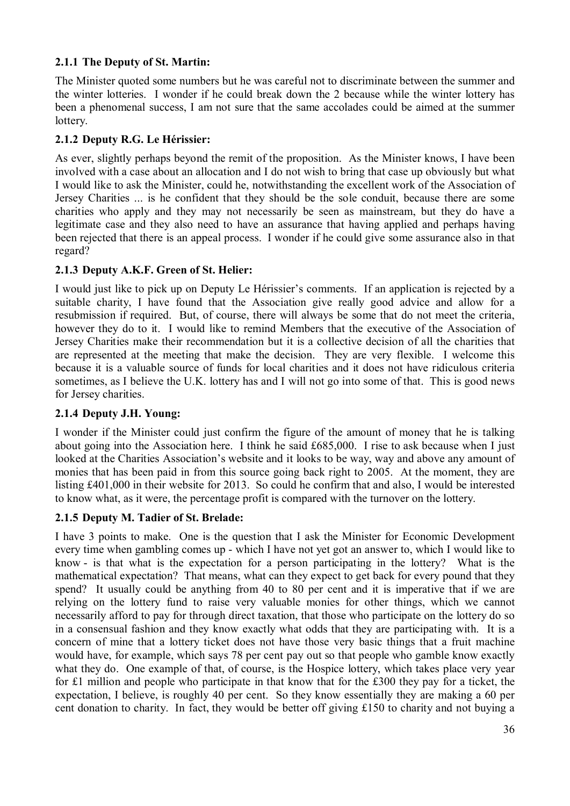# **2.1.1 The Deputy of St. Martin:**

The Minister quoted some numbers but he was careful not to discriminate between the summer and the winter lotteries. I wonder if he could break down the 2 because while the winter lottery has been a phenomenal success, I am not sure that the same accolades could be aimed at the summer lottery.

# **2.1.2 Deputy R.G. Le Hérissier:**

As ever, slightly perhaps beyond the remit of the proposition. As the Minister knows, I have been involved with a case about an allocation and I do not wish to bring that case up obviously but what I would like to ask the Minister, could he, notwithstanding the excellent work of the Association of Jersey Charities ... is he confident that they should be the sole conduit, because there are some charities who apply and they may not necessarily be seen as mainstream, but they do have a legitimate case and they also need to have an assurance that having applied and perhaps having been rejected that there is an appeal process. I wonder if he could give some assurance also in that regard?

## **2.1.3 Deputy A.K.F. Green of St. Helier:**

I would just like to pick up on Deputy Le Hérissier's comments. If an application is rejected by a suitable charity, I have found that the Association give really good advice and allow for a resubmission if required. But, of course, there will always be some that do not meet the criteria, however they do to it. I would like to remind Members that the executive of the Association of Jersey Charities make their recommendation but it is a collective decision of all the charities that are represented at the meeting that make the decision. They are very flexible. I welcome this because it is a valuable source of funds for local charities and it does not have ridiculous criteria sometimes, as I believe the U.K. lottery has and I will not go into some of that. This is good news for Jersey charities.

## **2.1.4 Deputy J.H. Young:**

I wonder if the Minister could just confirm the figure of the amount of money that he is talking about going into the Association here. I think he said £685,000. I rise to ask because when I just looked at the Charities Association's website and it looks to be way, way and above any amount of monies that has been paid in from this source going back right to 2005. At the moment, they are listing £401,000 in their website for 2013. So could he confirm that and also, I would be interested to know what, as it were, the percentage profit is compared with the turnover on the lottery.

## **2.1.5 Deputy M. Tadier of St. Brelade:**

I have 3 points to make. One is the question that I ask the Minister for Economic Development every time when gambling comes up - which I have not yet got an answer to, which I would like to know - is that what is the expectation for a person participating in the lottery? What is the mathematical expectation? That means, what can they expect to get back for every pound that they spend? It usually could be anything from 40 to 80 per cent and it is imperative that if we are relying on the lottery fund to raise very valuable monies for other things, which we cannot necessarily afford to pay for through direct taxation, that those who participate on the lottery do so in a consensual fashion and they know exactly what odds that they are participating with. It is a concern of mine that a lottery ticket does not have those very basic things that a fruit machine would have, for example, which says 78 per cent pay out so that people who gamble know exactly what they do. One example of that, of course, is the Hospice lottery, which takes place very year for £1 million and people who participate in that know that for the £300 they pay for a ticket, the expectation, I believe, is roughly 40 per cent. So they know essentially they are making a 60 per cent donation to charity. In fact, they would be better off giving £150 to charity and not buying a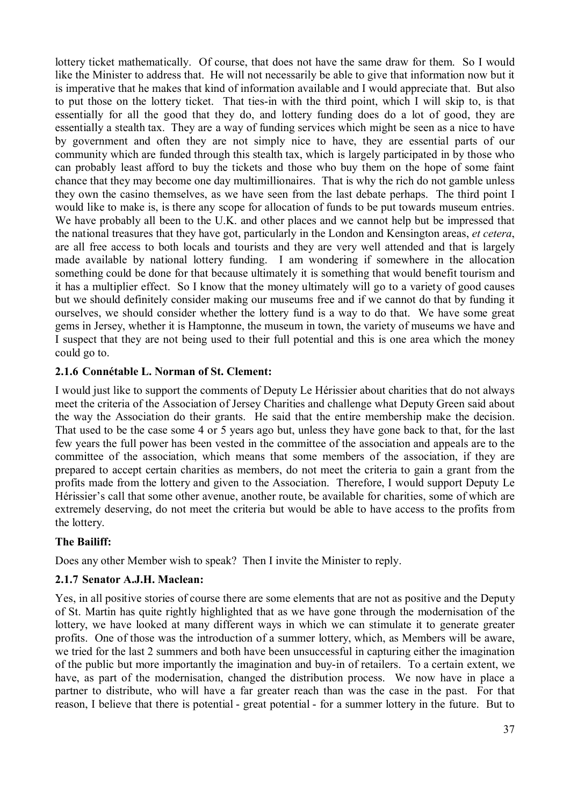lottery ticket mathematically. Of course, that does not have the same draw for them. So I would like the Minister to address that. He will not necessarily be able to give that information now but it is imperative that he makes that kind of information available and I would appreciate that. But also to put those on the lottery ticket. That ties-in with the third point, which I will skip to, is that essentially for all the good that they do, and lottery funding does do a lot of good, they are essentially a stealth tax. They are a way of funding services which might be seen as a nice to have by government and often they are not simply nice to have, they are essential parts of our community which are funded through this stealth tax, which is largely participated in by those who can probably least afford to buy the tickets and those who buy them on the hope of some faint chance that they may become one day multimillionaires. That is why the rich do not gamble unless they own the casino themselves, as we have seen from the last debate perhaps. The third point I would like to make is, is there any scope for allocation of funds to be put towards museum entries. We have probably all been to the U.K. and other places and we cannot help but be impressed that the national treasures that they have got, particularly in the London and Kensington areas, *et cetera*, are all free access to both locals and tourists and they are very well attended and that is largely made available by national lottery funding. I am wondering if somewhere in the allocation something could be done for that because ultimately it is something that would benefit tourism and it has a multiplier effect. So I know that the money ultimately will go to a variety of good causes but we should definitely consider making our museums free and if we cannot do that by funding it ourselves, we should consider whether the lottery fund is a way to do that. We have some great gems in Jersey, whether it is Hamptonne, the museum in town, the variety of museums we have and I suspect that they are not being used to their full potential and this is one area which the money could go to.

## **2.1.6 Connétable L. Norman of St. Clement:**

I would just like to support the comments of Deputy Le Hérissier about charities that do not always meet the criteria of the Association of Jersey Charities and challenge what Deputy Green said about the way the Association do their grants. He said that the entire membership make the decision. That used to be the case some 4 or 5 years ago but, unless they have gone back to that, for the last few years the full power has been vested in the committee of the association and appeals are to the committee of the association, which means that some members of the association, if they are prepared to accept certain charities as members, do not meet the criteria to gain a grant from the profits made from the lottery and given to the Association. Therefore, I would support Deputy Le Hérissier's call that some other avenue, another route, be available for charities, some of which are extremely deserving, do not meet the criteria but would be able to have access to the profits from the lottery.

# **The Bailiff:**

Does any other Member wish to speak? Then I invite the Minister to reply.

## **2.1.7 Senator A.J.H. Maclean:**

Yes, in all positive stories of course there are some elements that are not as positive and the Deputy of St. Martin has quite rightly highlighted that as we have gone through the modernisation of the lottery, we have looked at many different ways in which we can stimulate it to generate greater profits. One of those was the introduction of a summer lottery, which, as Members will be aware, we tried for the last 2 summers and both have been unsuccessful in capturing either the imagination of the public but more importantly the imagination and buy-in of retailers. To a certain extent, we have, as part of the modernisation, changed the distribution process. We now have in place a partner to distribute, who will have a far greater reach than was the case in the past. For that reason, I believe that there is potential - great potential - for a summer lottery in the future. But to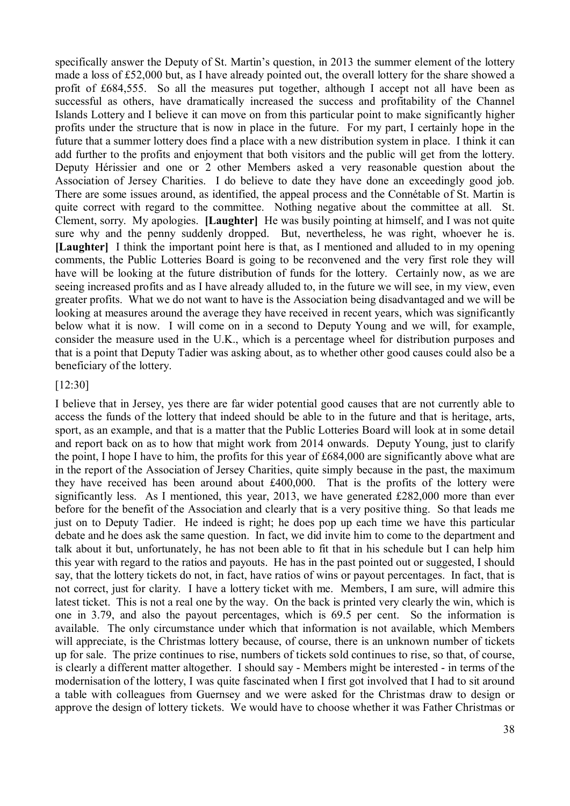specifically answer the Deputy of St. Martin's question, in 2013 the summer element of the lottery made a loss of £52,000 but, as I have already pointed out, the overall lottery for the share showed a profit of £684,555. So all the measures put together, although I accept not all have been as successful as others, have dramatically increased the success and profitability of the Channel Islands Lottery and I believe it can move on from this particular point to make significantly higher profits under the structure that is now in place in the future. For my part, I certainly hope in the future that a summer lottery does find a place with a new distribution system in place. I think it can add further to the profits and enjoyment that both visitors and the public will get from the lottery. Deputy Hérissier and one or 2 other Members asked a very reasonable question about the Association of Jersey Charities. I do believe to date they have done an exceedingly good job. There are some issues around, as identified, the appeal process and the Connétable of St. Martin is quite correct with regard to the committee. Nothing negative about the committee at all. St. Clement, sorry. My apologies. **[Laughter]** He was busily pointing at himself, and I was not quite sure why and the penny suddenly dropped. But, nevertheless, he was right, whoever he is. **[Laughter]** I think the important point here is that, as I mentioned and alluded to in my opening comments, the Public Lotteries Board is going to be reconvened and the very first role they will have will be looking at the future distribution of funds for the lottery. Certainly now, as we are seeing increased profits and as I have already alluded to, in the future we will see, in my view, even greater profits. What we do not want to have is the Association being disadvantaged and we will be looking at measures around the average they have received in recent years, which was significantly below what it is now. I will come on in a second to Deputy Young and we will, for example, consider the measure used in the U.K., which is a percentage wheel for distribution purposes and that is a point that Deputy Tadier was asking about, as to whether other good causes could also be a beneficiary of the lottery.

#### [12:30]

I believe that in Jersey, yes there are far wider potential good causes that are not currently able to access the funds of the lottery that indeed should be able to in the future and that is heritage, arts, sport, as an example, and that is a matter that the Public Lotteries Board will look at in some detail and report back on as to how that might work from 2014 onwards. Deputy Young, just to clarify the point, I hope I have to him, the profits for this year of £684,000 are significantly above what are in the report of the Association of Jersey Charities, quite simply because in the past, the maximum they have received has been around about £400,000. That is the profits of the lottery were significantly less. As I mentioned, this year, 2013, we have generated £282,000 more than ever before for the benefit of the Association and clearly that is a very positive thing. So that leads me just on to Deputy Tadier. He indeed is right; he does pop up each time we have this particular debate and he does ask the same question. In fact, we did invite him to come to the department and talk about it but, unfortunately, he has not been able to fit that in his schedule but I can help him this year with regard to the ratios and payouts. He has in the past pointed out or suggested, I should say, that the lottery tickets do not, in fact, have ratios of wins or payout percentages. In fact, that is not correct, just for clarity. I have a lottery ticket with me. Members, I am sure, will admire this latest ticket. This is not a real one by the way. On the back is printed very clearly the win, which is one in 3.79, and also the payout percentages, which is 69.5 per cent. So the information is available. The only circumstance under which that information is not available, which Members will appreciate, is the Christmas lottery because, of course, there is an unknown number of tickets up for sale. The prize continues to rise, numbers of tickets sold continues to rise, so that, of course, is clearly a different matter altogether. I should say - Members might be interested - in terms of the modernisation of the lottery, I was quite fascinated when I first got involved that I had to sit around a table with colleagues from Guernsey and we were asked for the Christmas draw to design or approve the design of lottery tickets. We would have to choose whether it was Father Christmas or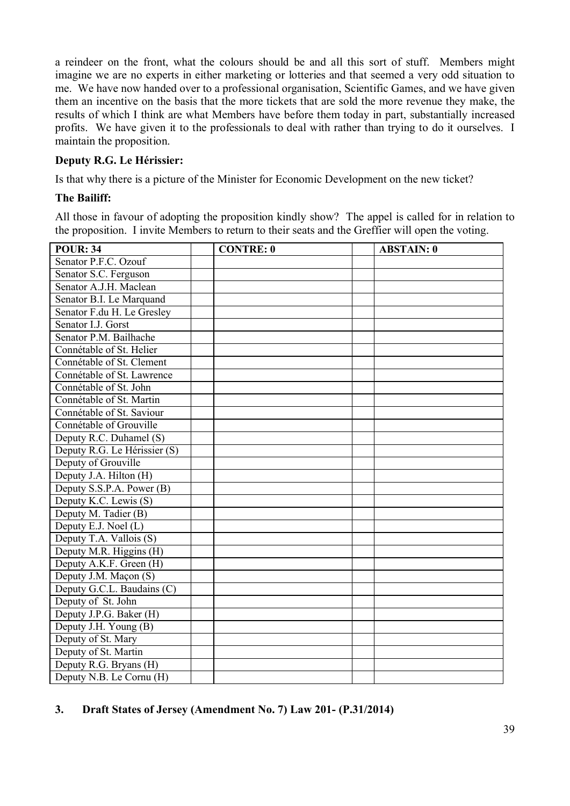a reindeer on the front, what the colours should be and all this sort of stuff. Members might imagine we are no experts in either marketing or lotteries and that seemed a very odd situation to me. We have now handed over to a professional organisation, Scientific Games, and we have given them an incentive on the basis that the more tickets that are sold the more revenue they make, the results of which I think are what Members have before them today in part, substantially increased profits. We have given it to the professionals to deal with rather than trying to do it ourselves. I maintain the proposition.

## **Deputy R.G. Le Hérissier:**

Is that why there is a picture of the Minister for Economic Development on the new ticket?

#### **The Bailiff:**

All those in favour of adopting the proposition kindly show? The appel is called for in relation to the proposition. I invite Members to return to their seats and the Greffier will open the voting.

| <b>POUR: 34</b>              | <b>CONTRE: 0</b> | <b>ABSTAIN: 0</b> |
|------------------------------|------------------|-------------------|
| Senator P.F.C. Ozouf         |                  |                   |
| Senator S.C. Ferguson        |                  |                   |
| Senator A.J.H. Maclean       |                  |                   |
| Senator B.I. Le Marquand     |                  |                   |
| Senator F.du H. Le Greslev   |                  |                   |
| Senator I.J. Gorst           |                  |                   |
| Senator P.M. Bailhache       |                  |                   |
| Connétable of St. Helier     |                  |                   |
| Connétable of St. Clement    |                  |                   |
| Connétable of St. Lawrence   |                  |                   |
| Connétable of St. John       |                  |                   |
| Connétable of St. Martin     |                  |                   |
| Connétable of St. Saviour    |                  |                   |
| Connétable of Grouville      |                  |                   |
| Deputy R.C. Duhamel (S)      |                  |                   |
| Deputy R.G. Le Hérissier (S) |                  |                   |
| Deputy of Grouville          |                  |                   |
| Deputy J.A. Hilton (H)       |                  |                   |
| Deputy S.S.P.A. Power (B)    |                  |                   |
| Deputy K.C. Lewis (S)        |                  |                   |
| Deputy M. Tadier (B)         |                  |                   |
| Deputy E.J. Noel (L)         |                  |                   |
| Deputy T.A. Vallois (S)      |                  |                   |
| Deputy M.R. Higgins (H)      |                  |                   |
| Deputy A.K.F. Green (H)      |                  |                   |
| Deputy J.M. Maçon (S)        |                  |                   |
| Deputy G.C.L. Baudains (C)   |                  |                   |
| Deputy of St. John           |                  |                   |
| Deputy J.P.G. Baker (H)      |                  |                   |
| Deputy J.H. Young (B)        |                  |                   |
| Deputy of St. Mary           |                  |                   |
| Deputy of St. Martin         |                  |                   |
| Deputy R.G. Bryans (H)       |                  |                   |
| Deputy N.B. Le Cornu (H)     |                  |                   |

# **3. Draft States of Jersey (Amendment No. 7) Law 201- (P.31/2014)**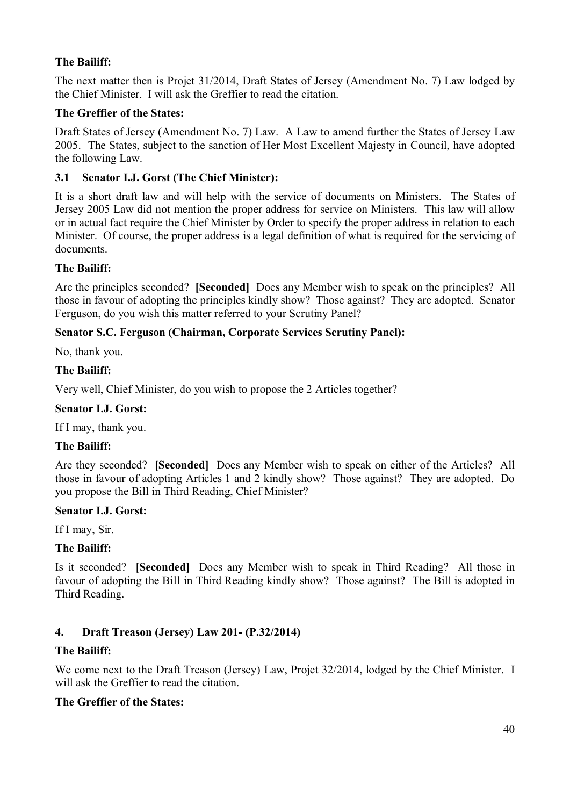# **The Bailiff:**

The next matter then is Projet 31/2014, Draft States of Jersey (Amendment No. 7) Law lodged by the Chief Minister. I will ask the Greffier to read the citation.

#### **The Greffier of the States:**

Draft States of Jersey (Amendment No. 7) Law. A Law to amend further the States of Jersey Law 2005. The States, subject to the sanction of Her Most Excellent Majesty in Council, have adopted the following Law.

## **3.1 Senator I.J. Gorst (The Chief Minister):**

It is a short draft law and will help with the service of documents on Ministers. The States of Jersey 2005 Law did not mention the proper address for service on Ministers. This law will allow or in actual fact require the Chief Minister by Order to specify the proper address in relation to each Minister. Of course, the proper address is a legal definition of what is required for the servicing of documents.

#### **The Bailiff:**

Are the principles seconded? **[Seconded]** Does any Member wish to speak on the principles? All those in favour of adopting the principles kindly show? Those against? They are adopted. Senator Ferguson, do you wish this matter referred to your Scrutiny Panel?

## **Senator S.C. Ferguson (Chairman, Corporate Services Scrutiny Panel):**

No, thank you.

#### **The Bailiff:**

Very well, Chief Minister, do you wish to propose the 2 Articles together?

#### **Senator I.J. Gorst:**

If I may, thank you.

## **The Bailiff:**

Are they seconded? **[Seconded]** Does any Member wish to speak on either of the Articles? All those in favour of adopting Articles 1 and 2 kindly show? Those against? They are adopted. Do you propose the Bill in Third Reading, Chief Minister?

#### **Senator I.J. Gorst:**

If I may, Sir.

## **The Bailiff:**

Is it seconded? **[Seconded]** Does any Member wish to speak in Third Reading? All those in favour of adopting the Bill in Third Reading kindly show? Those against? The Bill is adopted in Third Reading.

## **4. Draft Treason (Jersey) Law 201- (P.32/2014)**

## **The Bailiff:**

We come next to the Draft Treason (Jersey) Law, Projet 32/2014, lodged by the Chief Minister. I will ask the Greffier to read the citation.

## **The Greffier of the States:**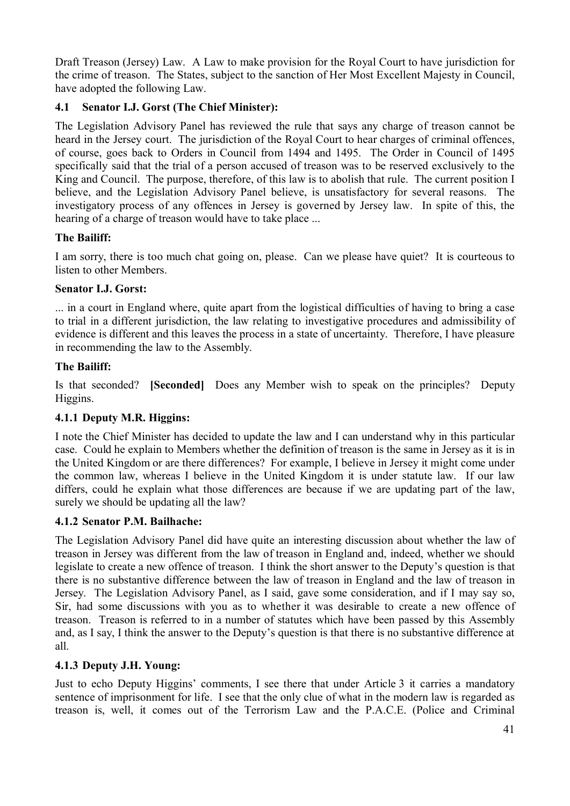Draft Treason (Jersey) Law. A Law to make provision for the Royal Court to have jurisdiction for the crime of treason. The States, subject to the sanction of Her Most Excellent Majesty in Council, have adopted the following Law.

# **4.1 Senator I.J. Gorst (The Chief Minister):**

The Legislation Advisory Panel has reviewed the rule that says any charge of treason cannot be heard in the Jersey court. The jurisdiction of the Royal Court to hear charges of criminal offences, of course, goes back to Orders in Council from 1494 and 1495. The Order in Council of 1495 specifically said that the trial of a person accused of treason was to be reserved exclusively to the King and Council. The purpose, therefore, of this law is to abolish that rule. The current position I believe, and the Legislation Advisory Panel believe, is unsatisfactory for several reasons. The investigatory process of any offences in Jersey is governed by Jersey law. In spite of this, the hearing of a charge of treason would have to take place ...

# **The Bailiff:**

I am sorry, there is too much chat going on, please. Can we please have quiet? It is courteous to listen to other Members.

# **Senator I.J. Gorst:**

... in a court in England where, quite apart from the logistical difficulties of having to bring a case to trial in a different jurisdiction, the law relating to investigative procedures and admissibility of evidence is different and this leaves the process in a state of uncertainty. Therefore, I have pleasure in recommending the law to the Assembly.

# **The Bailiff:**

Is that seconded? **[Seconded]** Does any Member wish to speak on the principles? Deputy Higgins.

# **4.1.1 Deputy M.R. Higgins:**

I note the Chief Minister has decided to update the law and I can understand why in this particular case. Could he explain to Members whether the definition of treason is the same in Jersey as it is in the United Kingdom or are there differences? For example, I believe in Jersey it might come under the common law, whereas I believe in the United Kingdom it is under statute law. If our law differs, could he explain what those differences are because if we are updating part of the law, surely we should be updating all the law?

# **4.1.2 Senator P.M. Bailhache:**

The Legislation Advisory Panel did have quite an interesting discussion about whether the law of treason in Jersey was different from the law of treason in England and, indeed, whether we should legislate to create a new offence of treason. I think the short answer to the Deputy's question is that there is no substantive difference between the law of treason in England and the law of treason in Jersey. The Legislation Advisory Panel, as I said, gave some consideration, and if I may say so, Sir, had some discussions with you as to whether it was desirable to create a new offence of treason. Treason is referred to in a number of statutes which have been passed by this Assembly and, as I say, I think the answer to the Deputy's question is that there is no substantive difference at all.

## **4.1.3 Deputy J.H. Young:**

Just to echo Deputy Higgins' comments, I see there that under Article 3 it carries a mandatory sentence of imprisonment for life. I see that the only clue of what in the modern law is regarded as treason is, well, it comes out of the Terrorism Law and the P.A.C.E. (Police and Criminal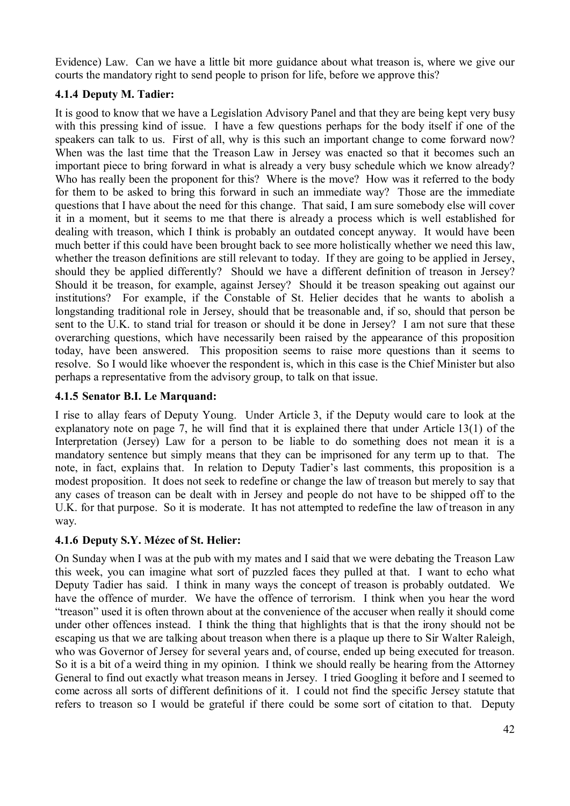Evidence) Law. Can we have a little bit more guidance about what treason is, where we give our courts the mandatory right to send people to prison for life, before we approve this?

# **4.1.4 Deputy M. Tadier:**

It is good to know that we have a Legislation Advisory Panel and that they are being kept very busy with this pressing kind of issue. I have a few questions perhaps for the body itself if one of the speakers can talk to us. First of all, why is this such an important change to come forward now? When was the last time that the Treason Law in Jersey was enacted so that it becomes such an important piece to bring forward in what is already a very busy schedule which we know already? Who has really been the proponent for this? Where is the move? How was it referred to the body for them to be asked to bring this forward in such an immediate way? Those are the immediate questions that I have about the need for this change. That said, I am sure somebody else will cover it in a moment, but it seems to me that there is already a process which is well established for dealing with treason, which I think is probably an outdated concept anyway. It would have been much better if this could have been brought back to see more holistically whether we need this law, whether the treason definitions are still relevant to today. If they are going to be applied in Jersey, should they be applied differently? Should we have a different definition of treason in Jersey? Should it be treason, for example, against Jersey? Should it be treason speaking out against our institutions? For example, if the Constable of St. Helier decides that he wants to abolish a longstanding traditional role in Jersey, should that be treasonable and, if so, should that person be sent to the U.K. to stand trial for treason or should it be done in Jersey? I am not sure that these overarching questions, which have necessarily been raised by the appearance of this proposition today, have been answered. This proposition seems to raise more questions than it seems to resolve. So I would like whoever the respondent is, which in this case is the Chief Minister but also perhaps a representative from the advisory group, to talk on that issue.

# **4.1.5 Senator B.I. Le Marquand:**

I rise to allay fears of Deputy Young. Under Article 3, if the Deputy would care to look at the explanatory note on page 7, he will find that it is explained there that under Article 13(1) of the Interpretation (Jersey) Law for a person to be liable to do something does not mean it is a mandatory sentence but simply means that they can be imprisoned for any term up to that. The note, in fact, explains that. In relation to Deputy Tadier's last comments, this proposition is a modest proposition. It does not seek to redefine or change the law of treason but merely to say that any cases of treason can be dealt with in Jersey and people do not have to be shipped off to the U.K. for that purpose. So it is moderate. It has not attempted to redefine the law of treason in any way.

# **4.1.6 Deputy S.Y. Mézec of St. Helier:**

On Sunday when I was at the pub with my mates and I said that we were debating the Treason Law this week, you can imagine what sort of puzzled faces they pulled at that. I want to echo what Deputy Tadier has said. I think in many ways the concept of treason is probably outdated. We have the offence of murder. We have the offence of terrorism. I think when you hear the word "treason" used it is often thrown about at the convenience of the accuser when really it should come under other offences instead. I think the thing that highlights that is that the irony should not be escaping us that we are talking about treason when there is a plaque up there to Sir Walter Raleigh, who was Governor of Jersey for several years and, of course, ended up being executed for treason. So it is a bit of a weird thing in my opinion. I think we should really be hearing from the Attorney General to find out exactly what treason means in Jersey. I tried Googling it before and I seemed to come across all sorts of different definitions of it. I could not find the specific Jersey statute that refers to treason so I would be grateful if there could be some sort of citation to that. Deputy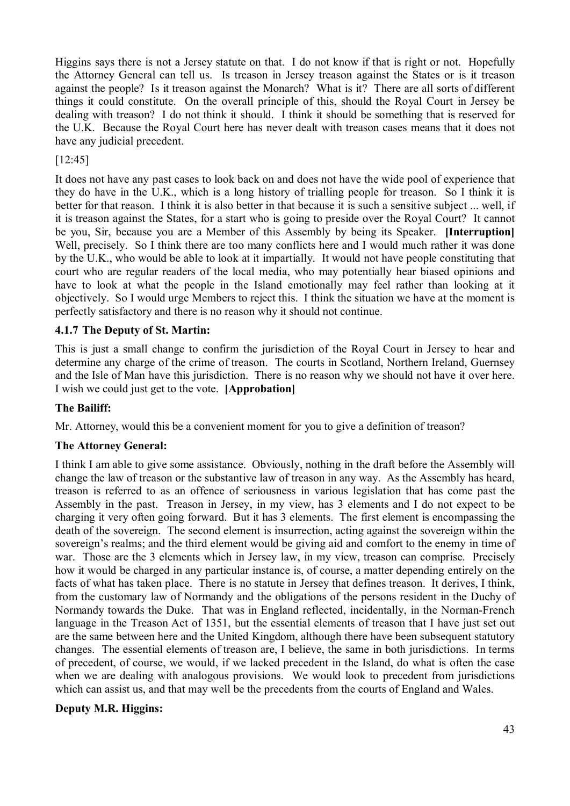Higgins says there is not a Jersey statute on that. I do not know if that is right or not. Hopefully the Attorney General can tell us. Is treason in Jersey treason against the States or is it treason against the people? Is it treason against the Monarch? What is it? There are all sorts of different things it could constitute. On the overall principle of this, should the Royal Court in Jersey be dealing with treason? I do not think it should. I think it should be something that is reserved for the U.K. Because the Royal Court here has never dealt with treason cases means that it does not have any judicial precedent.

# [12:45]

It does not have any past cases to look back on and does not have the wide pool of experience that they do have in the U.K., which is a long history of trialling people for treason. So I think it is better for that reason. I think it is also better in that because it is such a sensitive subject ... well, if it is treason against the States, for a start who is going to preside over the Royal Court? It cannot be you, Sir, because you are a Member of this Assembly by being its Speaker. **[Interruption]** Well, precisely. So I think there are too many conflicts here and I would much rather it was done by the U.K., who would be able to look at it impartially. It would not have people constituting that court who are regular readers of the local media, who may potentially hear biased opinions and have to look at what the people in the Island emotionally may feel rather than looking at it objectively. So I would urge Members to reject this. I think the situation we have at the moment is perfectly satisfactory and there is no reason why it should not continue.

# **4.1.7 The Deputy of St. Martin:**

This is just a small change to confirm the jurisdiction of the Royal Court in Jersey to hear and determine any charge of the crime of treason. The courts in Scotland, Northern Ireland, Guernsey and the Isle of Man have this jurisdiction. There is no reason why we should not have it over here. I wish we could just get to the vote. **[Approbation]**

## **The Bailiff:**

Mr. Attorney, would this be a convenient moment for you to give a definition of treason?

## **The Attorney General:**

I think I am able to give some assistance. Obviously, nothing in the draft before the Assembly will change the law of treason or the substantive law of treason in any way. As the Assembly has heard, treason is referred to as an offence of seriousness in various legislation that has come past the Assembly in the past. Treason in Jersey, in my view, has 3 elements and I do not expect to be charging it very often going forward. But it has 3 elements. The first element is encompassing the death of the sovereign. The second element is insurrection, acting against the sovereign within the sovereign's realms; and the third element would be giving aid and comfort to the enemy in time of war. Those are the 3 elements which in Jersey law, in my view, treason can comprise. Precisely how it would be charged in any particular instance is, of course, a matter depending entirely on the facts of what has taken place. There is no statute in Jersey that defines treason. It derives, I think, from the customary law of Normandy and the obligations of the persons resident in the Duchy of Normandy towards the Duke. That was in England reflected, incidentally, in the Norman-French language in the Treason Act of 1351, but the essential elements of treason that I have just set out are the same between here and the United Kingdom, although there have been subsequent statutory changes. The essential elements of treason are, I believe, the same in both jurisdictions. In terms of precedent, of course, we would, if we lacked precedent in the Island, do what is often the case when we are dealing with analogous provisions. We would look to precedent from jurisdictions which can assist us, and that may well be the precedents from the courts of England and Wales.

## **Deputy M.R. Higgins:**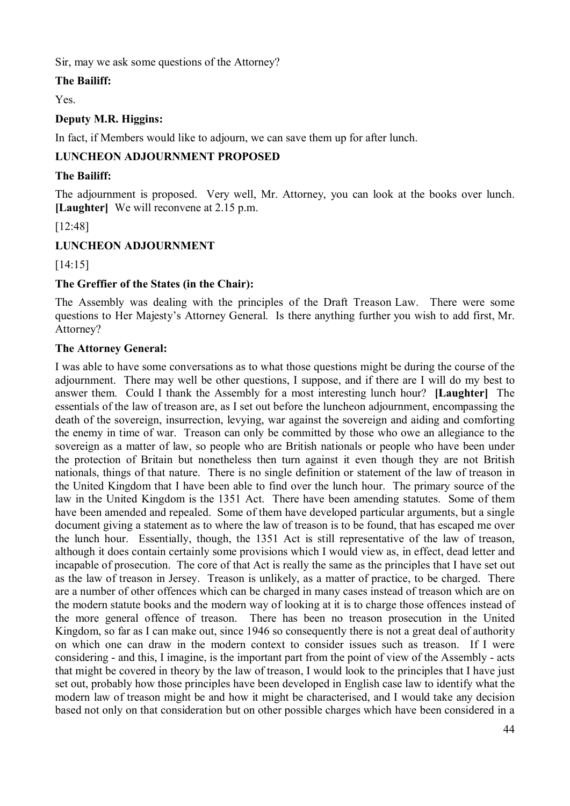Sir, may we ask some questions of the Attorney?

# **The Bailiff:**

Yes.

## **Deputy M.R. Higgins:**

In fact, if Members would like to adjourn, we can save them up for after lunch.

## **LUNCHEON ADJOURNMENT PROPOSED**

## **The Bailiff:**

The adjournment is proposed. Very well, Mr. Attorney, you can look at the books over lunch. **[Laughter]** We will reconvene at 2.15 p.m.

[12:48]

# **LUNCHEON ADJOURNMENT**

[14:15]

## **The Greffier of the States (in the Chair):**

The Assembly was dealing with the principles of the Draft Treason Law. There were some questions to Her Majesty's Attorney General. Is there anything further you wish to add first, Mr. Attorney?

## **The Attorney General:**

I was able to have some conversations as to what those questions might be during the course of the adjournment. There may well be other questions, I suppose, and if there are I will do my best to answer them. Could I thank the Assembly for a most interesting lunch hour? **[Laughter]** The essentials of the law of treason are, as I set out before the luncheon adjournment, encompassing the death of the sovereign, insurrection, levying, war against the sovereign and aiding and comforting the enemy in time of war. Treason can only be committed by those who owe an allegiance to the sovereign as a matter of law, so people who are British nationals or people who have been under the protection of Britain but nonetheless then turn against it even though they are not British nationals, things of that nature. There is no single definition or statement of the law of treason in the United Kingdom that I have been able to find over the lunch hour. The primary source of the law in the United Kingdom is the 1351 Act. There have been amending statutes. Some of them have been amended and repealed. Some of them have developed particular arguments, but a single document giving a statement as to where the law of treason is to be found, that has escaped me over the lunch hour. Essentially, though, the 1351 Act is still representative of the law of treason, although it does contain certainly some provisions which I would view as, in effect, dead letter and incapable of prosecution. The core of that Act is really the same as the principles that I have set out as the law of treason in Jersey. Treason is unlikely, as a matter of practice, to be charged. There are a number of other offences which can be charged in many cases instead of treason which are on the modern statute books and the modern way of looking at it is to charge those offences instead of the more general offence of treason. There has been no treason prosecution in the United Kingdom, so far as I can make out, since 1946 so consequently there is not a great deal of authority on which one can draw in the modern context to consider issues such as treason. If I were considering - and this, I imagine, is the important part from the point of view of the Assembly - acts that might be covered in theory by the law of treason, I would look to the principles that I have just set out, probably how those principles have been developed in English case law to identify what the modern law of treason might be and how it might be characterised, and I would take any decision based not only on that consideration but on other possible charges which have been considered in a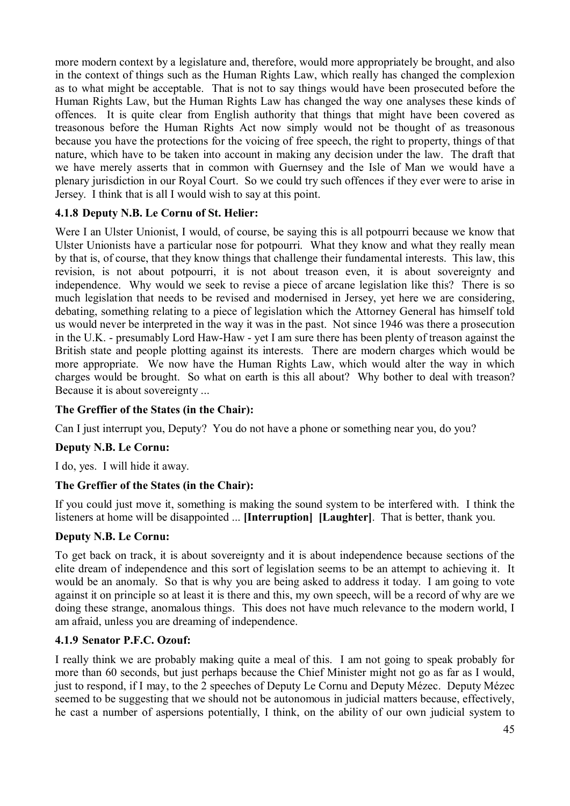more modern context by a legislature and, therefore, would more appropriately be brought, and also in the context of things such as the Human Rights Law, which really has changed the complexion as to what might be acceptable. That is not to say things would have been prosecuted before the Human Rights Law, but the Human Rights Law has changed the way one analyses these kinds of offences. It is quite clear from English authority that things that might have been covered as treasonous before the Human Rights Act now simply would not be thought of as treasonous because you have the protections for the voicing of free speech, the right to property, things of that nature, which have to be taken into account in making any decision under the law. The draft that we have merely asserts that in common with Guernsey and the Isle of Man we would have a plenary jurisdiction in our Royal Court. So we could try such offences if they ever were to arise in Jersey. I think that is all I would wish to say at this point.

# **4.1.8 Deputy N.B. Le Cornu of St. Helier:**

Were I an Ulster Unionist, I would, of course, be saying this is all potpourri because we know that Ulster Unionists have a particular nose for potpourri. What they know and what they really mean by that is, of course, that they know things that challenge their fundamental interests. This law, this revision, is not about potpourri, it is not about treason even, it is about sovereignty and independence. Why would we seek to revise a piece of arcane legislation like this? There is so much legislation that needs to be revised and modernised in Jersey, yet here we are considering, debating, something relating to a piece of legislation which the Attorney General has himself told us would never be interpreted in the way it was in the past. Not since 1946 was there a prosecution in the U.K. - presumably Lord Haw-Haw - yet I am sure there has been plenty of treason against the British state and people plotting against its interests. There are modern charges which would be more appropriate. We now have the Human Rights Law, which would alter the way in which charges would be brought. So what on earth is this all about? Why bother to deal with treason? Because it is about sovereignty ...

# **The Greffier of the States (in the Chair):**

Can I just interrupt you, Deputy? You do not have a phone or something near you, do you?

# **Deputy N.B. Le Cornu:**

I do, yes. I will hide it away.

# **The Greffier of the States (in the Chair):**

If you could just move it, something is making the sound system to be interfered with. I think the listeners at home will be disappointed ... **[Interruption] [Laughter]**.That is better, thank you.

# **Deputy N.B. Le Cornu:**

To get back on track, it is about sovereignty and it is about independence because sections of the elite dream of independence and this sort of legislation seems to be an attempt to achieving it. It would be an anomaly. So that is why you are being asked to address it today. I am going to vote against it on principle so at least it is there and this, my own speech, will be a record of why are we doing these strange, anomalous things. This does not have much relevance to the modern world, I am afraid, unless you are dreaming of independence.

# **4.1.9 Senator P.F.C. Ozouf:**

I really think we are probably making quite a meal of this. I am not going to speak probably for more than 60 seconds, but just perhaps because the Chief Minister might not go as far as I would, just to respond, if I may, to the 2 speeches of Deputy Le Cornu and Deputy Mézec. Deputy Mézec seemed to be suggesting that we should not be autonomous in judicial matters because, effectively, he cast a number of aspersions potentially, I think, on the ability of our own judicial system to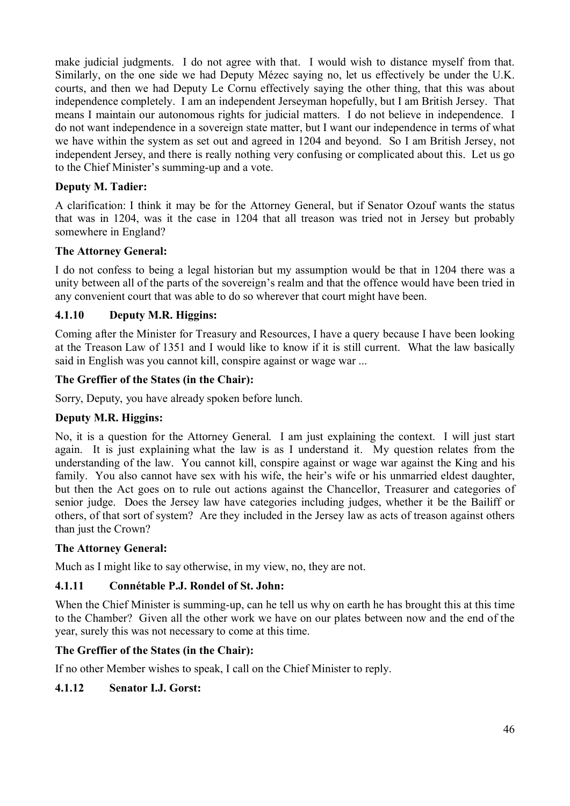make judicial judgments. I do not agree with that. I would wish to distance myself from that. Similarly, on the one side we had Deputy Mézec saying no, let us effectively be under the U.K. courts, and then we had Deputy Le Cornu effectively saying the other thing, that this was about independence completely. I am an independent Jerseyman hopefully, but I am British Jersey. That means I maintain our autonomous rights for judicial matters. I do not believe in independence. I do not want independence in a sovereign state matter, but I want our independence in terms of what we have within the system as set out and agreed in 1204 and beyond. So I am British Jersey, not independent Jersey, and there is really nothing very confusing or complicated about this. Let us go to the Chief Minister's summing-up and a vote.

## **Deputy M. Tadier:**

A clarification: I think it may be for the Attorney General, but if Senator Ozouf wants the status that was in 1204, was it the case in 1204 that all treason was tried not in Jersey but probably somewhere in England?

# **The Attorney General:**

I do not confess to being a legal historian but my assumption would be that in 1204 there was a unity between all of the parts of the sovereign's realm and that the offence would have been tried in any convenient court that was able to do so wherever that court might have been.

# **4.1.10 Deputy M.R. Higgins:**

Coming after the Minister for Treasury and Resources, I have a query because I have been looking at the Treason Law of 1351 and I would like to know if it is still current. What the law basically said in English was you cannot kill, conspire against or wage war ...

## **The Greffier of the States (in the Chair):**

Sorry, Deputy, you have already spoken before lunch.

## **Deputy M.R. Higgins:**

No, it is a question for the Attorney General. I am just explaining the context. I will just start again. It is just explaining what the law is as I understand it. My question relates from the understanding of the law. You cannot kill, conspire against or wage war against the King and his family. You also cannot have sex with his wife, the heir's wife or his unmarried eldest daughter, but then the Act goes on to rule out actions against the Chancellor, Treasurer and categories of senior judge. Does the Jersey law have categories including judges, whether it be the Bailiff or others, of that sort of system? Are they included in the Jersey law as acts of treason against others than just the Crown?

## **The Attorney General:**

Much as I might like to say otherwise, in my view, no, they are not.

## **4.1.11 Connétable P.J. Rondel of St. John:**

When the Chief Minister is summing-up, can he tell us why on earth he has brought this at this time to the Chamber? Given all the other work we have on our plates between now and the end of the year, surely this was not necessary to come at this time.

## **The Greffier of the States (in the Chair):**

If no other Member wishes to speak, I call on the Chief Minister to reply.

## **4.1.12 Senator I.J. Gorst:**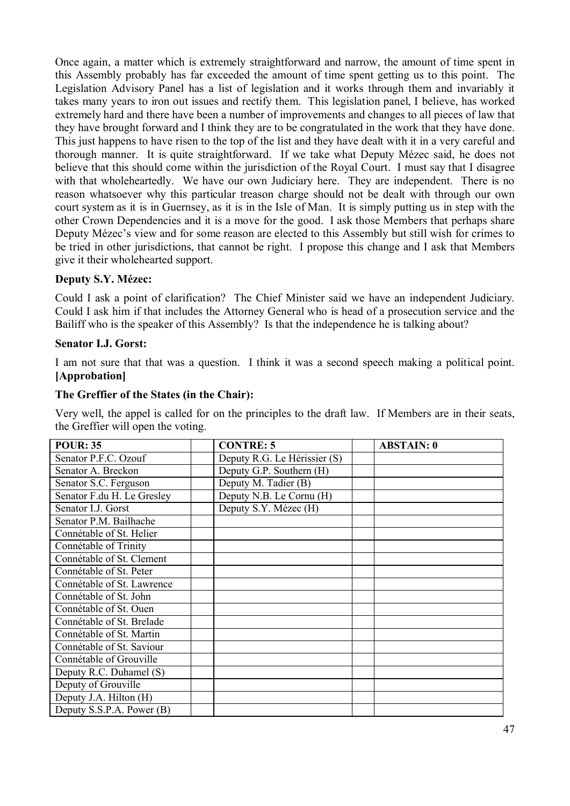Once again, a matter which is extremely straightforward and narrow, the amount of time spent in this Assembly probably has far exceeded the amount of time spent getting us to this point. The Legislation Advisory Panel has a list of legislation and it works through them and invariably it takes many years to iron out issues and rectify them. This legislation panel, I believe, has worked extremely hard and there have been a number of improvements and changes to all pieces of law that they have brought forward and I think they are to be congratulated in the work that they have done. This just happens to have risen to the top of the list and they have dealt with it in a very careful and thorough manner. It is quite straightforward. If we take what Deputy Mézec said, he does not believe that this should come within the jurisdiction of the Royal Court. I must say that I disagree with that wholeheartedly. We have our own Judiciary here. They are independent. There is no reason whatsoever why this particular treason charge should not be dealt with through our own court system as it is in Guernsey, as it is in the Isle of Man. It is simply putting us in step with the other Crown Dependencies and it is a move for the good. I ask those Members that perhaps share Deputy Mézec's view and for some reason are elected to this Assembly but still wish for crimes to be tried in other jurisdictions, that cannot be right. I propose this change and I ask that Members give it their wholehearted support.

# **Deputy S.Y. Mézec:**

Could I ask a point of clarification? The Chief Minister said we have an independent Judiciary. Could I ask him if that includes the Attorney General who is head of a prosecution service and the Bailiff who is the speaker of this Assembly? Is that the independence he is talking about?

## **Senator I.J. Gorst:**

I am not sure that that was a question. I think it was a second speech making a political point. **[Approbation]**

## **The Greffier of the States (in the Chair):**

Very well, the appel is called for on the principles to the draft law. If Members are in their seats, the Greffier will open the voting.

| <b>POUR: 35</b>            | <b>CONTRE: 5</b>             | <b>ABSTAIN: 0</b> |
|----------------------------|------------------------------|-------------------|
| Senator P.F.C. Ozouf       | Deputy R.G. Le Hérissier (S) |                   |
| Senator A. Breckon         | Deputy G.P. Southern (H)     |                   |
| Senator S.C. Ferguson      | Deputy M. Tadier (B)         |                   |
| Senator F.du H. Le Gresley | Deputy N.B. Le Cornu (H)     |                   |
| Senator I.J. Gorst         | Deputy S.Y. Mézec (H)        |                   |
| Senator P.M. Bailhache     |                              |                   |
| Connétable of St. Helier   |                              |                   |
| Connétable of Trinity      |                              |                   |
| Connétable of St. Clement  |                              |                   |
| Connétable of St. Peter    |                              |                   |
| Connétable of St. Lawrence |                              |                   |
| Connétable of St. John     |                              |                   |
| Connétable of St. Ouen     |                              |                   |
| Connétable of St. Brelade  |                              |                   |
| Connétable of St. Martin   |                              |                   |
| Connétable of St. Saviour  |                              |                   |
| Connétable of Grouville    |                              |                   |
| Deputy R.C. Duhamel (S)    |                              |                   |
| Deputy of Grouville        |                              |                   |
| Deputy J.A. Hilton (H)     |                              |                   |
| Deputy S.S.P.A. Power (B)  |                              |                   |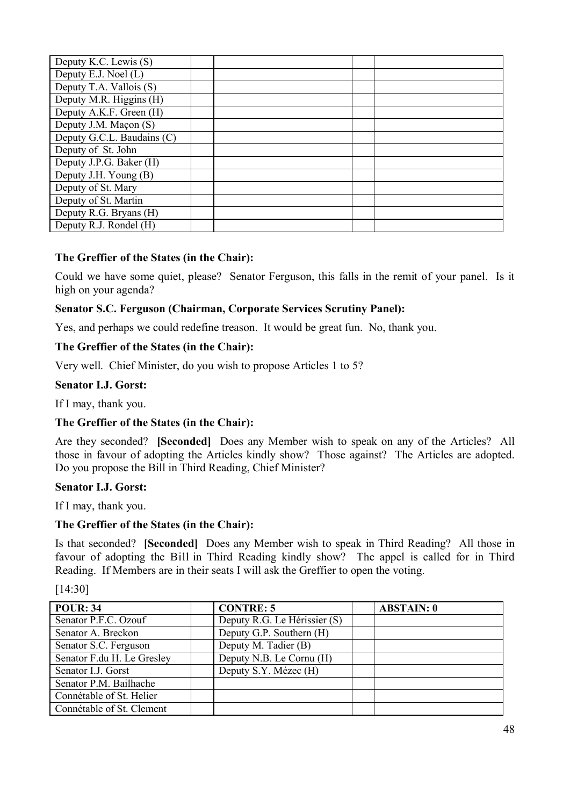| Deputy K.C. Lewis (S)                 |  |  |
|---------------------------------------|--|--|
| Deputy E.J. Noel (L)                  |  |  |
| Deputy $\overline{T.A}$ . Vallois (S) |  |  |
| Deputy M.R. Higgins (H)               |  |  |
| Deputy A.K.F. Green (H)               |  |  |
| Deputy J.M. Maçon (S)                 |  |  |
| Deputy G.C.L. Baudains (C)            |  |  |
| Deputy of St. John                    |  |  |
| Deputy J.P.G. Baker (H)               |  |  |
| Deputy J.H. Young (B)                 |  |  |
| Deputy of St. Mary                    |  |  |
| Deputy of St. Martin                  |  |  |
| Deputy R.G. Bryans (H)                |  |  |
| Deputy R.J. Rondel (H)                |  |  |

## **The Greffier of the States (in the Chair):**

Could we have some quiet, please? Senator Ferguson, this falls in the remit of your panel. Is it high on your agenda?

## **Senator S.C. Ferguson (Chairman, Corporate Services Scrutiny Panel):**

Yes, and perhaps we could redefine treason. It would be great fun. No, thank you.

## **The Greffier of the States (in the Chair):**

Very well. Chief Minister, do you wish to propose Articles 1 to 5?

#### **Senator I.J. Gorst:**

If I may, thank you.

## **The Greffier of the States (in the Chair):**

Are they seconded? **[Seconded]** Does any Member wish to speak on any of the Articles? All those in favour of adopting the Articles kindly show? Those against? The Articles are adopted. Do you propose the Bill in Third Reading, Chief Minister?

## **Senator I.J. Gorst:**

If I may, thank you.

## **The Greffier of the States (in the Chair):**

Is that seconded? **[Seconded]** Does any Member wish to speak in Third Reading? All those in favour of adopting the Bill in Third Reading kindly show? The appel is called for in Third Reading. If Members are in their seats I will ask the Greffier to open the voting.

| <b>POUR: 34</b>            | <b>CONTRE: 5</b>             | <b>ABSTAIN: 0</b> |
|----------------------------|------------------------------|-------------------|
| Senator P.F.C. Ozouf       | Deputy R.G. Le Hérissier (S) |                   |
| Senator A. Breckon         | Deputy G.P. Southern (H)     |                   |
| Senator S.C. Ferguson      | Deputy M. Tadier (B)         |                   |
| Senator F.du H. Le Gresley | Deputy N.B. Le Cornu (H)     |                   |
| Senator I.J. Gorst         | Deputy S.Y. Mézec (H)        |                   |
| Senator P.M. Bailhache     |                              |                   |
| Connétable of St. Helier   |                              |                   |
| Connétable of St. Clement  |                              |                   |

[14:30]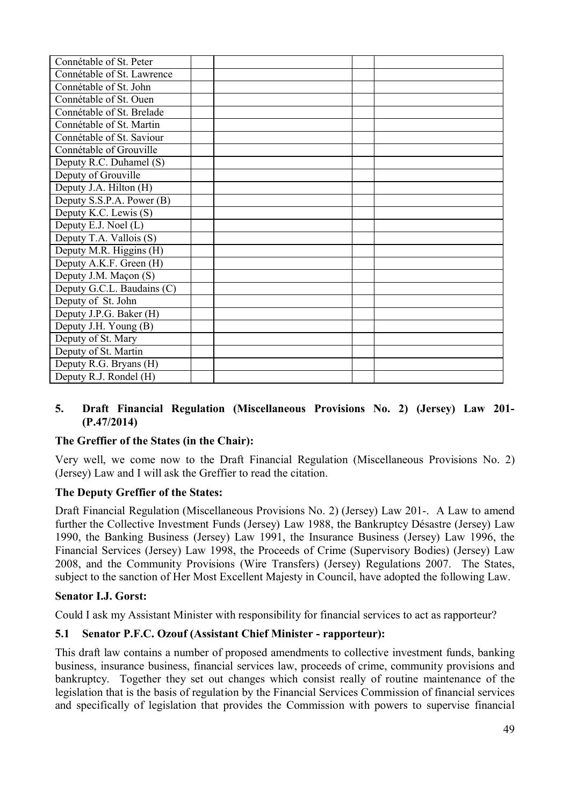| Connétable of St. Peter    |  |  |
|----------------------------|--|--|
| Connétable of St. Lawrence |  |  |
| Connétable of St. John     |  |  |
| Connétable of St. Ouen     |  |  |
| Connétable of St. Brelade  |  |  |
| Connétable of St. Martin   |  |  |
| Connétable of St. Saviour  |  |  |
| Connétable of Grouville    |  |  |
| Deputy R.C. Duhamel (S)    |  |  |
| Deputy of Grouville        |  |  |
| Deputy J.A. Hilton (H)     |  |  |
| Deputy S.S.P.A. Power (B)  |  |  |
| Deputy K.C. Lewis (S)      |  |  |
| Deputy E.J. Noel (L)       |  |  |
| Deputy T.A. Vallois (S)    |  |  |
| Deputy M.R. Higgins (H)    |  |  |
| Deputy A.K.F. Green (H)    |  |  |
| Deputy J.M. Maçon (S)      |  |  |
| Deputy G.C.L. Baudains (C) |  |  |
| Deputy of St. John         |  |  |
| Deputy J.P.G. Baker (H)    |  |  |
| Deputy J.H. Young (B)      |  |  |
| Deputy of St. Mary         |  |  |
| Deputy of St. Martin       |  |  |
| Deputy R.G. Bryans (H)     |  |  |
| Deputy R.J. Rondel (H)     |  |  |

#### **5. Draft Financial Regulation (Miscellaneous Provisions No. 2) (Jersey) Law 201- (P.47/2014)**

## **The Greffier of the States (in the Chair):**

Very well, we come now to the Draft Financial Regulation (Miscellaneous Provisions No. 2) (Jersey) Law and I will ask the Greffier to read the citation.

## **The Deputy Greffier of the States:**

Draft Financial Regulation (Miscellaneous Provisions No. 2) (Jersey) Law 201-. A Law to amend further the Collective Investment Funds (Jersey) Law 1988, the Bankruptcy Désastre (Jersey) Law 1990, the Banking Business (Jersey) Law 1991, the Insurance Business (Jersey) Law 1996, the Financial Services (Jersey) Law 1998, the Proceeds of Crime (Supervisory Bodies) (Jersey) Law 2008, and the Community Provisions (Wire Transfers) (Jersey) Regulations 2007. The States, subject to the sanction of Her Most Excellent Majesty in Council, have adopted the following Law.

#### **Senator I.J. Gorst:**

Could I ask my Assistant Minister with responsibility for financial services to act as rapporteur?

#### **5.1 Senator P.F.C. Ozouf (Assistant Chief Minister - rapporteur):**

This draft law contains a number of proposed amendments to collective investment funds, banking business, insurance business, financial services law, proceeds of crime, community provisions and bankruptcy. Together they set out changes which consist really of routine maintenance of the legislation that is the basis of regulation by the Financial Services Commission of financial services and specifically of legislation that provides the Commission with powers to supervise financial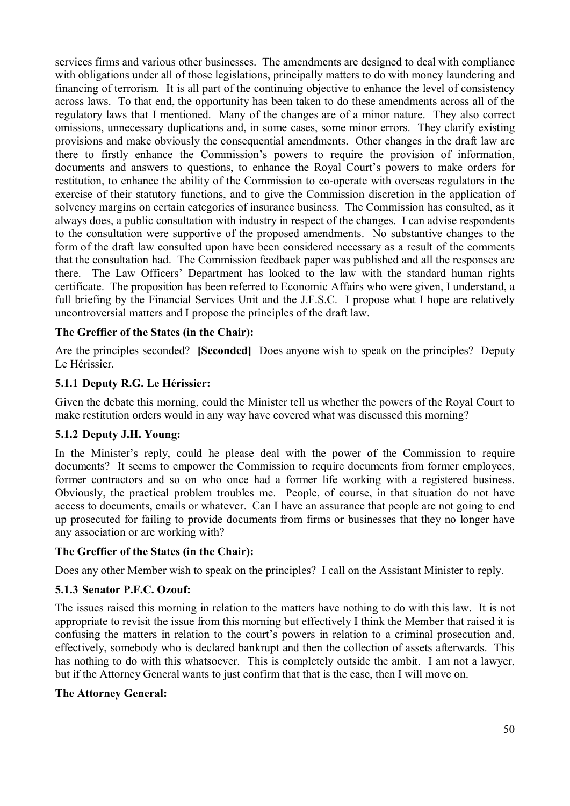services firms and various other businesses. The amendments are designed to deal with compliance with obligations under all of those legislations, principally matters to do with money laundering and financing of terrorism. It is all part of the continuing objective to enhance the level of consistency across laws. To that end, the opportunity has been taken to do these amendments across all of the regulatory laws that I mentioned. Many of the changes are of a minor nature. They also correct omissions, unnecessary duplications and, in some cases, some minor errors. They clarify existing provisions and make obviously the consequential amendments. Other changes in the draft law are there to firstly enhance the Commission's powers to require the provision of information, documents and answers to questions, to enhance the Royal Court's powers to make orders for restitution, to enhance the ability of the Commission to co-operate with overseas regulators in the exercise of their statutory functions, and to give the Commission discretion in the application of solvency margins on certain categories of insurance business. The Commission has consulted, as it always does, a public consultation with industry in respect of the changes. I can advise respondents to the consultation were supportive of the proposed amendments. No substantive changes to the form of the draft law consulted upon have been considered necessary as a result of the comments that the consultation had. The Commission feedback paper was published and all the responses are there. The Law Officers' Department has looked to the law with the standard human rights certificate. The proposition has been referred to Economic Affairs who were given, I understand, a full briefing by the Financial Services Unit and the J.F.S.C. I propose what I hope are relatively uncontroversial matters and I propose the principles of the draft law.

#### **The Greffier of the States (in the Chair):**

Are the principles seconded? **[Seconded]** Does anyone wish to speak on the principles? Deputy Le Hérissier.

#### **5.1.1 Deputy R.G. Le Hérissier:**

Given the debate this morning, could the Minister tell us whether the powers of the Royal Court to make restitution orders would in any way have covered what was discussed this morning?

#### **5.1.2 Deputy J.H. Young:**

In the Minister's reply, could he please deal with the power of the Commission to require documents? It seems to empower the Commission to require documents from former employees, former contractors and so on who once had a former life working with a registered business. Obviously, the practical problem troubles me. People, of course, in that situation do not have access to documents, emails or whatever. Can I have an assurance that people are not going to end up prosecuted for failing to provide documents from firms or businesses that they no longer have any association or are working with?

#### **The Greffier of the States (in the Chair):**

Does any other Member wish to speak on the principles? I call on the Assistant Minister to reply.

## **5.1.3 Senator P.F.C. Ozouf:**

The issues raised this morning in relation to the matters have nothing to do with this law. It is not appropriate to revisit the issue from this morning but effectively I think the Member that raised it is confusing the matters in relation to the court's powers in relation to a criminal prosecution and, effectively, somebody who is declared bankrupt and then the collection of assets afterwards. This has nothing to do with this whatsoever. This is completely outside the ambit. I am not a lawyer, but if the Attorney General wants to just confirm that that is the case, then I will move on.

#### **The Attorney General:**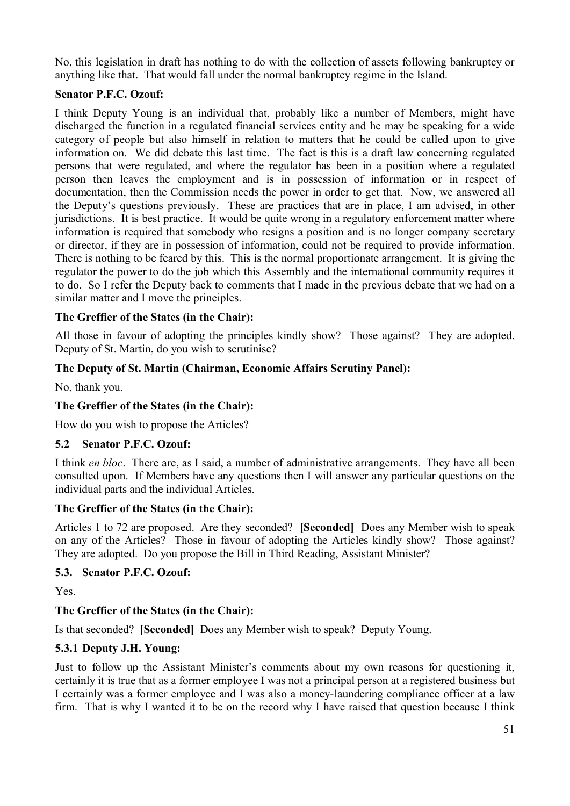No, this legislation in draft has nothing to do with the collection of assets following bankruptcy or anything like that. That would fall under the normal bankruptcy regime in the Island.

## **Senator P.F.C. Ozouf:**

I think Deputy Young is an individual that, probably like a number of Members, might have discharged the function in a regulated financial services entity and he may be speaking for a wide category of people but also himself in relation to matters that he could be called upon to give information on. We did debate this last time. The fact is this is a draft law concerning regulated persons that were regulated, and where the regulator has been in a position where a regulated person then leaves the employment and is in possession of information or in respect of documentation, then the Commission needs the power in order to get that. Now, we answered all the Deputy's questions previously. These are practices that are in place, I am advised, in other jurisdictions. It is best practice. It would be quite wrong in a regulatory enforcement matter where information is required that somebody who resigns a position and is no longer company secretary or director, if they are in possession of information, could not be required to provide information. There is nothing to be feared by this. This is the normal proportionate arrangement. It is giving the regulator the power to do the job which this Assembly and the international community requires it to do. So I refer the Deputy back to comments that I made in the previous debate that we had on a similar matter and I move the principles.

# **The Greffier of the States (in the Chair):**

All those in favour of adopting the principles kindly show? Those against? They are adopted. Deputy of St. Martin, do you wish to scrutinise?

# **The Deputy of St. Martin (Chairman, Economic Affairs Scrutiny Panel):**

No, thank you.

## **The Greffier of the States (in the Chair):**

How do you wish to propose the Articles?

## **5.2 Senator P.F.C. Ozouf:**

I think *en bloc*. There are, as I said, a number of administrative arrangements. They have all been consulted upon. If Members have any questions then I will answer any particular questions on the individual parts and the individual Articles.

## **The Greffier of the States (in the Chair):**

Articles 1 to 72 are proposed. Are they seconded? **[Seconded]** Does any Member wish to speak on any of the Articles? Those in favour of adopting the Articles kindly show? Those against? They are adopted. Do you propose the Bill in Third Reading, Assistant Minister?

## **5.3. Senator P.F.C. Ozouf:**

Yes.

## **The Greffier of the States (in the Chair):**

Is that seconded? **[Seconded]** Does any Member wish to speak? Deputy Young.

## **5.3.1 Deputy J.H. Young:**

Just to follow up the Assistant Minister's comments about my own reasons for questioning it, certainly it is true that as a former employee I was not a principal person at a registered business but I certainly was a former employee and I was also a money-laundering compliance officer at a law firm. That is why I wanted it to be on the record why I have raised that question because I think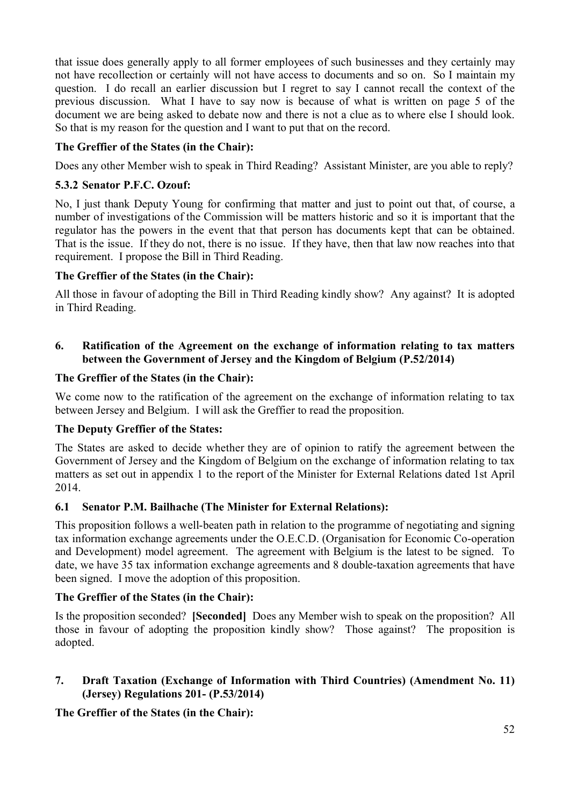that issue does generally apply to all former employees of such businesses and they certainly may not have recollection or certainly will not have access to documents and so on. So I maintain my question. I do recall an earlier discussion but I regret to say I cannot recall the context of the previous discussion. What I have to say now is because of what is written on page 5 of the document we are being asked to debate now and there is not a clue as to where else I should look. So that is my reason for the question and I want to put that on the record.

# **The Greffier of the States (in the Chair):**

Does any other Member wish to speak in Third Reading? Assistant Minister, are you able to reply?

# **5.3.2 Senator P.F.C. Ozouf:**

No, I just thank Deputy Young for confirming that matter and just to point out that, of course, a number of investigations of the Commission will be matters historic and so it is important that the regulator has the powers in the event that that person has documents kept that can be obtained. That is the issue. If they do not, there is no issue. If they have, then that law now reaches into that requirement. I propose the Bill in Third Reading.

# **The Greffier of the States (in the Chair):**

All those in favour of adopting the Bill in Third Reading kindly show? Any against? It is adopted in Third Reading.

# **6. Ratification of the Agreement on the exchange of information relating to tax matters between the Government of Jersey and the Kingdom of Belgium (P.52/2014)**

# **The Greffier of the States (in the Chair):**

We come now to the ratification of the agreement on the exchange of information relating to tax between Jersey and Belgium. I will ask the Greffier to read the proposition.

# **The Deputy Greffier of the States:**

The States are asked to decide whether they are of opinion to ratify the agreement between the Government of Jersey and the Kingdom of Belgium on the exchange of information relating to tax matters as set out in appendix 1 to the report of the Minister for External Relations dated 1st April 2014.

# **6.1 Senator P.M. Bailhache (The Minister for External Relations):**

This proposition follows a well-beaten path in relation to the programme of negotiating and signing tax information exchange agreements under the O.E.C.D. (Organisation for Economic Co-operation and Development) model agreement. The agreement with Belgium is the latest to be signed. To date, we have 35 tax information exchange agreements and 8 double-taxation agreements that have been signed. I move the adoption of this proposition.

# **The Greffier of the States (in the Chair):**

Is the proposition seconded? **[Seconded]** Does any Member wish to speak on the proposition? All those in favour of adopting the proposition kindly show? Those against? The proposition is adopted.

# **7. Draft Taxation (Exchange of Information with Third Countries) (Amendment No. 11) (Jersey) Regulations 201- (P.53/2014)**

**The Greffier of the States (in the Chair):**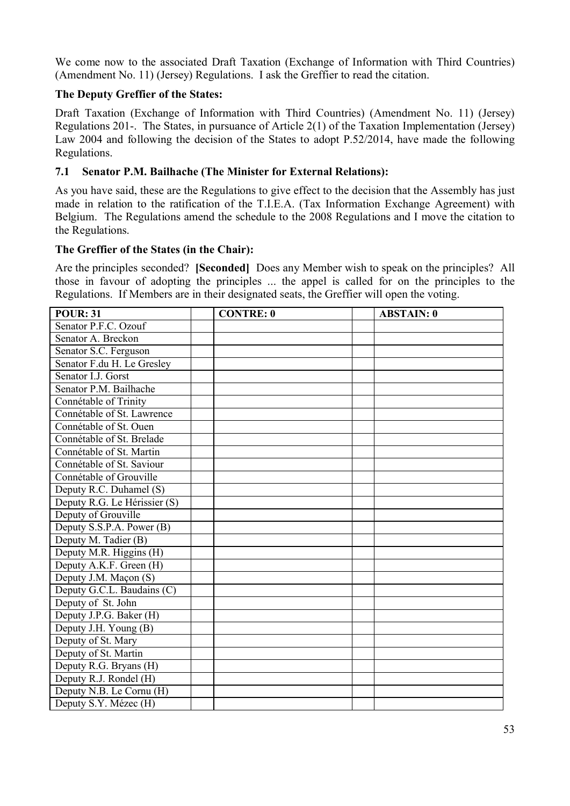We come now to the associated Draft Taxation (Exchange of Information with Third Countries) (Amendment No. 11) (Jersey) Regulations. I ask the Greffier to read the citation.

# **The Deputy Greffier of the States:**

Draft Taxation (Exchange of Information with Third Countries) (Amendment No. 11) (Jersey) Regulations 201-. The States, in pursuance of Article 2(1) of the Taxation Implementation (Jersey) Law 2004 and following the decision of the States to adopt P.52/2014, have made the following Regulations.

# **7.1 Senator P.M. Bailhache (The Minister for External Relations):**

As you have said, these are the Regulations to give effect to the decision that the Assembly has just made in relation to the ratification of the T.I.E.A. (Tax Information Exchange Agreement) with Belgium. The Regulations amend the schedule to the 2008 Regulations and I move the citation to the Regulations.

## **The Greffier of the States (in the Chair):**

Are the principles seconded? **[Seconded]** Does any Member wish to speak on the principles? All those in favour of adopting the principles ... the appel is called for on the principles to the Regulations. If Members are in their designated seats, the Greffier will open the voting.

| <b>POUR: 31</b>              | <b>CONTRE: 0</b> | <b>ABSTAIN: 0</b> |
|------------------------------|------------------|-------------------|
| Senator P.F.C. Ozouf         |                  |                   |
| Senator A. Breckon           |                  |                   |
| Senator S.C. Ferguson        |                  |                   |
| Senator F.du H. Le Gresley   |                  |                   |
| Senator I.J. Gorst           |                  |                   |
| Senator P.M. Bailhache       |                  |                   |
| Connétable of Trinity        |                  |                   |
| Connétable of St. Lawrence   |                  |                   |
| Connétable of St. Ouen       |                  |                   |
| Connétable of St. Brelade    |                  |                   |
| Connétable of St. Martin     |                  |                   |
| Connétable of St. Saviour    |                  |                   |
| Connétable of Grouville      |                  |                   |
| Deputy R.C. Duhamel (S)      |                  |                   |
| Deputy R.G. Le Hérissier (S) |                  |                   |
| Deputy of Grouville          |                  |                   |
| Deputy S.S.P.A. Power (B)    |                  |                   |
| Deputy M. Tadier (B)         |                  |                   |
| Deputy M.R. Higgins (H)      |                  |                   |
| Deputy A.K.F. Green (H)      |                  |                   |
| Deputy J.M. Maçon (S)        |                  |                   |
| Deputy G.C.L. Baudains (C)   |                  |                   |
| Deputy of St. John           |                  |                   |
| Deputy J.P.G. Baker (H)      |                  |                   |
| Deputy J.H. Young (B)        |                  |                   |
| Deputy of St. Mary           |                  |                   |
| Deputy of St. Martin         |                  |                   |
| Deputy R.G. Bryans (H)       |                  |                   |
| Deputy R.J. Rondel (H)       |                  |                   |
| Deputy N.B. Le Cornu (H)     |                  |                   |
| Deputy S.Y. Mézec (H)        |                  |                   |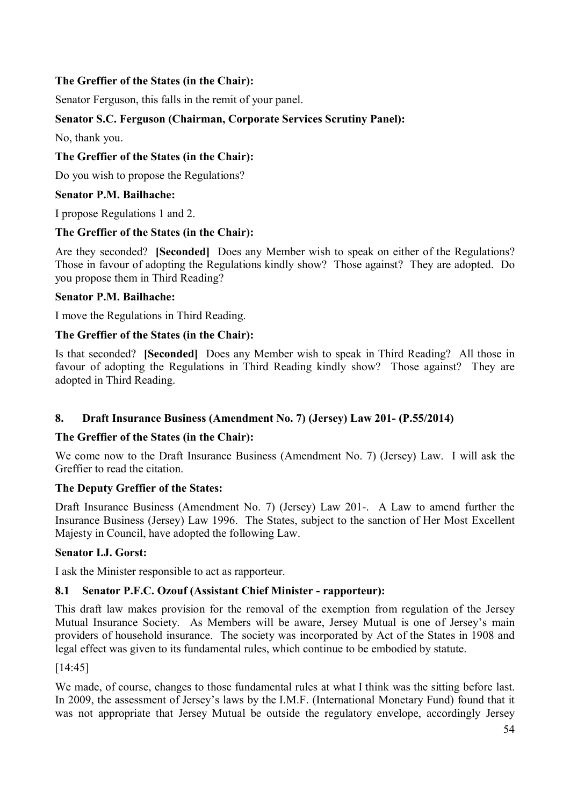# **The Greffier of the States (in the Chair):**

Senator Ferguson, this falls in the remit of your panel.

# **Senator S.C. Ferguson (Chairman, Corporate Services Scrutiny Panel):**

No, thank you.

# **The Greffier of the States (in the Chair):**

Do you wish to propose the Regulations?

# **Senator P.M. Bailhache:**

I propose Regulations 1 and 2.

# **The Greffier of the States (in the Chair):**

Are they seconded? **[Seconded]** Does any Member wish to speak on either of the Regulations? Those in favour of adopting the Regulations kindly show? Those against? They are adopted. Do you propose them in Third Reading?

# **Senator P.M. Bailhache:**

I move the Regulations in Third Reading.

# **The Greffier of the States (in the Chair):**

Is that seconded? **[Seconded]** Does any Member wish to speak in Third Reading? All those in favour of adopting the Regulations in Third Reading kindly show? Those against? They are adopted in Third Reading.

# **8. Draft Insurance Business (Amendment No. 7) (Jersey) Law 201- (P.55/2014)**

## **The Greffier of the States (in the Chair):**

We come now to the Draft Insurance Business (Amendment No. 7) (Jersey) Law. I will ask the Greffier to read the citation.

## **The Deputy Greffier of the States:**

Draft Insurance Business (Amendment No. 7) (Jersey) Law 201-. A Law to amend further the Insurance Business (Jersey) Law 1996. The States, subject to the sanction of Her Most Excellent Majesty in Council, have adopted the following Law.

## **Senator I.J. Gorst:**

I ask the Minister responsible to act as rapporteur.

## **8.1 Senator P.F.C. Ozouf (Assistant Chief Minister - rapporteur):**

This draft law makes provision for the removal of the exemption from regulation of the Jersey Mutual Insurance Society. As Members will be aware, Jersey Mutual is one of Jersey's main providers of household insurance. The society was incorporated by Act of the States in 1908 and legal effect was given to its fundamental rules, which continue to be embodied by statute.

[14:45]

We made, of course, changes to those fundamental rules at what I think was the sitting before last. In 2009, the assessment of Jersey's laws by the I.M.F. (International Monetary Fund) found that it was not appropriate that Jersey Mutual be outside the regulatory envelope, accordingly Jersey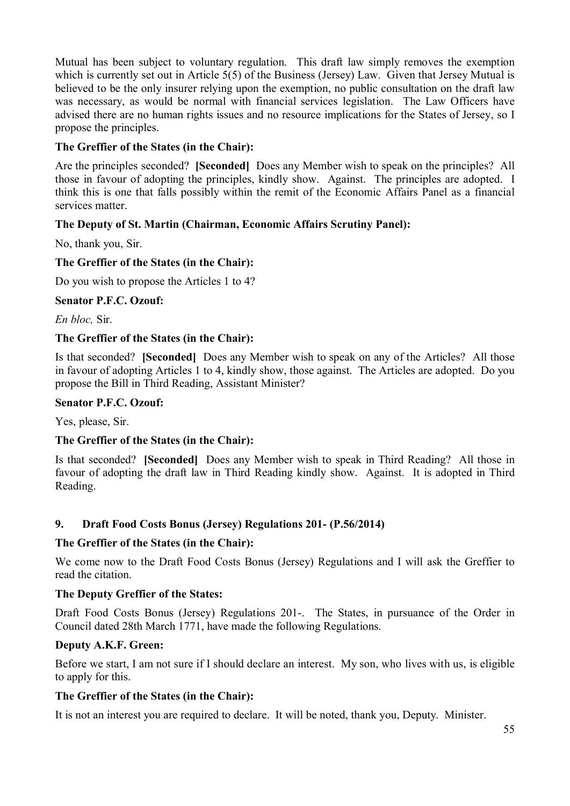Mutual has been subject to voluntary regulation. This draft law simply removes the exemption which is currently set out in Article 5(5) of the Business (Jersey) Law. Given that Jersey Mutual is believed to be the only insurer relying upon the exemption, no public consultation on the draft law was necessary, as would be normal with financial services legislation. The Law Officers have advised there are no human rights issues and no resource implications for the States of Jersey, so I propose the principles.

# **The Greffier of the States (in the Chair):**

Are the principles seconded? **[Seconded]** Does any Member wish to speak on the principles? All those in favour of adopting the principles, kindly show. Against. The principles are adopted. I think this is one that falls possibly within the remit of the Economic Affairs Panel as a financial services matter.

# **The Deputy of St. Martin (Chairman, Economic Affairs Scrutiny Panel):**

No, thank you, Sir.

# **The Greffier of the States (in the Chair):**

Do you wish to propose the Articles 1 to 4?

# **Senator P.F.C. Ozouf:**

*En bloc,* Sir.

# **The Greffier of the States (in the Chair):**

Is that seconded? **[Seconded]** Does any Member wish to speak on any of the Articles? All those in favour of adopting Articles 1 to 4, kindly show, those against. The Articles are adopted. Do you propose the Bill in Third Reading, Assistant Minister?

## **Senator P.F.C. Ozouf:**

Yes, please, Sir.

# **The Greffier of the States (in the Chair):**

Is that seconded? **[Seconded]** Does any Member wish to speak in Third Reading? All those in favour of adopting the draft law in Third Reading kindly show. Against. It is adopted in Third Reading.

# **9. Draft Food Costs Bonus (Jersey) Regulations 201- (P.56/2014)**

# **The Greffier of the States (in the Chair):**

We come now to the Draft Food Costs Bonus (Jersey) Regulations and I will ask the Greffier to read the citation.

# **The Deputy Greffier of the States:**

Draft Food Costs Bonus (Jersey) Regulations 201-. The States, in pursuance of the Order in Council dated 28th March 1771, have made the following Regulations.

# **Deputy A.K.F. Green:**

Before we start, I am not sure if I should declare an interest. My son, who lives with us, is eligible to apply for this.

# **The Greffier of the States (in the Chair):**

It is not an interest you are required to declare. It will be noted, thank you, Deputy. Minister.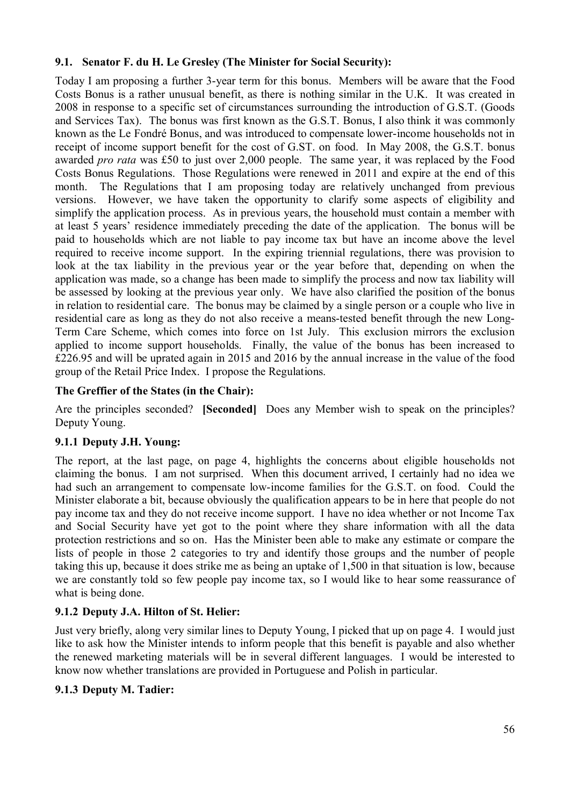# **9.1. Senator F. du H. Le Gresley (The Minister for Social Security):**

Today I am proposing a further 3-year term for this bonus. Members will be aware that the Food Costs Bonus is a rather unusual benefit, as there is nothing similar in the U.K. It was created in 2008 in response to a specific set of circumstances surrounding the introduction of G.S.T. (Goods and Services Tax). The bonus was first known as the G.S.T. Bonus, I also think it was commonly known as the Le Fondré Bonus, and was introduced to compensate lower-income households not in receipt of income support benefit for the cost of G.ST. on food. In May 2008, the G.S.T. bonus awarded *pro rata* was £50 to just over 2,000 people. The same year, it was replaced by the Food Costs Bonus Regulations. Those Regulations were renewed in 2011 and expire at the end of this month. The Regulations that I am proposing today are relatively unchanged from previous versions. However, we have taken the opportunity to clarify some aspects of eligibility and simplify the application process. As in previous years, the household must contain a member with at least 5 years' residence immediately preceding the date of the application. The bonus will be paid to households which are not liable to pay income tax but have an income above the level required to receive income support. In the expiring triennial regulations, there was provision to look at the tax liability in the previous year or the year before that, depending on when the application was made, so a change has been made to simplify the process and now tax liability will be assessed by looking at the previous year only. We have also clarified the position of the bonus in relation to residential care. The bonus may be claimed by a single person or a couple who live in residential care as long as they do not also receive a means-tested benefit through the new Long-Term Care Scheme, which comes into force on 1st July. This exclusion mirrors the exclusion applied to income support households. Finally, the value of the bonus has been increased to £226.95 and will be uprated again in 2015 and 2016 by the annual increase in the value of the food group of the Retail Price Index. I propose the Regulations.

# **The Greffier of the States (in the Chair):**

Are the principles seconded? **[Seconded]** Does any Member wish to speak on the principles? Deputy Young.

# **9.1.1 Deputy J.H. Young:**

The report, at the last page, on page 4, highlights the concerns about eligible households not claiming the bonus. I am not surprised. When this document arrived, I certainly had no idea we had such an arrangement to compensate low-income families for the G.S.T. on food. Could the Minister elaborate a bit, because obviously the qualification appears to be in here that people do not pay income tax and they do not receive income support. I have no idea whether or not Income Tax and Social Security have yet got to the point where they share information with all the data protection restrictions and so on. Has the Minister been able to make any estimate or compare the lists of people in those 2 categories to try and identify those groups and the number of people taking this up, because it does strike me as being an uptake of 1,500 in that situation is low, because we are constantly told so few people pay income tax, so I would like to hear some reassurance of what is being done.

# **9.1.2 Deputy J.A. Hilton of St. Helier:**

Just very briefly, along very similar lines to Deputy Young, I picked that up on page 4. I would just like to ask how the Minister intends to inform people that this benefit is payable and also whether the renewed marketing materials will be in several different languages. I would be interested to know now whether translations are provided in Portuguese and Polish in particular.

## **9.1.3 Deputy M. Tadier:**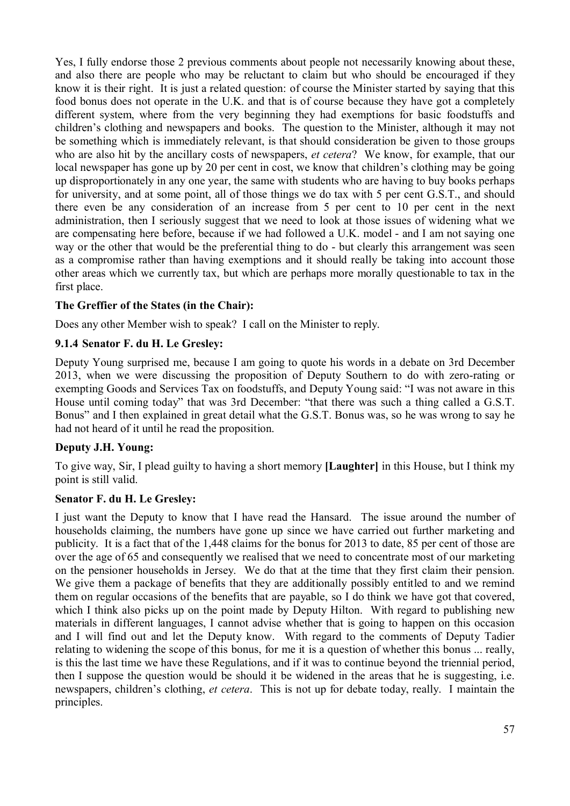Yes, I fully endorse those 2 previous comments about people not necessarily knowing about these, and also there are people who may be reluctant to claim but who should be encouraged if they know it is their right. It is just a related question: of course the Minister started by saying that this food bonus does not operate in the U.K. and that is of course because they have got a completely different system, where from the very beginning they had exemptions for basic foodstuffs and children's clothing and newspapers and books. The question to the Minister, although it may not be something which is immediately relevant, is that should consideration be given to those groups who are also hit by the ancillary costs of newspapers, *et cetera*? We know, for example, that our local newspaper has gone up by 20 per cent in cost, we know that children's clothing may be going up disproportionately in any one year, the same with students who are having to buy books perhaps for university, and at some point, all of those things we do tax with 5 per cent G.S.T., and should there even be any consideration of an increase from 5 per cent to 10 per cent in the next administration, then I seriously suggest that we need to look at those issues of widening what we are compensating here before, because if we had followed a U.K. model - and I am not saying one way or the other that would be the preferential thing to do - but clearly this arrangement was seen as a compromise rather than having exemptions and it should really be taking into account those other areas which we currently tax, but which are perhaps more morally questionable to tax in the first place.

# **The Greffier of the States (in the Chair):**

Does any other Member wish to speak? I call on the Minister to reply.

## **9.1.4 Senator F. du H. Le Gresley:**

Deputy Young surprised me, because I am going to quote his words in a debate on 3rd December 2013, when we were discussing the proposition of Deputy Southern to do with zero-rating or exempting Goods and Services Tax on foodstuffs, and Deputy Young said: "I was not aware in this House until coming today" that was 3rd December: "that there was such a thing called a G.S.T. Bonus" and I then explained in great detail what the G.S.T. Bonus was, so he was wrong to say he had not heard of it until he read the proposition.

## **Deputy J.H. Young:**

To give way, Sir, I plead guilty to having a short memory **[Laughter]** in this House, but I think my point is still valid.

#### **Senator F. du H. Le Gresley:**

I just want the Deputy to know that I have read the Hansard. The issue around the number of households claiming, the numbers have gone up since we have carried out further marketing and publicity. It is a fact that of the 1,448 claims for the bonus for 2013 to date, 85 per cent of those are over the age of 65 and consequently we realised that we need to concentrate most of our marketing on the pensioner households in Jersey. We do that at the time that they first claim their pension. We give them a package of benefits that they are additionally possibly entitled to and we remind them on regular occasions of the benefits that are payable, so I do think we have got that covered, which I think also picks up on the point made by Deputy Hilton. With regard to publishing new materials in different languages, I cannot advise whether that is going to happen on this occasion and I will find out and let the Deputy know. With regard to the comments of Deputy Tadier relating to widening the scope of this bonus, for me it is a question of whether this bonus ... really, is this the last time we have these Regulations, and if it was to continue beyond the triennial period, then I suppose the question would be should it be widened in the areas that he is suggesting, i.e. newspapers, children's clothing, *et cetera*. This is not up for debate today, really. I maintain the principles.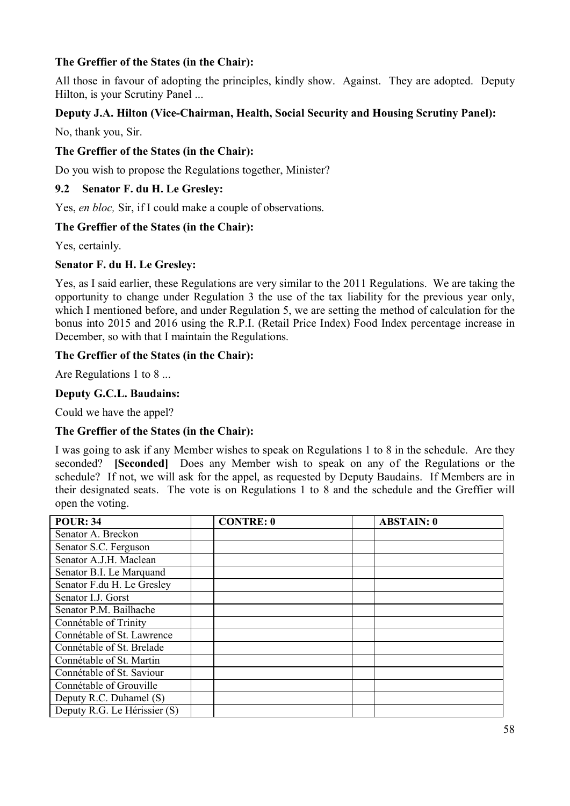# **The Greffier of the States (in the Chair):**

All those in favour of adopting the principles, kindly show. Against. They are adopted. Deputy Hilton, is your Scrutiny Panel ...

## **Deputy J.A. Hilton (Vice-Chairman, Health, Social Security and Housing Scrutiny Panel):**

No, thank you, Sir.

## **The Greffier of the States (in the Chair):**

Do you wish to propose the Regulations together, Minister?

## **9.2 Senator F. du H. Le Gresley:**

Yes, *en bloc,* Sir, if I could make a couple of observations.

## **The Greffier of the States (in the Chair):**

Yes, certainly.

# **Senator F. du H. Le Gresley:**

Yes, as I said earlier, these Regulations are very similar to the 2011 Regulations. We are taking the opportunity to change under Regulation 3 the use of the tax liability for the previous year only, which I mentioned before, and under Regulation 5, we are setting the method of calculation for the bonus into 2015 and 2016 using the R.P.I. (Retail Price Index) Food Index percentage increase in December, so with that I maintain the Regulations.

# **The Greffier of the States (in the Chair):**

Are Regulations 1 to 8 ...

# **Deputy G.C.L. Baudains:**

Could we have the appel?

## **The Greffier of the States (in the Chair):**

I was going to ask if any Member wishes to speak on Regulations 1 to 8 in the schedule. Are they seconded? **[Seconded]** Does any Member wish to speak on any of the Regulations or the schedule? If not, we will ask for the appel, as requested by Deputy Baudains. If Members are in their designated seats. The vote is on Regulations 1 to 8 and the schedule and the Greffier will open the voting.

| <b>POUR: 34</b>              | <b>CONTRE: 0</b> | <b>ABSTAIN: 0</b> |
|------------------------------|------------------|-------------------|
| Senator A. Breckon           |                  |                   |
| Senator S.C. Ferguson        |                  |                   |
| Senator A.J.H. Maclean       |                  |                   |
| Senator B.I. Le Marquand     |                  |                   |
| Senator F.du H. Le Gresley   |                  |                   |
| Senator I.J. Gorst           |                  |                   |
| Senator P.M. Bailhache       |                  |                   |
| Connétable of Trinity        |                  |                   |
| Connétable of St. Lawrence   |                  |                   |
| Connétable of St. Brelade    |                  |                   |
| Connétable of St. Martin     |                  |                   |
| Connétable of St. Saviour    |                  |                   |
| Connétable of Grouville      |                  |                   |
| Deputy R.C. Duhamel (S)      |                  |                   |
| Deputy R.G. Le Hérissier (S) |                  |                   |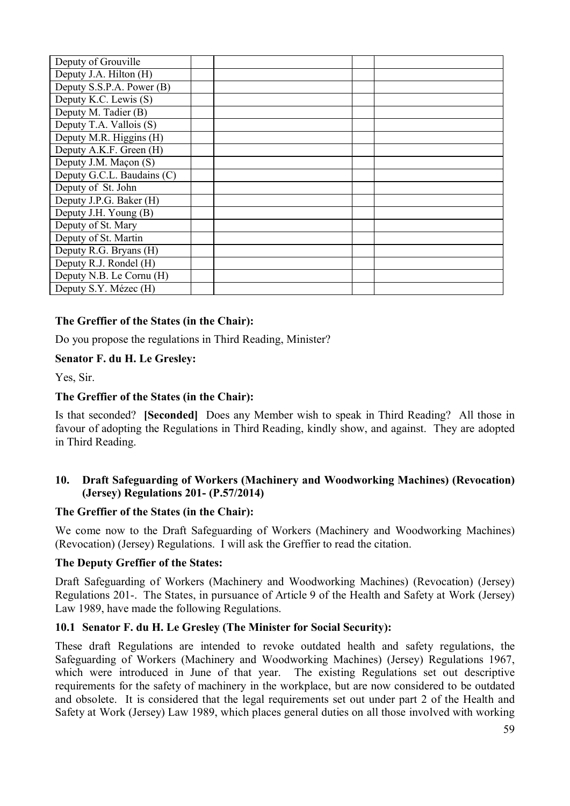| Deputy of Grouville        |  |  |
|----------------------------|--|--|
| Deputy J.A. Hilton (H)     |  |  |
| Deputy S.S.P.A. Power (B)  |  |  |
| Deputy K.C. Lewis (S)      |  |  |
| Deputy M. Tadier (B)       |  |  |
| Deputy T.A. Vallois (S)    |  |  |
| Deputy M.R. Higgins (H)    |  |  |
| Deputy A.K.F. Green (H)    |  |  |
| Deputy J.M. Maçon (S)      |  |  |
| Deputy G.C.L. Baudains (C) |  |  |
| Deputy of St. John         |  |  |
| Deputy J.P.G. Baker (H)    |  |  |
| Deputy J.H. Young (B)      |  |  |
| Deputy of St. Mary         |  |  |
| Deputy of St. Martin       |  |  |
| Deputy R.G. Bryans (H)     |  |  |
| Deputy R.J. Rondel (H)     |  |  |
| Deputy N.B. Le Cornu (H)   |  |  |
| Deputy S.Y. Mézec (H)      |  |  |

## **The Greffier of the States (in the Chair):**

Do you propose the regulations in Third Reading, Minister?

#### **Senator F. du H. Le Gresley:**

Yes, Sir.

#### **The Greffier of the States (in the Chair):**

Is that seconded? **[Seconded]** Does any Member wish to speak in Third Reading? All those in favour of adopting the Regulations in Third Reading, kindly show, and against. They are adopted in Third Reading.

#### **10. Draft Safeguarding of Workers (Machinery and Woodworking Machines) (Revocation) (Jersey) Regulations 201- (P.57/2014)**

#### **The Greffier of the States (in the Chair):**

We come now to the Draft Safeguarding of Workers (Machinery and Woodworking Machines) (Revocation) (Jersey) Regulations. I will ask the Greffier to read the citation.

#### **The Deputy Greffier of the States:**

Draft Safeguarding of Workers (Machinery and Woodworking Machines) (Revocation) (Jersey) Regulations 201-. The States, in pursuance of Article 9 of the Health and Safety at Work (Jersey) Law 1989, have made the following Regulations.

#### **10.1 Senator F. du H. Le Gresley (The Minister for Social Security):**

These draft Regulations are intended to revoke outdated health and safety regulations, the Safeguarding of Workers (Machinery and Woodworking Machines) (Jersey) Regulations 1967, which were introduced in June of that year. The existing Regulations set out descriptive requirements for the safety of machinery in the workplace, but are now considered to be outdated and obsolete. It is considered that the legal requirements set out under part 2 of the Health and Safety at Work (Jersey) Law 1989, which places general duties on all those involved with working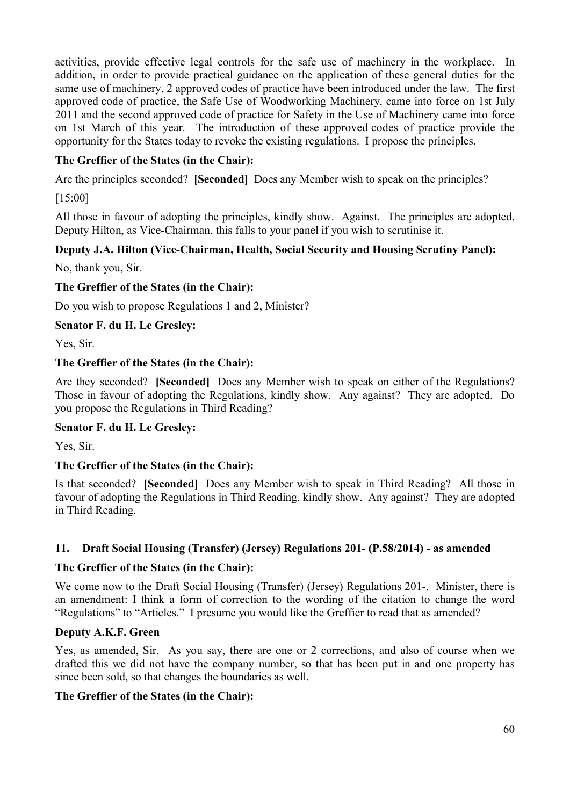activities, provide effective legal controls for the safe use of machinery in the workplace. In addition, in order to provide practical guidance on the application of these general duties for the same use of machinery, 2 approved codes of practice have been introduced under the law. The first approved code of practice, the Safe Use of Woodworking Machinery, came into force on 1st July 2011 and the second approved code of practice for Safety in the Use of Machinery came into force on 1st March of this year. The introduction of these approved codes of practice provide the opportunity for the States today to revoke the existing regulations. I propose the principles.

# **The Greffier of the States (in the Chair):**

Are the principles seconded? **[Seconded]** Does any Member wish to speak on the principles?

[15:00]

All those in favour of adopting the principles, kindly show. Against. The principles are adopted. Deputy Hilton, as Vice-Chairman, this falls to your panel if you wish to scrutinise it.

## **Deputy J.A. Hilton (Vice-Chairman, Health, Social Security and Housing Scrutiny Panel):**

No, thank you, Sir.

#### **The Greffier of the States (in the Chair):**

Do you wish to propose Regulations 1 and 2, Minister?

#### **Senator F. du H. Le Gresley:**

Yes, Sir.

#### **The Greffier of the States (in the Chair):**

Are they seconded? **[Seconded]** Does any Member wish to speak on either of the Regulations? Those in favour of adopting the Regulations, kindly show. Any against? They are adopted. Do you propose the Regulations in Third Reading?

#### **Senator F. du H. Le Gresley:**

Yes, Sir.

## **The Greffier of the States (in the Chair):**

Is that seconded? **[Seconded]** Does any Member wish to speak in Third Reading? All those in favour of adopting the Regulations in Third Reading, kindly show. Any against? They are adopted in Third Reading.

## **11. Draft Social Housing (Transfer) (Jersey) Regulations 201- (P.58/2014) - as amended**

#### **The Greffier of the States (in the Chair):**

We come now to the Draft Social Housing (Transfer) (Jersey) Regulations 201-. Minister, there is an amendment: I think a form of correction to the wording of the citation to change the word "Regulations" to "Articles." I presume you would like the Greffier to read that as amended?

## **Deputy A.K.F. Green**

Yes, as amended, Sir. As you say, there are one or 2 corrections, and also of course when we drafted this we did not have the company number, so that has been put in and one property has since been sold, so that changes the boundaries as well.

## **The Greffier of the States (in the Chair):**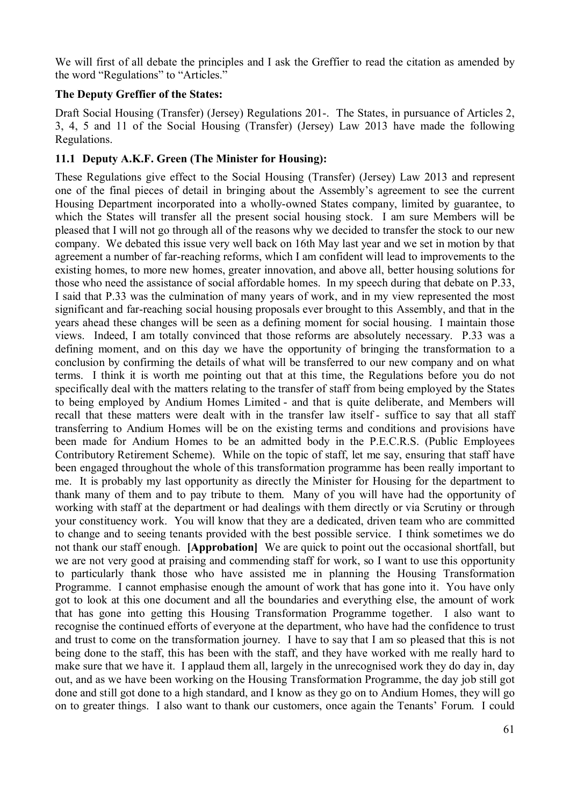We will first of all debate the principles and I ask the Greffier to read the citation as amended by the word "Regulations" to "Articles."

## **The Deputy Greffier of the States:**

Draft Social Housing (Transfer) (Jersey) Regulations 201-. The States, in pursuance of Articles 2, 3, 4, 5 and 11 of the Social Housing (Transfer) (Jersey) Law 2013 have made the following Regulations.

# **11.1 Deputy A.K.F. Green (The Minister for Housing):**

These Regulations give effect to the Social Housing (Transfer) (Jersey) Law 2013 and represent one of the final pieces of detail in bringing about the Assembly's agreement to see the current Housing Department incorporated into a wholly-owned States company, limited by guarantee, to which the States will transfer all the present social housing stock. I am sure Members will be pleased that I will not go through all of the reasons why we decided to transfer the stock to our new company. We debated this issue very well back on 16th May last year and we set in motion by that agreement a number of far-reaching reforms, which I am confident will lead to improvements to the existing homes, to more new homes, greater innovation, and above all, better housing solutions for those who need the assistance of social affordable homes. In my speech during that debate on P.33, I said that P.33 was the culmination of many years of work, and in my view represented the most significant and far-reaching social housing proposals ever brought to this Assembly, and that in the years ahead these changes will be seen as a defining moment for social housing. I maintain those views. Indeed, I am totally convinced that those reforms are absolutely necessary. P.33 was a defining moment, and on this day we have the opportunity of bringing the transformation to a conclusion by confirming the details of what will be transferred to our new company and on what terms. I think it is worth me pointing out that at this time, the Regulations before you do not specifically deal with the matters relating to the transfer of staff from being employed by the States to being employed by Andium Homes Limited - and that is quite deliberate, and Members will recall that these matters were dealt with in the transfer law itself - suffice to say that all staff transferring to Andium Homes will be on the existing terms and conditions and provisions have been made for Andium Homes to be an admitted body in the P.E.C.R.S. (Public Employees Contributory Retirement Scheme). While on the topic of staff, let me say, ensuring that staff have been engaged throughout the whole of this transformation programme has been really important to me. It is probably my last opportunity as directly the Minister for Housing for the department to thank many of them and to pay tribute to them. Many of you will have had the opportunity of working with staff at the department or had dealings with them directly or via Scrutiny or through your constituency work. You will know that they are a dedicated, driven team who are committed to change and to seeing tenants provided with the best possible service. I think sometimes we do not thank our staff enough. **[Approbation]** We are quick to point out the occasional shortfall, but we are not very good at praising and commending staff for work, so I want to use this opportunity to particularly thank those who have assisted me in planning the Housing Transformation Programme. I cannot emphasise enough the amount of work that has gone into it. You have only got to look at this one document and all the boundaries and everything else, the amount of work that has gone into getting this Housing Transformation Programme together. I also want to recognise the continued efforts of everyone at the department, who have had the confidence to trust and trust to come on the transformation journey. I have to say that I am so pleased that this is not being done to the staff, this has been with the staff, and they have worked with me really hard to make sure that we have it. I applaud them all, largely in the unrecognised work they do day in, day out, and as we have been working on the Housing Transformation Programme, the day job still got done and still got done to a high standard, and I know as they go on to Andium Homes, they will go on to greater things. I also want to thank our customers, once again the Tenants' Forum. I could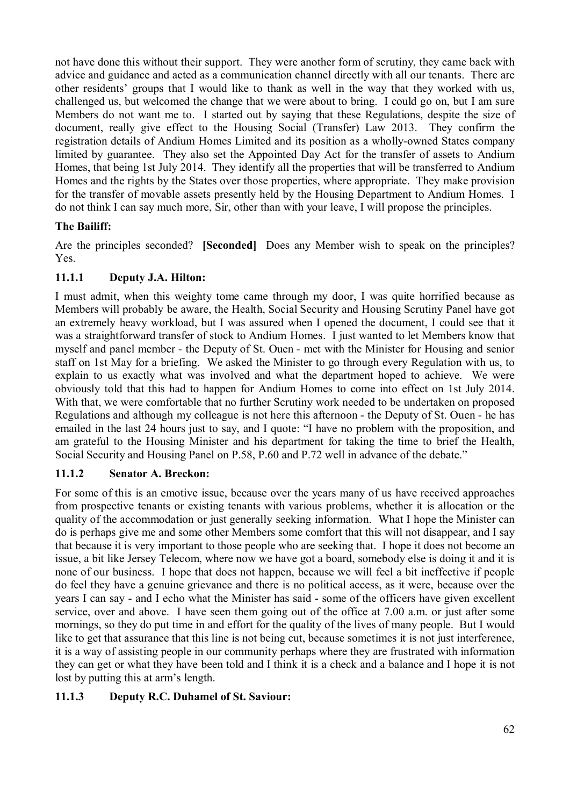not have done this without their support. They were another form of scrutiny, they came back with advice and guidance and acted as a communication channel directly with all our tenants. There are other residents' groups that I would like to thank as well in the way that they worked with us, challenged us, but welcomed the change that we were about to bring. I could go on, but I am sure Members do not want me to. I started out by saying that these Regulations, despite the size of document, really give effect to the Housing Social (Transfer) Law 2013. They confirm the registration details of Andium Homes Limited and its position as a wholly-owned States company limited by guarantee. They also set the Appointed Day Act for the transfer of assets to Andium Homes, that being 1st July 2014. They identify all the properties that will be transferred to Andium Homes and the rights by the States over those properties, where appropriate. They make provision for the transfer of movable assets presently held by the Housing Department to Andium Homes. I do not think I can say much more, Sir, other than with your leave, I will propose the principles.

# **The Bailiff:**

Are the principles seconded? **[Seconded]** Does any Member wish to speak on the principles? Yes.

# **11.1.1 Deputy J.A. Hilton:**

I must admit, when this weighty tome came through my door, I was quite horrified because as Members will probably be aware, the Health, Social Security and Housing Scrutiny Panel have got an extremely heavy workload, but I was assured when I opened the document, I could see that it was a straightforward transfer of stock to Andium Homes. I just wanted to let Members know that myself and panel member - the Deputy of St. Ouen - met with the Minister for Housing and senior staff on 1st May for a briefing. We asked the Minister to go through every Regulation with us, to explain to us exactly what was involved and what the department hoped to achieve. We were obviously told that this had to happen for Andium Homes to come into effect on 1st July 2014. With that, we were comfortable that no further Scrutiny work needed to be undertaken on proposed Regulations and although my colleague is not here this afternoon - the Deputy of St. Ouen - he has emailed in the last 24 hours just to say, and I quote: "I have no problem with the proposition, and am grateful to the Housing Minister and his department for taking the time to brief the Health, Social Security and Housing Panel on P.58, P.60 and P.72 well in advance of the debate."

# **11.1.2 Senator A. Breckon:**

For some of this is an emotive issue, because over the years many of us have received approaches from prospective tenants or existing tenants with various problems, whether it is allocation or the quality of the accommodation or just generally seeking information. What I hope the Minister can do is perhaps give me and some other Members some comfort that this will not disappear, and I say that because it is very important to those people who are seeking that. I hope it does not become an issue, a bit like Jersey Telecom, where now we have got a board, somebody else is doing it and it is none of our business. I hope that does not happen, because we will feel a bit ineffective if people do feel they have a genuine grievance and there is no political access, as it were, because over the years I can say - and I echo what the Minister has said - some of the officers have given excellent service, over and above. I have seen them going out of the office at 7.00 a.m. or just after some mornings, so they do put time in and effort for the quality of the lives of many people. But I would like to get that assurance that this line is not being cut, because sometimes it is not just interference, it is a way of assisting people in our community perhaps where they are frustrated with information they can get or what they have been told and I think it is a check and a balance and I hope it is not lost by putting this at arm's length.

# **11.1.3 Deputy R.C. Duhamel of St. Saviour:**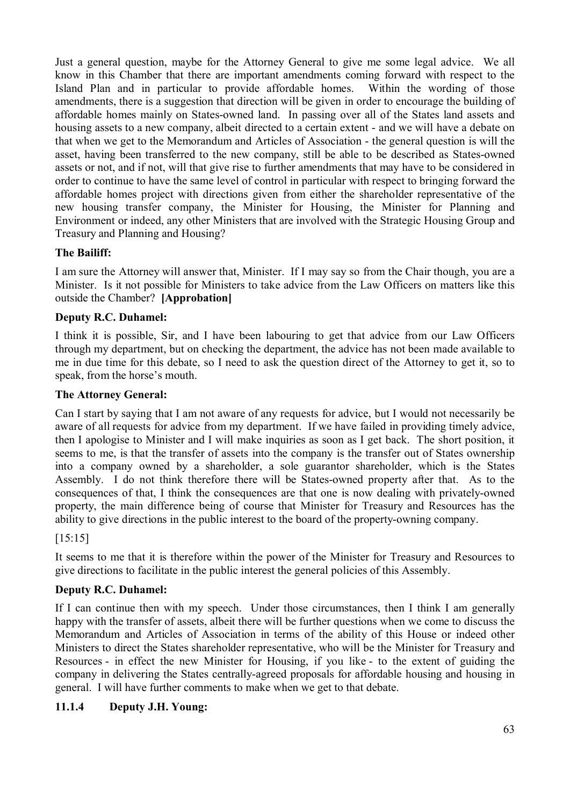Just a general question, maybe for the Attorney General to give me some legal advice. We all know in this Chamber that there are important amendments coming forward with respect to the Island Plan and in particular to provide affordable homes. Within the wording of those amendments, there is a suggestion that direction will be given in order to encourage the building of affordable homes mainly on States-owned land. In passing over all of the States land assets and housing assets to a new company, albeit directed to a certain extent - and we will have a debate on that when we get to the Memorandum and Articles of Association - the general question is will the asset, having been transferred to the new company, still be able to be described as States-owned assets or not, and if not, will that give rise to further amendments that may have to be considered in order to continue to have the same level of control in particular with respect to bringing forward the affordable homes project with directions given from either the shareholder representative of the new housing transfer company, the Minister for Housing, the Minister for Planning and Environment or indeed, any other Ministers that are involved with the Strategic Housing Group and Treasury and Planning and Housing?

# **The Bailiff:**

I am sure the Attorney will answer that, Minister. If I may say so from the Chair though, you are a Minister. Is it not possible for Ministers to take advice from the Law Officers on matters like this outside the Chamber? **[Approbation]**

# **Deputy R.C. Duhamel:**

I think it is possible, Sir, and I have been labouring to get that advice from our Law Officers through my department, but on checking the department, the advice has not been made available to me in due time for this debate, so I need to ask the question direct of the Attorney to get it, so to speak, from the horse's mouth.

# **The Attorney General:**

Can I start by saying that I am not aware of any requests for advice, but I would not necessarily be aware of all requests for advice from my department. If we have failed in providing timely advice, then I apologise to Minister and I will make inquiries as soon as I get back. The short position, it seems to me, is that the transfer of assets into the company is the transfer out of States ownership into a company owned by a shareholder, a sole guarantor shareholder, which is the States Assembly. I do not think therefore there will be States-owned property after that. As to the consequences of that, I think the consequences are that one is now dealing with privately-owned property, the main difference being of course that Minister for Treasury and Resources has the ability to give directions in the public interest to the board of the property-owning company.

[15:15]

It seems to me that it is therefore within the power of the Minister for Treasury and Resources to give directions to facilitate in the public interest the general policies of this Assembly.

# **Deputy R.C. Duhamel:**

If I can continue then with my speech. Under those circumstances, then I think I am generally happy with the transfer of assets, albeit there will be further questions when we come to discuss the Memorandum and Articles of Association in terms of the ability of this House or indeed other Ministers to direct the States shareholder representative, who will be the Minister for Treasury and Resources - in effect the new Minister for Housing, if you like - to the extent of guiding the company in delivering the States centrally-agreed proposals for affordable housing and housing in general. I will have further comments to make when we get to that debate.

# **11.1.4 Deputy J.H. Young:**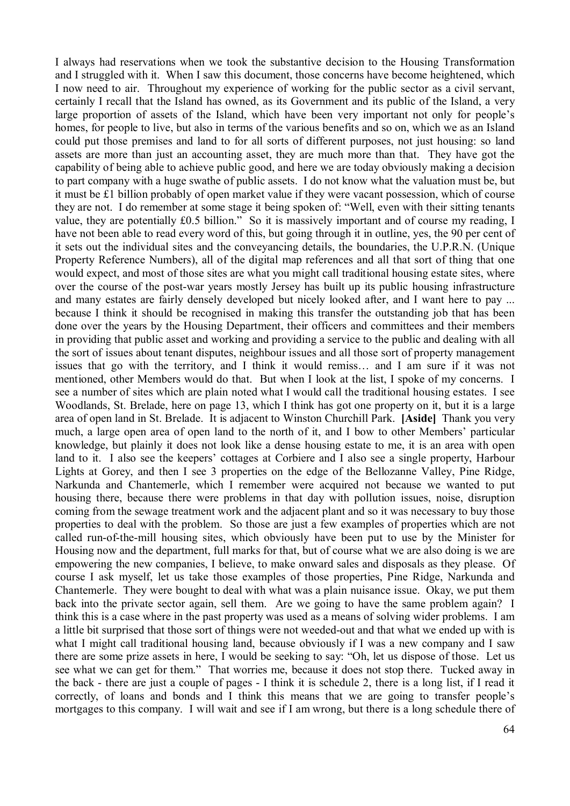I always had reservations when we took the substantive decision to the Housing Transformation and I struggled with it. When I saw this document, those concerns have become heightened, which I now need to air. Throughout my experience of working for the public sector as a civil servant, certainly I recall that the Island has owned, as its Government and its public of the Island, a very large proportion of assets of the Island, which have been very important not only for people's homes, for people to live, but also in terms of the various benefits and so on, which we as an Island could put those premises and land to for all sorts of different purposes, not just housing: so land assets are more than just an accounting asset, they are much more than that. They have got the capability of being able to achieve public good, and here we are today obviously making a decision to part company with a huge swathe of public assets. I do not know what the valuation must be, but it must be £1 billion probably of open market value if they were vacant possession, which of course they are not. I do remember at some stage it being spoken of: "Well, even with their sitting tenants value, they are potentially £0.5 billion." So it is massively important and of course my reading, I have not been able to read every word of this, but going through it in outline, yes, the 90 per cent of it sets out the individual sites and the conveyancing details, the boundaries, the U.P.R.N. (Unique Property Reference Numbers), all of the digital map references and all that sort of thing that one would expect, and most of those sites are what you might call traditional housing estate sites, where over the course of the post-war years mostly Jersey has built up its public housing infrastructure and many estates are fairly densely developed but nicely looked after, and I want here to pay ... because I think it should be recognised in making this transfer the outstanding job that has been done over the years by the Housing Department, their officers and committees and their members in providing that public asset and working and providing a service to the public and dealing with all the sort of issues about tenant disputes, neighbour issues and all those sort of property management issues that go with the territory, and I think it would remiss… and I am sure if it was not mentioned, other Members would do that. But when I look at the list, I spoke of my concerns. I see a number of sites which are plain noted what I would call the traditional housing estates. I see Woodlands, St. Brelade, here on page 13, which I think has got one property on it, but it is a large area of open land in St. Brelade. It is adjacent to Winston Churchill Park. **[Aside]** Thank you very much, a large open area of open land to the north of it, and I bow to other Members' particular knowledge, but plainly it does not look like a dense housing estate to me, it is an area with open land to it. I also see the keepers' cottages at Corbiere and I also see a single property, Harbour Lights at Gorey, and then I see 3 properties on the edge of the Bellozanne Valley, Pine Ridge, Narkunda and Chantemerle, which I remember were acquired not because we wanted to put housing there, because there were problems in that day with pollution issues, noise, disruption coming from the sewage treatment work and the adjacent plant and so it was necessary to buy those properties to deal with the problem. So those are just a few examples of properties which are not called run-of-the-mill housing sites, which obviously have been put to use by the Minister for Housing now and the department, full marks for that, but of course what we are also doing is we are empowering the new companies, I believe, to make onward sales and disposals as they please. Of course I ask myself, let us take those examples of those properties, Pine Ridge, Narkunda and Chantemerle. They were bought to deal with what was a plain nuisance issue. Okay, we put them back into the private sector again, sell them. Are we going to have the same problem again? I think this is a case where in the past property was used as a means of solving wider problems. I am a little bit surprised that those sort of things were not weeded-out and that what we ended up with is what I might call traditional housing land, because obviously if I was a new company and I saw there are some prize assets in here, I would be seeking to say: "Oh, let us dispose of those. Let us see what we can get for them." That worries me, because it does not stop there. Tucked away in the back - there are just a couple of pages - I think it is schedule 2, there is a long list, if I read it correctly, of loans and bonds and I think this means that we are going to transfer people's mortgages to this company. I will wait and see if I am wrong, but there is a long schedule there of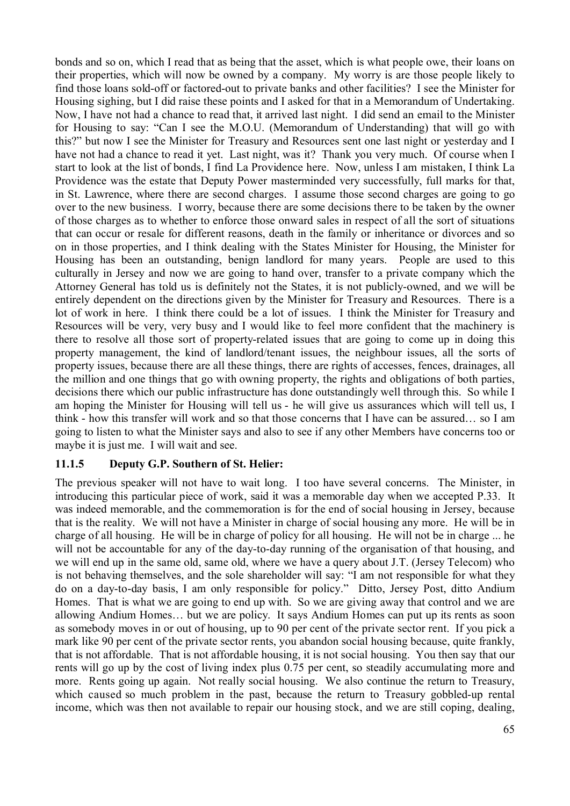bonds and so on, which I read that as being that the asset, which is what people owe, their loans on their properties, which will now be owned by a company. My worry is are those people likely to find those loans sold-off or factored-out to private banks and other facilities? I see the Minister for Housing sighing, but I did raise these points and I asked for that in a Memorandum of Undertaking. Now, I have not had a chance to read that, it arrived last night. I did send an email to the Minister for Housing to say: "Can I see the M.O.U. (Memorandum of Understanding) that will go with this?" but now I see the Minister for Treasury and Resources sent one last night or yesterday and I have not had a chance to read it yet. Last night, was it? Thank you very much. Of course when I start to look at the list of bonds, I find La Providence here. Now, unless I am mistaken, I think La Providence was the estate that Deputy Power masterminded very successfully, full marks for that, in St. Lawrence, where there are second charges. I assume those second charges are going to go over to the new business. I worry, because there are some decisions there to be taken by the owner of those charges as to whether to enforce those onward sales in respect of all the sort of situations that can occur or resale for different reasons, death in the family or inheritance or divorces and so on in those properties, and I think dealing with the States Minister for Housing, the Minister for Housing has been an outstanding, benign landlord for many years. People are used to this culturally in Jersey and now we are going to hand over, transfer to a private company which the Attorney General has told us is definitely not the States, it is not publicly-owned, and we will be entirely dependent on the directions given by the Minister for Treasury and Resources. There is a lot of work in here. I think there could be a lot of issues. I think the Minister for Treasury and Resources will be very, very busy and I would like to feel more confident that the machinery is there to resolve all those sort of property-related issues that are going to come up in doing this property management, the kind of landlord/tenant issues, the neighbour issues, all the sorts of property issues, because there are all these things, there are rights of accesses, fences, drainages, all the million and one things that go with owning property, the rights and obligations of both parties, decisions there which our public infrastructure has done outstandingly well through this. So while I am hoping the Minister for Housing will tell us - he will give us assurances which will tell us, I think - how this transfer will work and so that those concerns that I have can be assured… so I am going to listen to what the Minister says and also to see if any other Members have concerns too or maybe it is just me. I will wait and see.

## **11.1.5 Deputy G.P. Southern of St. Helier:**

The previous speaker will not have to wait long. I too have several concerns. The Minister, in introducing this particular piece of work, said it was a memorable day when we accepted P.33. It was indeed memorable, and the commemoration is for the end of social housing in Jersey, because that is the reality. We will not have a Minister in charge of social housing any more. He will be in charge of all housing. He will be in charge of policy for all housing. He will not be in charge ... he will not be accountable for any of the day-to-day running of the organisation of that housing, and we will end up in the same old, same old, where we have a query about J.T. (Jersey Telecom) who is not behaving themselves, and the sole shareholder will say: "I am not responsible for what they do on a day-to-day basis, I am only responsible for policy." Ditto, Jersey Post, ditto Andium Homes. That is what we are going to end up with. So we are giving away that control and we are allowing Andium Homes… but we are policy. It says Andium Homes can put up its rents as soon as somebody moves in or out of housing, up to 90 per cent of the private sector rent. If you pick a mark like 90 per cent of the private sector rents, you abandon social housing because, quite frankly, that is not affordable. That is not affordable housing, it is not social housing. You then say that our rents will go up by the cost of living index plus 0.75 per cent, so steadily accumulating more and more. Rents going up again. Not really social housing. We also continue the return to Treasury, which caused so much problem in the past, because the return to Treasury gobbled-up rental income, which was then not available to repair our housing stock, and we are still coping, dealing,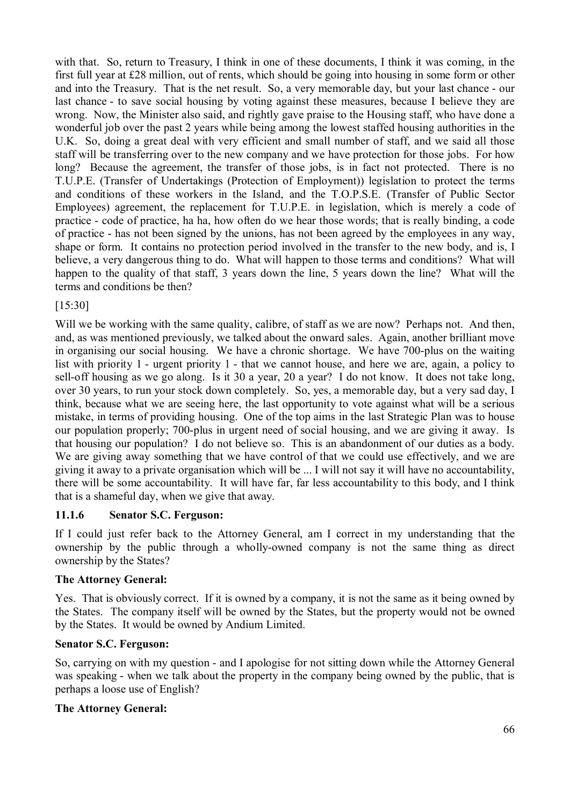with that. So, return to Treasury, I think in one of these documents, I think it was coming, in the first full year at £28 million, out of rents, which should be going into housing in some form or other and into the Treasury. That is the net result. So, a very memorable day, but your last chance - our last chance - to save social housing by voting against these measures, because I believe they are wrong. Now, the Minister also said, and rightly gave praise to the Housing staff, who have done a wonderful job over the past 2 years while being among the lowest staffed housing authorities in the U.K. So, doing a great deal with very efficient and small number of staff, and we said all those staff will be transferring over to the new company and we have protection for those jobs. For how long? Because the agreement, the transfer of those jobs, is in fact not protected. There is no T.U.P.E. (Transfer of Undertakings (Protection of Employment)) legislation to protect the terms and conditions of these workers in the Island, and the T.O.P.S.E. (Transfer of Public Sector Employees) agreement, the replacement for T.U.P.E. in legislation, which is merely a code of practice - code of practice, ha ha, how often do we hear those words; that is really binding, a code of practice - has not been signed by the unions, has not been agreed by the employees in any way, shape or form. It contains no protection period involved in the transfer to the new body, and is, I believe, a very dangerous thing to do. What will happen to those terms and conditions? What will happen to the quality of that staff, 3 years down the line, 5 years down the line? What will the terms and conditions be then?

## [15:30]

Will we be working with the same quality, calibre, of staff as we are now? Perhaps not. And then, and, as was mentioned previously, we talked about the onward sales. Again, another brilliant move in organising our social housing. We have a chronic shortage. We have 700-plus on the waiting list with priority 1 - urgent priority 1 - that we cannot house, and here we are, again, a policy to sell-off housing as we go along. Is it 30 a year, 20 a year? I do not know. It does not take long, over 30 years, to run your stock down completely. So, yes, a memorable day, but a very sad day, I think, because what we are seeing here, the last opportunity to vote against what will be a serious mistake, in terms of providing housing. One of the top aims in the last Strategic Plan was to house our population properly; 700-plus in urgent need of social housing, and we are giving it away. Is that housing our population? I do not believe so. This is an abandonment of our duties as a body. We are giving away something that we have control of that we could use effectively, and we are giving it away to a private organisation which will be ... I will not say it will have no accountability, there will be some accountability. It will have far, far less accountability to this body, and I think that is a shameful day, when we give that away.

## **11.1.6 Senator S.C. Ferguson:**

If I could just refer back to the Attorney General, am I correct in my understanding that the ownership by the public through a wholly-owned company is not the same thing as direct ownership by the States?

## **The Attorney General:**

Yes. That is obviously correct. If it is owned by a company, it is not the same as it being owned by the States. The company itself will be owned by the States, but the property would not be owned by the States. It would be owned by Andium Limited.

## **Senator S.C. Ferguson:**

So, carrying on with my question - and I apologise for not sitting down while the Attorney General was speaking - when we talk about the property in the company being owned by the public, that is perhaps a loose use of English?

## **The Attorney General:**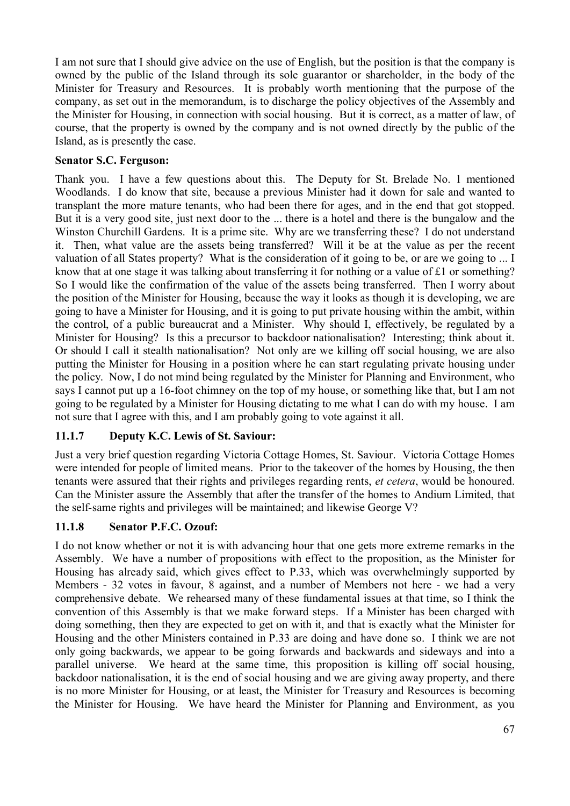I am not sure that I should give advice on the use of English, but the position is that the company is owned by the public of the Island through its sole guarantor or shareholder, in the body of the Minister for Treasury and Resources. It is probably worth mentioning that the purpose of the company, as set out in the memorandum, is to discharge the policy objectives of the Assembly and the Minister for Housing, in connection with social housing. But it is correct, as a matter of law, of course, that the property is owned by the company and is not owned directly by the public of the Island, as is presently the case.

# **Senator S.C. Ferguson:**

Thank you. I have a few questions about this. The Deputy for St. Brelade No. 1 mentioned Woodlands. I do know that site, because a previous Minister had it down for sale and wanted to transplant the more mature tenants, who had been there for ages, and in the end that got stopped. But it is a very good site, just next door to the ... there is a hotel and there is the bungalow and the Winston Churchill Gardens. It is a prime site. Why are we transferring these? I do not understand it. Then, what value are the assets being transferred? Will it be at the value as per the recent valuation of all States property? What is the consideration of it going to be, or are we going to ... I know that at one stage it was talking about transferring it for nothing or a value of £1 or something? So I would like the confirmation of the value of the assets being transferred. Then I worry about the position of the Minister for Housing, because the way it looks as though it is developing, we are going to have a Minister for Housing, and it is going to put private housing within the ambit, within the control, of a public bureaucrat and a Minister. Why should I, effectively, be regulated by a Minister for Housing? Is this a precursor to backdoor nationalisation? Interesting; think about it. Or should I call it stealth nationalisation? Not only are we killing off social housing, we are also putting the Minister for Housing in a position where he can start regulating private housing under the policy. Now, I do not mind being regulated by the Minister for Planning and Environment, who says I cannot put up a 16-foot chimney on the top of my house, or something like that, but I am not going to be regulated by a Minister for Housing dictating to me what I can do with my house. I am not sure that I agree with this, and I am probably going to vote against it all.

# **11.1.7 Deputy K.C. Lewis of St. Saviour:**

Just a very brief question regarding Victoria Cottage Homes, St. Saviour. Victoria Cottage Homes were intended for people of limited means. Prior to the takeover of the homes by Housing, the then tenants were assured that their rights and privileges regarding rents, *et cetera*, would be honoured. Can the Minister assure the Assembly that after the transfer of the homes to Andium Limited, that the self-same rights and privileges will be maintained; and likewise George V?

## **11.1.8 Senator P.F.C. Ozouf:**

I do not know whether or not it is with advancing hour that one gets more extreme remarks in the Assembly. We have a number of propositions with effect to the proposition, as the Minister for Housing has already said, which gives effect to P.33, which was overwhelmingly supported by Members - 32 votes in favour, 8 against, and a number of Members not here - we had a very comprehensive debate. We rehearsed many of these fundamental issues at that time, so I think the convention of this Assembly is that we make forward steps. If a Minister has been charged with doing something, then they are expected to get on with it, and that is exactly what the Minister for Housing and the other Ministers contained in P.33 are doing and have done so. I think we are not only going backwards, we appear to be going forwards and backwards and sideways and into a parallel universe. We heard at the same time, this proposition is killing off social housing, backdoor nationalisation, it is the end of social housing and we are giving away property, and there is no more Minister for Housing, or at least, the Minister for Treasury and Resources is becoming the Minister for Housing. We have heard the Minister for Planning and Environment, as you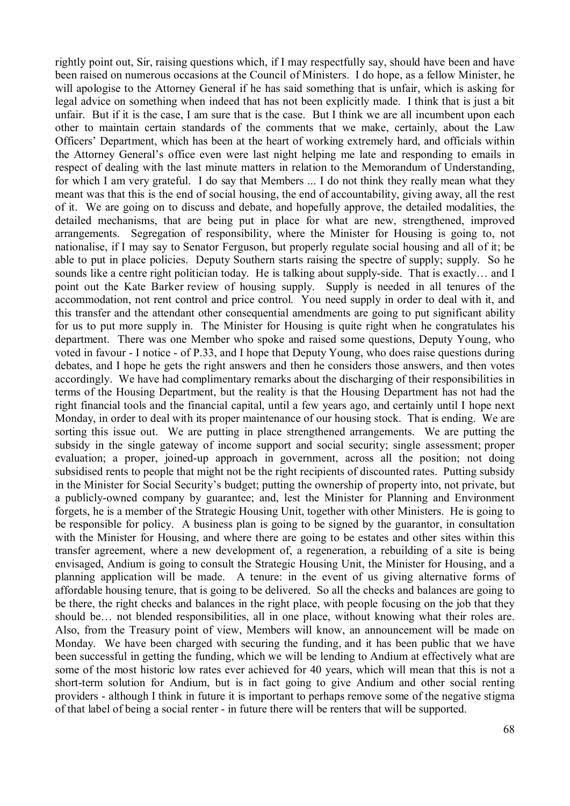rightly point out, Sir, raising questions which, if I may respectfully say, should have been and have been raised on numerous occasions at the Council of Ministers. I do hope, as a fellow Minister, he will apologise to the Attorney General if he has said something that is unfair, which is asking for legal advice on something when indeed that has not been explicitly made. I think that is just a bit unfair. But if it is the case, I am sure that is the case. But I think we are all incumbent upon each other to maintain certain standards of the comments that we make, certainly, about the Law Officers' Department, which has been at the heart of working extremely hard, and officials within the Attorney General's office even were last night helping me late and responding to emails in respect of dealing with the last minute matters in relation to the Memorandum of Understanding, for which I am very grateful. I do say that Members ... I do not think they really mean what they meant was that this is the end of social housing, the end of accountability, giving away, all the rest of it. We are going on to discuss and debate, and hopefully approve, the detailed modalities, the detailed mechanisms, that are being put in place for what are new, strengthened, improved arrangements. Segregation of responsibility, where the Minister for Housing is going to, not nationalise, if I may say to Senator Ferguson, but properly regulate social housing and all of it; be able to put in place policies. Deputy Southern starts raising the spectre of supply; supply. So he sounds like a centre right politician today. He is talking about supply-side. That is exactly… and I point out the Kate Barker review of housing supply. Supply is needed in all tenures of the accommodation, not rent control and price control. You need supply in order to deal with it, and this transfer and the attendant other consequential amendments are going to put significant ability for us to put more supply in. The Minister for Housing is quite right when he congratulates his department. There was one Member who spoke and raised some questions, Deputy Young, who voted in favour - I notice - of P.33, and I hope that Deputy Young, who does raise questions during debates, and I hope he gets the right answers and then he considers those answers, and then votes accordingly. We have had complimentary remarks about the discharging of their responsibilities in terms of the Housing Department, but the reality is that the Housing Department has not had the right financial tools and the financial capital, until a few years ago, and certainly until I hope next Monday, in order to deal with its proper maintenance of our housing stock. That is ending. We are sorting this issue out. We are putting in place strengthened arrangements. We are putting the subsidy in the single gateway of income support and social security; single assessment; proper evaluation; a proper, joined-up approach in government, across all the position; not doing subsidised rents to people that might not be the right recipients of discounted rates. Putting subsidy in the Minister for Social Security's budget; putting the ownership of property into, not private, but a publicly-owned company by guarantee; and, lest the Minister for Planning and Environment forgets, he is a member of the Strategic Housing Unit, together with other Ministers. He is going to be responsible for policy. A business plan is going to be signed by the guarantor, in consultation with the Minister for Housing, and where there are going to be estates and other sites within this transfer agreement, where a new development of, a regeneration, a rebuilding of a site is being envisaged, Andium is going to consult the Strategic Housing Unit, the Minister for Housing, and a planning application will be made. A tenure: in the event of us giving alternative forms of affordable housing tenure, that is going to be delivered. So all the checks and balances are going to be there, the right checks and balances in the right place, with people focusing on the job that they should be… not blended responsibilities, all in one place, without knowing what their roles are. Also, from the Treasury point of view, Members will know, an announcement will be made on Monday. We have been charged with securing the funding, and it has been public that we have been successful in getting the funding, which we will be lending to Andium at effectively what are some of the most historic low rates ever achieved for 40 years, which will mean that this is not a short-term solution for Andium, but is in fact going to give Andium and other social renting providers - although I think in future it is important to perhaps remove some of the negative stigma of that label of being a social renter - in future there will be renters that will be supported.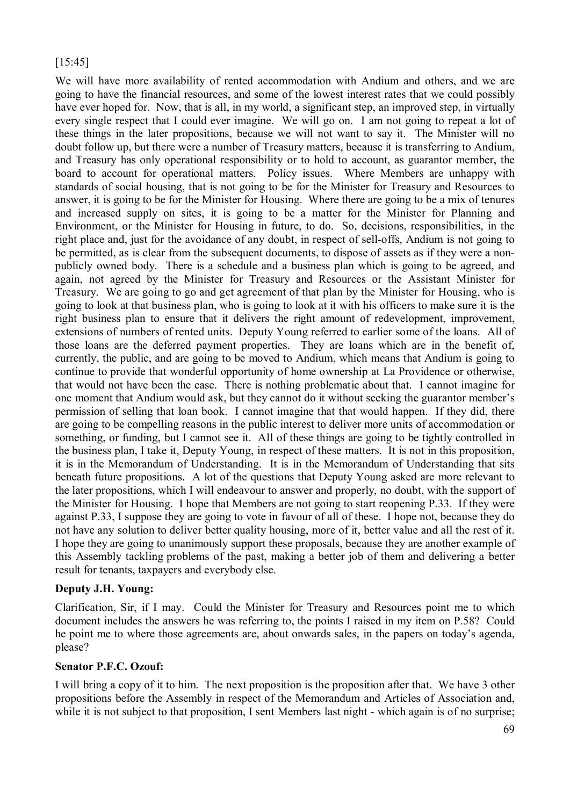## [15:45]

We will have more availability of rented accommodation with Andium and others, and we are going to have the financial resources, and some of the lowest interest rates that we could possibly have ever hoped for. Now, that is all, in my world, a significant step, an improved step, in virtually every single respect that I could ever imagine. We will go on. I am not going to repeat a lot of these things in the later propositions, because we will not want to say it. The Minister will no doubt follow up, but there were a number of Treasury matters, because it is transferring to Andium, and Treasury has only operational responsibility or to hold to account, as guarantor member, the board to account for operational matters. Policy issues. Where Members are unhappy with standards of social housing, that is not going to be for the Minister for Treasury and Resources to answer, it is going to be for the Minister for Housing. Where there are going to be a mix of tenures and increased supply on sites, it is going to be a matter for the Minister for Planning and Environment, or the Minister for Housing in future, to do. So, decisions, responsibilities, in the right place and, just for the avoidance of any doubt, in respect of sell-offs, Andium is not going to be permitted, as is clear from the subsequent documents, to dispose of assets as if they were a nonpublicly owned body. There is a schedule and a business plan which is going to be agreed, and again, not agreed by the Minister for Treasury and Resources or the Assistant Minister for Treasury. We are going to go and get agreement of that plan by the Minister for Housing, who is going to look at that business plan, who is going to look at it with his officers to make sure it is the right business plan to ensure that it delivers the right amount of redevelopment, improvement, extensions of numbers of rented units. Deputy Young referred to earlier some of the loans. All of those loans are the deferred payment properties. They are loans which are in the benefit of, currently, the public, and are going to be moved to Andium, which means that Andium is going to continue to provide that wonderful opportunity of home ownership at La Providence or otherwise, that would not have been the case. There is nothing problematic about that. I cannot imagine for one moment that Andium would ask, but they cannot do it without seeking the guarantor member's permission of selling that loan book. I cannot imagine that that would happen. If they did, there are going to be compelling reasons in the public interest to deliver more units of accommodation or something, or funding, but I cannot see it. All of these things are going to be tightly controlled in the business plan, I take it, Deputy Young, in respect of these matters. It is not in this proposition, it is in the Memorandum of Understanding. It is in the Memorandum of Understanding that sits beneath future propositions. A lot of the questions that Deputy Young asked are more relevant to the later propositions, which I will endeavour to answer and properly, no doubt, with the support of the Minister for Housing. I hope that Members are not going to start reopening P.33. If they were against P.33, I suppose they are going to vote in favour of all of these. I hope not, because they do not have any solution to deliver better quality housing, more of it, better value and all the rest of it. I hope they are going to unanimously support these proposals, because they are another example of this Assembly tackling problems of the past, making a better job of them and delivering a better result for tenants, taxpayers and everybody else.

## **Deputy J.H. Young:**

Clarification, Sir, if I may. Could the Minister for Treasury and Resources point me to which document includes the answers he was referring to, the points I raised in my item on P.58? Could he point me to where those agreements are, about onwards sales, in the papers on today's agenda, please?

## **Senator P.F.C. Ozouf:**

I will bring a copy of it to him. The next proposition is the proposition after that. We have 3 other propositions before the Assembly in respect of the Memorandum and Articles of Association and, while it is not subject to that proposition, I sent Members last night - which again is of no surprise;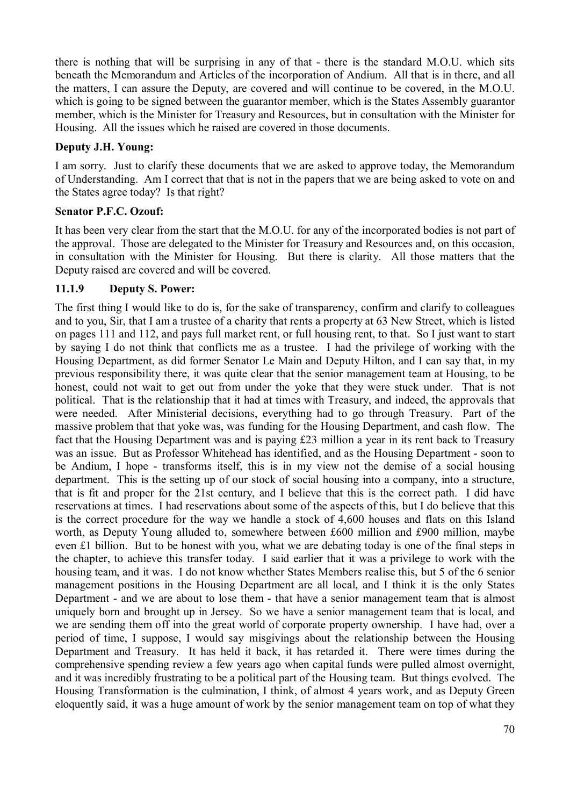there is nothing that will be surprising in any of that - there is the standard M.O.U. which sits beneath the Memorandum and Articles of the incorporation of Andium. All that is in there, and all the matters, I can assure the Deputy, are covered and will continue to be covered, in the M.O.U. which is going to be signed between the guarantor member, which is the States Assembly guarantor member, which is the Minister for Treasury and Resources, but in consultation with the Minister for Housing. All the issues which he raised are covered in those documents.

# **Deputy J.H. Young:**

I am sorry. Just to clarify these documents that we are asked to approve today, the Memorandum of Understanding. Am I correct that that is not in the papers that we are being asked to vote on and the States agree today? Is that right?

## **Senator P.F.C. Ozouf:**

It has been very clear from the start that the M.O.U. for any of the incorporated bodies is not part of the approval. Those are delegated to the Minister for Treasury and Resources and, on this occasion, in consultation with the Minister for Housing. But there is clarity. All those matters that the Deputy raised are covered and will be covered.

# **11.1.9 Deputy S. Power:**

The first thing I would like to do is, for the sake of transparency, confirm and clarify to colleagues and to you, Sir, that I am a trustee of a charity that rents a property at 63 New Street, which is listed on pages 111 and 112, and pays full market rent, or full housing rent, to that. So I just want to start by saying I do not think that conflicts me as a trustee. I had the privilege of working with the Housing Department, as did former Senator Le Main and Deputy Hilton, and I can say that, in my previous responsibility there, it was quite clear that the senior management team at Housing, to be honest, could not wait to get out from under the yoke that they were stuck under. That is not political. That is the relationship that it had at times with Treasury, and indeed, the approvals that were needed. After Ministerial decisions, everything had to go through Treasury. Part of the massive problem that that yoke was, was funding for the Housing Department, and cash flow. The fact that the Housing Department was and is paying £23 million a year in its rent back to Treasury was an issue. But as Professor Whitehead has identified, and as the Housing Department - soon to be Andium, I hope - transforms itself, this is in my view not the demise of a social housing department. This is the setting up of our stock of social housing into a company, into a structure, that is fit and proper for the 21st century, and I believe that this is the correct path. I did have reservations at times. I had reservations about some of the aspects of this, but I do believe that this is the correct procedure for the way we handle a stock of 4,600 houses and flats on this Island worth, as Deputy Young alluded to, somewhere between £600 million and £900 million, maybe even £1 billion. But to be honest with you, what we are debating today is one of the final steps in the chapter, to achieve this transfer today. I said earlier that it was a privilege to work with the housing team, and it was. I do not know whether States Members realise this, but 5 of the 6 senior management positions in the Housing Department are all local, and I think it is the only States Department - and we are about to lose them - that have a senior management team that is almost uniquely born and brought up in Jersey. So we have a senior management team that is local, and we are sending them off into the great world of corporate property ownership. I have had, over a period of time, I suppose, I would say misgivings about the relationship between the Housing Department and Treasury. It has held it back, it has retarded it. There were times during the comprehensive spending review a few years ago when capital funds were pulled almost overnight, and it was incredibly frustrating to be a political part of the Housing team. But things evolved. The Housing Transformation is the culmination, I think, of almost 4 years work, and as Deputy Green eloquently said, it was a huge amount of work by the senior management team on top of what they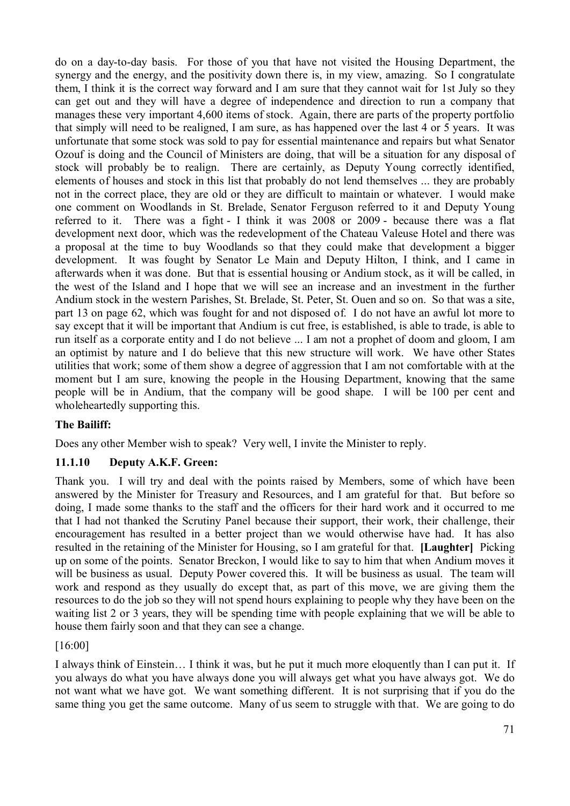do on a day-to-day basis. For those of you that have not visited the Housing Department, the synergy and the energy, and the positivity down there is, in my view, amazing. So I congratulate them, I think it is the correct way forward and I am sure that they cannot wait for 1st July so they can get out and they will have a degree of independence and direction to run a company that manages these very important 4,600 items of stock. Again, there are parts of the property portfolio that simply will need to be realigned, I am sure, as has happened over the last 4 or 5 years. It was unfortunate that some stock was sold to pay for essential maintenance and repairs but what Senator Ozouf is doing and the Council of Ministers are doing, that will be a situation for any disposal of stock will probably be to realign. There are certainly, as Deputy Young correctly identified, elements of houses and stock in this list that probably do not lend themselves ... they are probably not in the correct place, they are old or they are difficult to maintain or whatever. I would make one comment on Woodlands in St. Brelade, Senator Ferguson referred to it and Deputy Young referred to it. There was a fight - I think it was 2008 or 2009 - because there was a flat development next door, which was the redevelopment of the Chateau Valeuse Hotel and there was a proposal at the time to buy Woodlands so that they could make that development a bigger development. It was fought by Senator Le Main and Deputy Hilton, I think, and I came in afterwards when it was done. But that is essential housing or Andium stock, as it will be called, in the west of the Island and I hope that we will see an increase and an investment in the further Andium stock in the western Parishes, St. Brelade, St. Peter, St. Ouen and so on. So that was a site, part 13 on page 62, which was fought for and not disposed of. I do not have an awful lot more to say except that it will be important that Andium is cut free, is established, is able to trade, is able to run itself as a corporate entity and I do not believe ... I am not a prophet of doom and gloom, I am an optimist by nature and I do believe that this new structure will work. We have other States utilities that work; some of them show a degree of aggression that I am not comfortable with at the moment but I am sure, knowing the people in the Housing Department, knowing that the same people will be in Andium, that the company will be good shape. I will be 100 per cent and wholeheartedly supporting this.

# **The Bailiff:**

Does any other Member wish to speak? Very well, I invite the Minister to reply.

## **11.1.10 Deputy A.K.F. Green:**

Thank you. I will try and deal with the points raised by Members, some of which have been answered by the Minister for Treasury and Resources, and I am grateful for that. But before so doing, I made some thanks to the staff and the officers for their hard work and it occurred to me that I had not thanked the Scrutiny Panel because their support, their work, their challenge, their encouragement has resulted in a better project than we would otherwise have had. It has also resulted in the retaining of the Minister for Housing, so I am grateful for that. **[Laughter]** Picking up on some of the points. Senator Breckon, I would like to say to him that when Andium moves it will be business as usual. Deputy Power covered this. It will be business as usual. The team will work and respond as they usually do except that, as part of this move, we are giving them the resources to do the job so they will not spend hours explaining to people why they have been on the waiting list 2 or 3 years, they will be spending time with people explaining that we will be able to house them fairly soon and that they can see a change.

[16:00]

I always think of Einstein… I think it was, but he put it much more eloquently than I can put it. If you always do what you have always done you will always get what you have always got. We do not want what we have got. We want something different. It is not surprising that if you do the same thing you get the same outcome. Many of us seem to struggle with that. We are going to do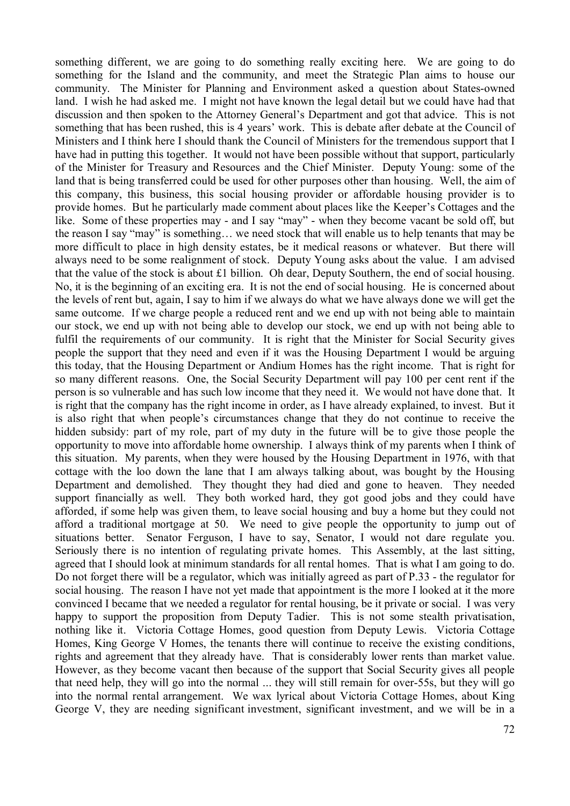something different, we are going to do something really exciting here. We are going to do something for the Island and the community, and meet the Strategic Plan aims to house our community. The Minister for Planning and Environment asked a question about States-owned land. I wish he had asked me. I might not have known the legal detail but we could have had that discussion and then spoken to the Attorney General's Department and got that advice. This is not something that has been rushed, this is 4 years' work. This is debate after debate at the Council of Ministers and I think here I should thank the Council of Ministers for the tremendous support that I have had in putting this together. It would not have been possible without that support, particularly of the Minister for Treasury and Resources and the Chief Minister. Deputy Young: some of the land that is being transferred could be used for other purposes other than housing. Well, the aim of this company, this business, this social housing provider or affordable housing provider is to provide homes. But he particularly made comment about places like the Keeper's Cottages and the like. Some of these properties may - and I say "may" - when they become vacant be sold off, but the reason I say "may" is something… we need stock that will enable us to help tenants that may be more difficult to place in high density estates, be it medical reasons or whatever. But there will always need to be some realignment of stock. Deputy Young asks about the value. I am advised that the value of the stock is about £1 billion. Oh dear, Deputy Southern, the end of social housing. No, it is the beginning of an exciting era. It is not the end of social housing. He is concerned about the levels of rent but, again, I say to him if we always do what we have always done we will get the same outcome. If we charge people a reduced rent and we end up with not being able to maintain our stock, we end up with not being able to develop our stock, we end up with not being able to fulfil the requirements of our community. It is right that the Minister for Social Security gives people the support that they need and even if it was the Housing Department I would be arguing this today, that the Housing Department or Andium Homes has the right income. That is right for so many different reasons. One, the Social Security Department will pay 100 per cent rent if the person is so vulnerable and has such low income that they need it. We would not have done that. It is right that the company has the right income in order, as I have already explained, to invest. But it is also right that when people's circumstances change that they do not continue to receive the hidden subsidy: part of my role, part of my duty in the future will be to give those people the opportunity to move into affordable home ownership. I always think of my parents when I think of this situation. My parents, when they were housed by the Housing Department in 1976, with that cottage with the loo down the lane that I am always talking about, was bought by the Housing Department and demolished. They thought they had died and gone to heaven. They needed support financially as well. They both worked hard, they got good jobs and they could have afforded, if some help was given them, to leave social housing and buy a home but they could not afford a traditional mortgage at 50. We need to give people the opportunity to jump out of situations better. Senator Ferguson, I have to say, Senator, I would not dare regulate you. Seriously there is no intention of regulating private homes. This Assembly, at the last sitting, agreed that I should look at minimum standards for all rental homes. That is what I am going to do. Do not forget there will be a regulator, which was initially agreed as part of P.33 - the regulator for social housing. The reason I have not yet made that appointment is the more I looked at it the more convinced I became that we needed a regulator for rental housing, be it private or social. I was very happy to support the proposition from Deputy Tadier. This is not some stealth privatisation, nothing like it. Victoria Cottage Homes, good question from Deputy Lewis. Victoria Cottage Homes, King George V Homes, the tenants there will continue to receive the existing conditions, rights and agreement that they already have. That is considerably lower rents than market value. However, as they become vacant then because of the support that Social Security gives all people that need help, they will go into the normal ... they will still remain for over-55s, but they will go into the normal rental arrangement. We wax lyrical about Victoria Cottage Homes, about King George V, they are needing significant investment, significant investment, and we will be in a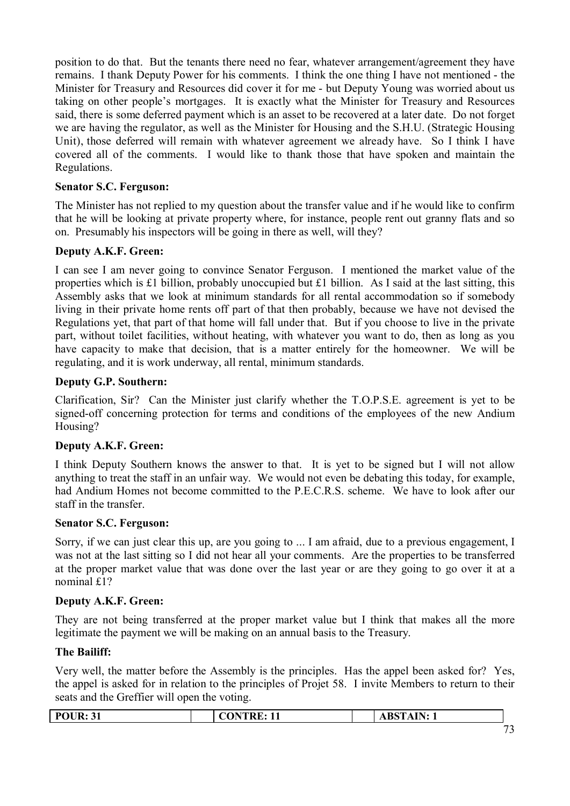position to do that. But the tenants there need no fear, whatever arrangement/agreement they have remains. I thank Deputy Power for his comments. I think the one thing I have not mentioned - the Minister for Treasury and Resources did cover it for me - but Deputy Young was worried about us taking on other people's mortgages. It is exactly what the Minister for Treasury and Resources said, there is some deferred payment which is an asset to be recovered at a later date. Do not forget we are having the regulator, as well as the Minister for Housing and the S.H.U. (Strategic Housing Unit), those deferred will remain with whatever agreement we already have. So I think I have covered all of the comments. I would like to thank those that have spoken and maintain the Regulations.

### **Senator S.C. Ferguson:**

The Minister has not replied to my question about the transfer value and if he would like to confirm that he will be looking at private property where, for instance, people rent out granny flats and so on. Presumably his inspectors will be going in there as well, will they?

# **Deputy A.K.F. Green:**

I can see I am never going to convince Senator Ferguson. I mentioned the market value of the properties which is £1 billion, probably unoccupied but £1 billion. As I said at the last sitting, this Assembly asks that we look at minimum standards for all rental accommodation so if somebody living in their private home rents off part of that then probably, because we have not devised the Regulations yet, that part of that home will fall under that. But if you choose to live in the private part, without toilet facilities, without heating, with whatever you want to do, then as long as you have capacity to make that decision, that is a matter entirely for the homeowner. We will be regulating, and it is work underway, all rental, minimum standards.

### **Deputy G.P. Southern:**

Clarification, Sir? Can the Minister just clarify whether the T.O.P.S.E. agreement is yet to be signed-off concerning protection for terms and conditions of the employees of the new Andium Housing?

### **Deputy A.K.F. Green:**

I think Deputy Southern knows the answer to that. It is yet to be signed but I will not allow anything to treat the staff in an unfair way. We would not even be debating this today, for example, had Andium Homes not become committed to the P.E.C.R.S. scheme. We have to look after our staff in the transfer.

### **Senator S.C. Ferguson:**

Sorry, if we can just clear this up, are you going to ... I am afraid, due to a previous engagement, I was not at the last sitting so I did not hear all your comments. Are the properties to be transferred at the proper market value that was done over the last year or are they going to go over it at a nominal £1?

# **Deputy A.K.F. Green:**

They are not being transferred at the proper market value but I think that makes all the more legitimate the payment we will be making on an annual basis to the Treasury.

### **The Bailiff:**

Very well, the matter before the Assembly is the principles. Has the appel been asked for? Yes, the appel is asked for in relation to the principles of Projet 58. I invite Members to return to their seats and the Greffier will open the voting.

| <b>POUR: 31</b> | <b>ONTRE</b><br>11<br>$\mathbf{H}$ | $\mathbf{A}$ IN $\cdot$<br><b>AD</b><br>. |              |
|-----------------|------------------------------------|-------------------------------------------|--------------|
|                 |                                    |                                           | $\mathbf{a}$ |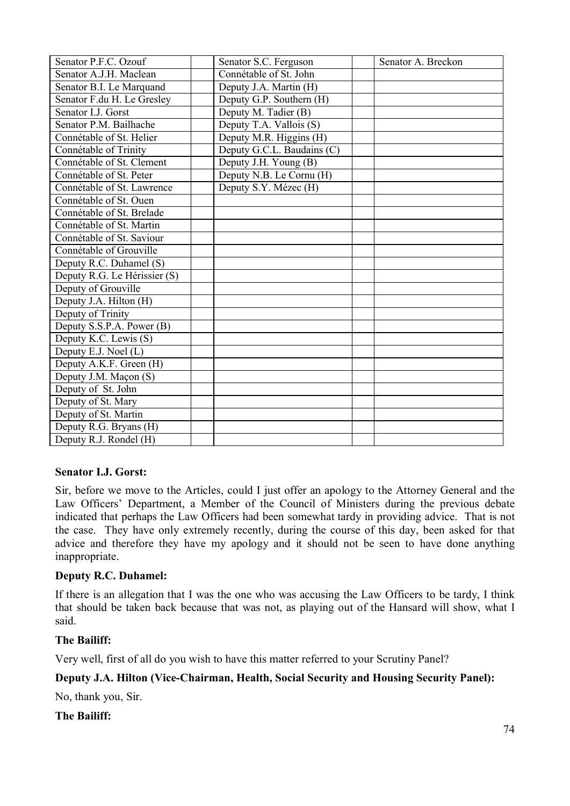| Senator P.F.C. Ozouf         | Senator S.C. Ferguson      | Senator A. Breckon |
|------------------------------|----------------------------|--------------------|
| Senator A.J.H. Maclean       | Connétable of St. John     |                    |
| Senator B.I. Le Marquand     | Deputy J.A. Martin (H)     |                    |
| Senator F.du H. Le Gresley   | Deputy G.P. Southern (H)   |                    |
| Senator I.J. Gorst           | Deputy M. Tadier (B)       |                    |
| Senator P.M. Bailhache       | Deputy T.A. Vallois (S)    |                    |
| Connétable of St. Helier     | Deputy M.R. Higgins (H)    |                    |
| Connétable of Trinity        | Deputy G.C.L. Baudains (C) |                    |
| Connétable of St. Clement    | Deputy J.H. Young (B)      |                    |
| Connétable of St. Peter      | Deputy N.B. Le Cornu (H)   |                    |
| Connétable of St. Lawrence   | Deputy S.Y. Mézec (H)      |                    |
| Connétable of St. Ouen       |                            |                    |
| Connétable of St. Brelade    |                            |                    |
| Connétable of St. Martin     |                            |                    |
| Connétable of St. Saviour    |                            |                    |
| Connétable of Grouville      |                            |                    |
| Deputy R.C. Duhamel (S)      |                            |                    |
| Deputy R.G. Le Hérissier (S) |                            |                    |
| Deputy of Grouville          |                            |                    |
| Deputy J.A. Hilton (H)       |                            |                    |
| Deputy of Trinity            |                            |                    |
| Deputy S.S.P.A. Power (B)    |                            |                    |
| Deputy K.C. Lewis (S)        |                            |                    |
| Deputy E.J. Noel (L)         |                            |                    |
| Deputy A.K.F. Green (H)      |                            |                    |
| Deputy J.M. Maçon (S)        |                            |                    |
| Deputy of St. John           |                            |                    |
| Deputy of St. Mary           |                            |                    |
| Deputy of St. Martin         |                            |                    |
| Deputy R.G. Bryans (H)       |                            |                    |
| Deputy R.J. Rondel (H)       |                            |                    |

### **Senator I.J. Gorst:**

Sir, before we move to the Articles, could I just offer an apology to the Attorney General and the Law Officers' Department, a Member of the Council of Ministers during the previous debate indicated that perhaps the Law Officers had been somewhat tardy in providing advice. That is not the case. They have only extremely recently, during the course of this day, been asked for that advice and therefore they have my apology and it should not be seen to have done anything inappropriate.

### **Deputy R.C. Duhamel:**

If there is an allegation that I was the one who was accusing the Law Officers to be tardy, I think that should be taken back because that was not, as playing out of the Hansard will show, what I said.

### **The Bailiff:**

Very well, first of all do you wish to have this matter referred to your Scrutiny Panel?

### **Deputy J.A. Hilton (Vice-Chairman, Health, Social Security and Housing Security Panel):**

No, thank you, Sir.

### **The Bailiff:**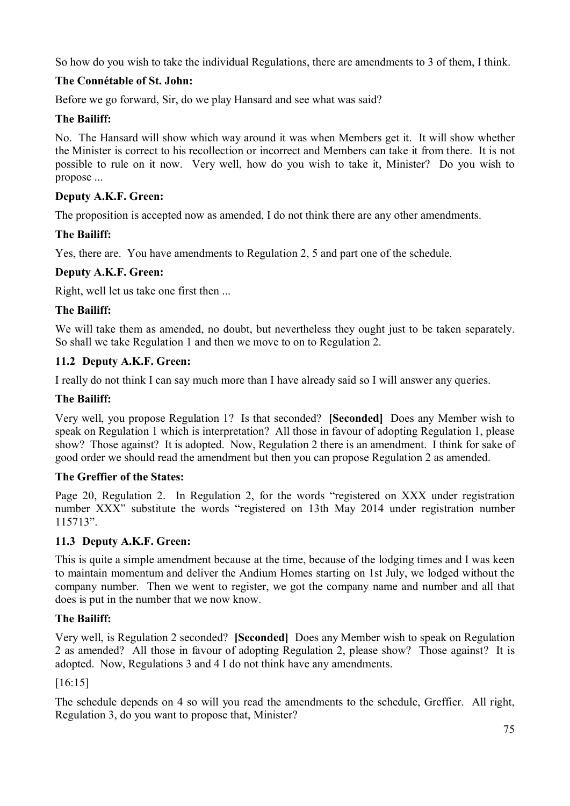So how do you wish to take the individual Regulations, there are amendments to 3 of them, I think.

# **The Connétable of St. John:**

Before we go forward, Sir, do we play Hansard and see what was said?

### **The Bailiff:**

No. The Hansard will show which way around it was when Members get it. It will show whether the Minister is correct to his recollection or incorrect and Members can take it from there. It is not possible to rule on it now. Very well, how do you wish to take it, Minister? Do you wish to propose ...

# **Deputy A.K.F. Green:**

The proposition is accepted now as amended, I do not think there are any other amendments.

### **The Bailiff:**

Yes, there are. You have amendments to Regulation 2, 5 and part one of the schedule.

### **Deputy A.K.F. Green:**

Right, well let us take one first then ...

### **The Bailiff:**

We will take them as amended, no doubt, but nevertheless they ought just to be taken separately. So shall we take Regulation 1 and then we move to on to Regulation 2.

### **11.2 Deputy A.K.F. Green:**

I really do not think I can say much more than I have already said so I will answer any queries.

### **The Bailiff:**

Very well, you propose Regulation 1? Is that seconded? **[Seconded]** Does any Member wish to speak on Regulation 1 which is interpretation? All those in favour of adopting Regulation 1, please show? Those against? It is adopted. Now, Regulation 2 there is an amendment. I think for sake of good order we should read the amendment but then you can propose Regulation 2 as amended.

### **The Greffier of the States:**

Page 20, Regulation 2. In Regulation 2, for the words "registered on XXX under registration number XXX" substitute the words "registered on 13th May 2014 under registration number 115713".

### **11.3 Deputy A.K.F. Green:**

This is quite a simple amendment because at the time, because of the lodging times and I was keen to maintain momentum and deliver the Andium Homes starting on 1st July, we lodged without the company number. Then we went to register, we got the company name and number and all that does is put in the number that we now know.

### **The Bailiff:**

Very well, is Regulation 2 seconded? **[Seconded]** Does any Member wish to speak on Regulation 2 as amended? All those in favour of adopting Regulation 2, please show? Those against? It is adopted. Now, Regulations 3 and 4 I do not think have any amendments.

[16:15]

The schedule depends on 4 so will you read the amendments to the schedule, Greffier. All right, Regulation 3, do you want to propose that, Minister?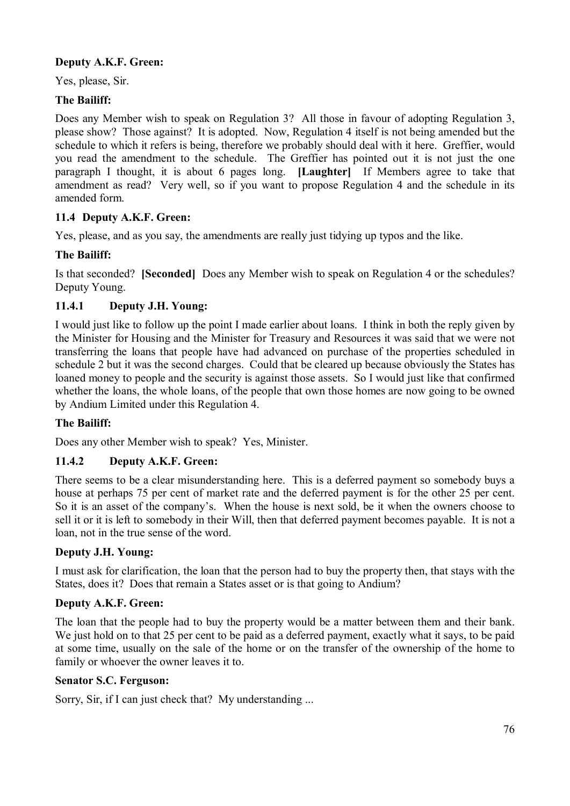# **Deputy A.K.F. Green:**

Yes, please, Sir.

### **The Bailiff:**

Does any Member wish to speak on Regulation 3? All those in favour of adopting Regulation 3, please show? Those against? It is adopted. Now, Regulation 4 itself is not being amended but the schedule to which it refers is being, therefore we probably should deal with it here. Greffier, would you read the amendment to the schedule. The Greffier has pointed out it is not just the one paragraph I thought, it is about 6 pages long. **[Laughter]** If Members agree to take that amendment as read? Very well, so if you want to propose Regulation 4 and the schedule in its amended form.

### **11.4 Deputy A.K.F. Green:**

Yes, please, and as you say, the amendments are really just tidying up typos and the like.

### **The Bailiff:**

Is that seconded? **[Seconded]** Does any Member wish to speak on Regulation 4 or the schedules? Deputy Young.

### **11.4.1 Deputy J.H. Young:**

I would just like to follow up the point I made earlier about loans. I think in both the reply given by the Minister for Housing and the Minister for Treasury and Resources it was said that we were not transferring the loans that people have had advanced on purchase of the properties scheduled in schedule 2 but it was the second charges. Could that be cleared up because obviously the States has loaned money to people and the security is against those assets. So I would just like that confirmed whether the loans, the whole loans, of the people that own those homes are now going to be owned by Andium Limited under this Regulation 4.

### **The Bailiff:**

Does any other Member wish to speak? Yes, Minister.

### **11.4.2 Deputy A.K.F. Green:**

There seems to be a clear misunderstanding here. This is a deferred payment so somebody buys a house at perhaps 75 per cent of market rate and the deferred payment is for the other 25 per cent. So it is an asset of the company's. When the house is next sold, be it when the owners choose to sell it or it is left to somebody in their Will, then that deferred payment becomes payable. It is not a loan, not in the true sense of the word.

### **Deputy J.H. Young:**

I must ask for clarification, the loan that the person had to buy the property then, that stays with the States, does it? Does that remain a States asset or is that going to Andium?

### **Deputy A.K.F. Green:**

The loan that the people had to buy the property would be a matter between them and their bank. We just hold on to that 25 per cent to be paid as a deferred payment, exactly what it says, to be paid at some time, usually on the sale of the home or on the transfer of the ownership of the home to family or whoever the owner leaves it to.

#### **Senator S.C. Ferguson:**

Sorry, Sir, if I can just check that? My understanding ...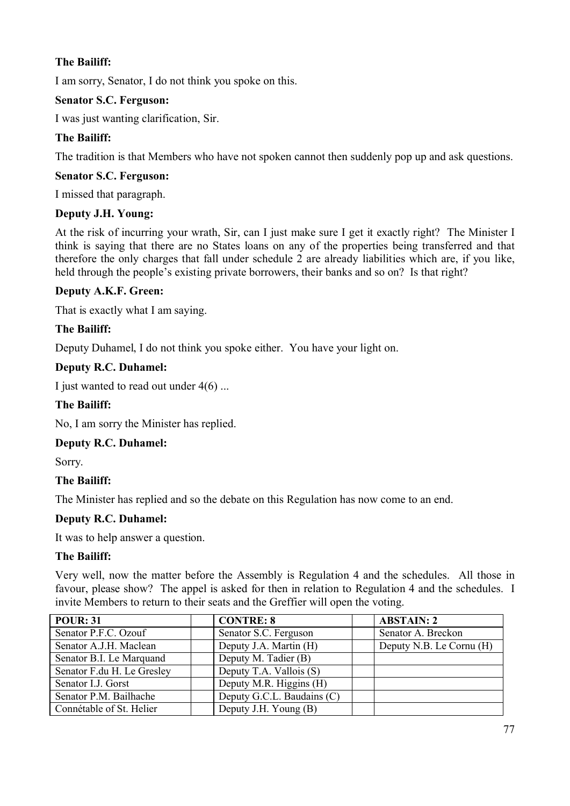I am sorry, Senator, I do not think you spoke on this.

### **Senator S.C. Ferguson:**

I was just wanting clarification, Sir.

# **The Bailiff:**

The tradition is that Members who have not spoken cannot then suddenly pop up and ask questions.

### **Senator S.C. Ferguson:**

I missed that paragraph.

### **Deputy J.H. Young:**

At the risk of incurring your wrath, Sir, can I just make sure I get it exactly right? The Minister I think is saying that there are no States loans on any of the properties being transferred and that therefore the only charges that fall under schedule 2 are already liabilities which are, if you like, held through the people's existing private borrowers, their banks and so on? Is that right?

### **Deputy A.K.F. Green:**

That is exactly what I am saying.

# **The Bailiff:**

Deputy Duhamel, I do not think you spoke either. You have your light on.

### **Deputy R.C. Duhamel:**

I just wanted to read out under  $4(6)$  ...

### **The Bailiff:**

No, I am sorry the Minister has replied.

### **Deputy R.C. Duhamel:**

Sorry.

# **The Bailiff:**

The Minister has replied and so the debate on this Regulation has now come to an end.

### **Deputy R.C. Duhamel:**

It was to help answer a question.

### **The Bailiff:**

Very well, now the matter before the Assembly is Regulation 4 and the schedules. All those in favour, please show? The appel is asked for then in relation to Regulation 4 and the schedules. I invite Members to return to their seats and the Greffier will open the voting.

| <b>POUR: 31</b>            | <b>CONTRE: 8</b>           | <b>ABSTAIN: 2</b>        |
|----------------------------|----------------------------|--------------------------|
| Senator P.F.C. Ozouf       | Senator S.C. Ferguson      | Senator A. Breckon       |
| Senator A.J.H. Maclean     | Deputy J.A. Martin (H)     | Deputy N.B. Le Cornu (H) |
| Senator B.I. Le Marquand   | Deputy M. Tadier (B)       |                          |
| Senator F.du H. Le Gresley | Deputy T.A. Vallois (S)    |                          |
| Senator I.J. Gorst         | Deputy M.R. Higgins (H)    |                          |
| Senator P.M. Bailhache     | Deputy G.C.L. Baudains (C) |                          |
| Connétable of St. Helier   | Deputy J.H. Young (B)      |                          |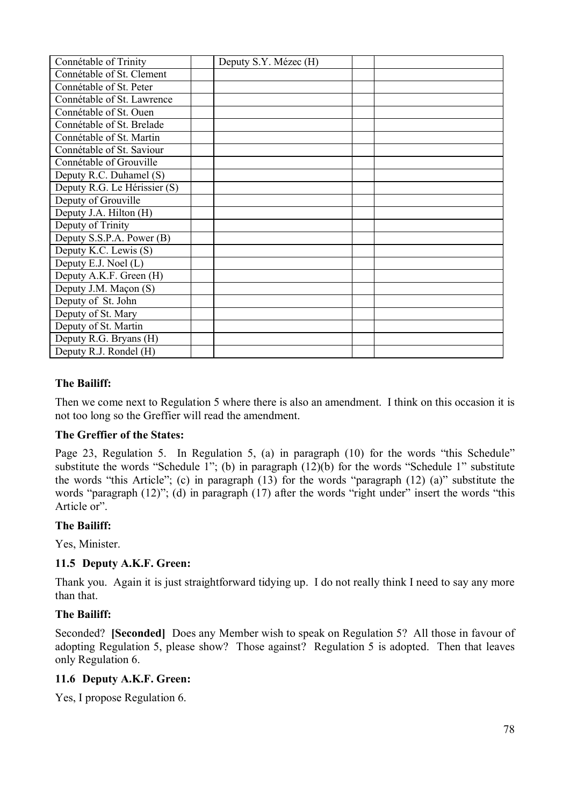| Connétable of Trinity        | Deputy S.Y. Mézec (H) |  |
|------------------------------|-----------------------|--|
| Connétable of St. Clement    |                       |  |
| Connétable of St. Peter      |                       |  |
| Connétable of St. Lawrence   |                       |  |
| Connétable of St. Ouen       |                       |  |
| Connétable of St. Brelade    |                       |  |
| Connétable of St. Martin     |                       |  |
| Connétable of St. Saviour    |                       |  |
| Connétable of Grouville      |                       |  |
| Deputy R.C. Duhamel (S)      |                       |  |
| Deputy R.G. Le Hérissier (S) |                       |  |
| Deputy of Grouville          |                       |  |
| Deputy J.A. Hilton (H)       |                       |  |
| Deputy of Trinity            |                       |  |
| Deputy S.S.P.A. Power (B)    |                       |  |
| Deputy K.C. Lewis (S)        |                       |  |
| Deputy E.J. Noel (L)         |                       |  |
| Deputy A.K.F. Green (H)      |                       |  |
| Deputy J.M. Maçon (S)        |                       |  |
| Deputy of St. John           |                       |  |
| Deputy of St. Mary           |                       |  |
| Deputy of St. Martin         |                       |  |
| Deputy R.G. Bryans (H)       |                       |  |
| Deputy R.J. Rondel (H)       |                       |  |

Then we come next to Regulation 5 where there is also an amendment. I think on this occasion it is not too long so the Greffier will read the amendment.

#### **The Greffier of the States:**

Page 23, Regulation 5. In Regulation 5, (a) in paragraph (10) for the words "this Schedule" substitute the words "Schedule 1"; (b) in paragraph (12)(b) for the words "Schedule 1" substitute the words "this Article"; (c) in paragraph (13) for the words "paragraph (12) (a)" substitute the words "paragraph (12)"; (d) in paragraph (17) after the words "right under" insert the words "this Article or".

#### **The Bailiff:**

Yes, Minister.

#### **11.5 Deputy A.K.F. Green:**

Thank you. Again it is just straightforward tidying up. I do not really think I need to say any more than that.

#### **The Bailiff:**

Seconded? **[Seconded]** Does any Member wish to speak on Regulation 5? All those in favour of adopting Regulation 5, please show? Those against? Regulation 5 is adopted. Then that leaves only Regulation 6.

#### **11.6 Deputy A.K.F. Green:**

Yes, I propose Regulation 6.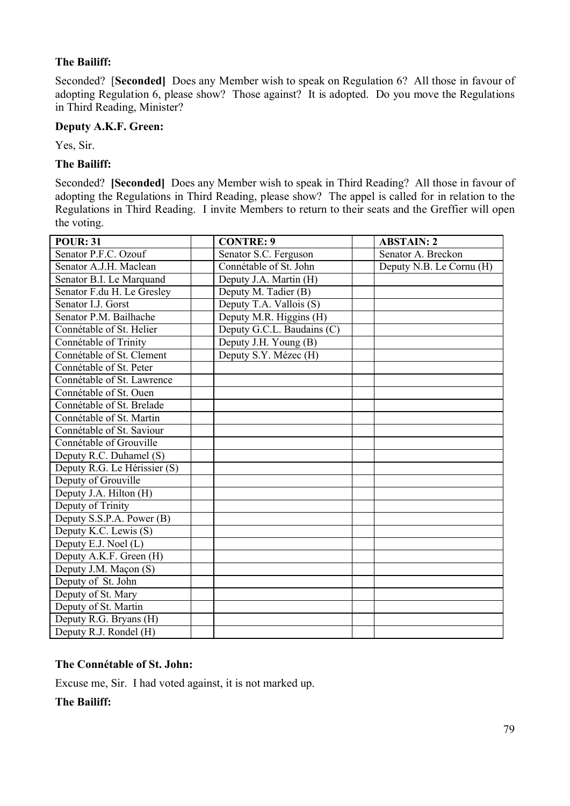Seconded? [**Seconded]** Does any Member wish to speak on Regulation 6? All those in favour of adopting Regulation 6, please show? Those against? It is adopted. Do you move the Regulations in Third Reading, Minister?

#### **Deputy A.K.F. Green:**

Yes, Sir.

### **The Bailiff:**

Seconded? **[Seconded]** Does any Member wish to speak in Third Reading? All those in favour of adopting the Regulations in Third Reading, please show? The appel is called for in relation to the Regulations in Third Reading. I invite Members to return to their seats and the Greffier will open the voting.

| <b>POUR: 31</b>              | <b>CONTRE: 9</b>           | <b>ABSTAIN: 2</b>        |
|------------------------------|----------------------------|--------------------------|
| Senator P.F.C. Ozouf         | Senator S.C. Ferguson      | Senator A. Breckon       |
| Senator A.J.H. Maclean       | Connétable of St. John     | Deputy N.B. Le Cornu (H) |
| Senator B.I. Le Marquand     | Deputy J.A. Martin (H)     |                          |
| Senator F.du H. Le Gresley   | Deputy M. Tadier (B)       |                          |
| Senator I.J. Gorst           | Deputy T.A. Vallois (S)    |                          |
| Senator P.M. Bailhache       | Deputy M.R. Higgins (H)    |                          |
| Connétable of St. Helier     | Deputy G.C.L. Baudains (C) |                          |
| Connétable of Trinity        | Deputy J.H. Young (B)      |                          |
| Connétable of St. Clement    | Deputy S.Y. Mézec (H)      |                          |
| Connétable of St. Peter      |                            |                          |
| Connétable of St. Lawrence   |                            |                          |
| Connétable of St. Ouen       |                            |                          |
| Connétable of St. Brelade    |                            |                          |
| Connétable of St. Martin     |                            |                          |
| Connétable of St. Saviour    |                            |                          |
| Connétable of Grouville      |                            |                          |
| Deputy R.C. Duhamel (S)      |                            |                          |
| Deputy R.G. Le Hérissier (S) |                            |                          |
| Deputy of Grouville          |                            |                          |
| Deputy J.A. Hilton (H)       |                            |                          |
| Deputy of Trinity            |                            |                          |
| Deputy S.S.P.A. Power (B)    |                            |                          |
| Deputy K.C. Lewis (S)        |                            |                          |
| Deputy E.J. Noel (L)         |                            |                          |
| Deputy A.K.F. Green (H)      |                            |                          |
| Deputy J.M. Maçon (S)        |                            |                          |
| Deputy of St. John           |                            |                          |
| Deputy of St. Mary           |                            |                          |
| Deputy of St. Martin         |                            |                          |
| Deputy R.G. Bryans (H)       |                            |                          |
| Deputy R.J. Rondel (H)       |                            |                          |

### **The Connétable of St. John:**

Excuse me, Sir. I had voted against, it is not marked up.

**The Bailiff:**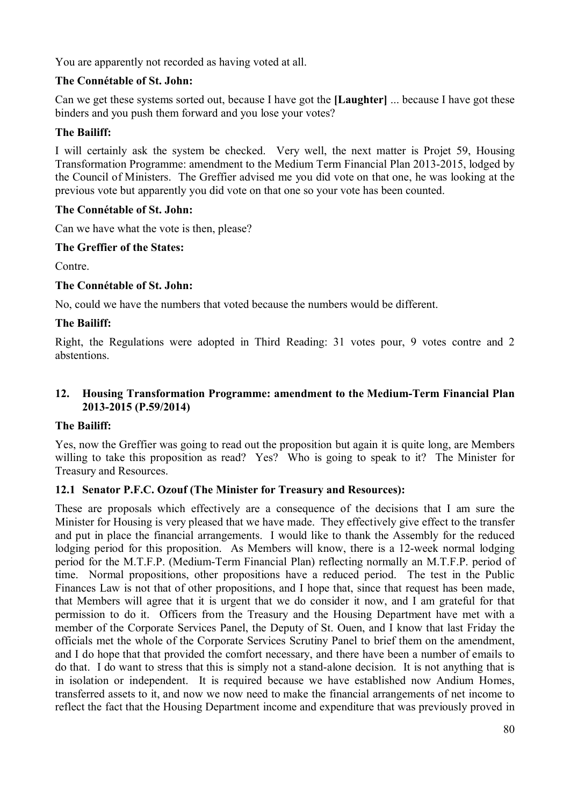You are apparently not recorded as having voted at all.

### **The Connétable of St. John:**

Can we get these systems sorted out, because I have got the **[Laughter]** ... because I have got these binders and you push them forward and you lose your votes?

### **The Bailiff:**

I will certainly ask the system be checked. Very well, the next matter is Projet 59, Housing Transformation Programme: amendment to the Medium Term Financial Plan 2013-2015, lodged by the Council of Ministers. The Greffier advised me you did vote on that one, he was looking at the previous vote but apparently you did vote on that one so your vote has been counted.

### **The Connétable of St. John:**

Can we have what the vote is then, please?

### **The Greffier of the States:**

Contre.

### **The Connétable of St. John:**

No, could we have the numbers that voted because the numbers would be different.

### **The Bailiff:**

Right, the Regulations were adopted in Third Reading: 31 votes pour, 9 votes contre and 2 abstentions.

### **12. Housing Transformation Programme: amendment to the Medium-Term Financial Plan 2013-2015 (P.59/2014)**

### **The Bailiff:**

Yes, now the Greffier was going to read out the proposition but again it is quite long, are Members willing to take this proposition as read? Yes? Who is going to speak to it? The Minister for Treasury and Resources.

# **12.1 Senator P.F.C. Ozouf (The Minister for Treasury and Resources):**

These are proposals which effectively are a consequence of the decisions that I am sure the Minister for Housing is very pleased that we have made. They effectively give effect to the transfer and put in place the financial arrangements. I would like to thank the Assembly for the reduced lodging period for this proposition. As Members will know, there is a 12-week normal lodging period for the M.T.F.P. (Medium-Term Financial Plan) reflecting normally an M.T.F.P. period of time. Normal propositions, other propositions have a reduced period. The test in the Public Finances Law is not that of other propositions, and I hope that, since that request has been made, that Members will agree that it is urgent that we do consider it now, and I am grateful for that permission to do it. Officers from the Treasury and the Housing Department have met with a member of the Corporate Services Panel, the Deputy of St. Ouen, and I know that last Friday the officials met the whole of the Corporate Services Scrutiny Panel to brief them on the amendment, and I do hope that that provided the comfort necessary, and there have been a number of emails to do that. I do want to stress that this is simply not a stand-alone decision. It is not anything that is in isolation or independent. It is required because we have established now Andium Homes, transferred assets to it, and now we now need to make the financial arrangements of net income to reflect the fact that the Housing Department income and expenditure that was previously proved in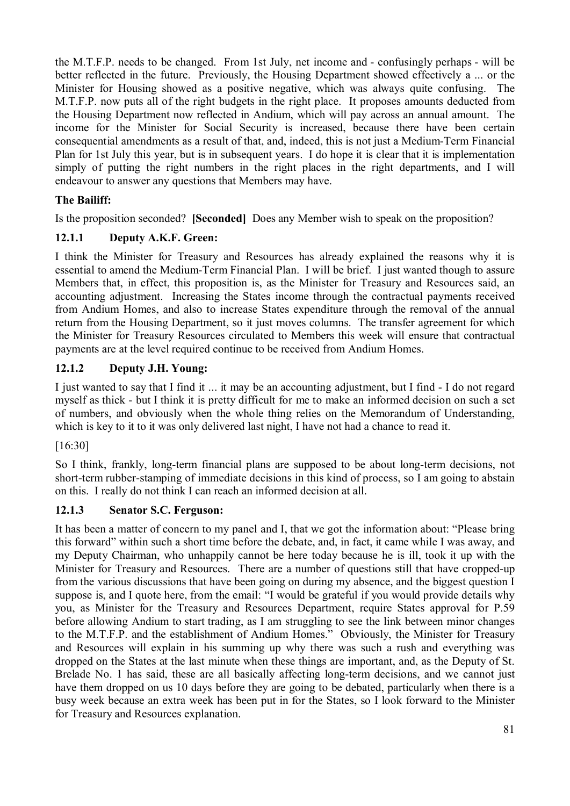the M.T.F.P. needs to be changed. From 1st July, net income and - confusingly perhaps - will be better reflected in the future. Previously, the Housing Department showed effectively a ... or the Minister for Housing showed as a positive negative, which was always quite confusing. The M.T.F.P. now puts all of the right budgets in the right place. It proposes amounts deducted from the Housing Department now reflected in Andium, which will pay across an annual amount. The income for the Minister for Social Security is increased, because there have been certain consequential amendments as a result of that, and, indeed, this is not just a Medium-Term Financial Plan for 1st July this year, but is in subsequent years. I do hope it is clear that it is implementation simply of putting the right numbers in the right places in the right departments, and I will endeavour to answer any questions that Members may have.

# **The Bailiff:**

Is the proposition seconded? **[Seconded]** Does any Member wish to speak on the proposition?

# **12.1.1 Deputy A.K.F. Green:**

I think the Minister for Treasury and Resources has already explained the reasons why it is essential to amend the Medium-Term Financial Plan. I will be brief. I just wanted though to assure Members that, in effect, this proposition is, as the Minister for Treasury and Resources said, an accounting adjustment. Increasing the States income through the contractual payments received from Andium Homes, and also to increase States expenditure through the removal of the annual return from the Housing Department, so it just moves columns. The transfer agreement for which the Minister for Treasury Resources circulated to Members this week will ensure that contractual payments are at the level required continue to be received from Andium Homes.

# **12.1.2 Deputy J.H. Young:**

I just wanted to say that I find it ... it may be an accounting adjustment, but I find - I do not regard myself as thick - but I think it is pretty difficult for me to make an informed decision on such a set of numbers, and obviously when the whole thing relies on the Memorandum of Understanding, which is key to it to it was only delivered last night, I have not had a chance to read it.

# [16:30]

So I think, frankly, long-term financial plans are supposed to be about long-term decisions, not short-term rubber-stamping of immediate decisions in this kind of process, so I am going to abstain on this. I really do not think I can reach an informed decision at all.

# **12.1.3 Senator S.C. Ferguson:**

It has been a matter of concern to my panel and I, that we got the information about: "Please bring this forward" within such a short time before the debate, and, in fact, it came while I was away, and my Deputy Chairman, who unhappily cannot be here today because he is ill, took it up with the Minister for Treasury and Resources. There are a number of questions still that have cropped-up from the various discussions that have been going on during my absence, and the biggest question I suppose is, and I quote here, from the email: "I would be grateful if you would provide details why you, as Minister for the Treasury and Resources Department, require States approval for P.59 before allowing Andium to start trading, as I am struggling to see the link between minor changes to the M.T.F.P. and the establishment of Andium Homes." Obviously, the Minister for Treasury and Resources will explain in his summing up why there was such a rush and everything was dropped on the States at the last minute when these things are important, and, as the Deputy of St. Brelade No. 1 has said, these are all basically affecting long-term decisions, and we cannot just have them dropped on us 10 days before they are going to be debated, particularly when there is a busy week because an extra week has been put in for the States, so I look forward to the Minister for Treasury and Resources explanation.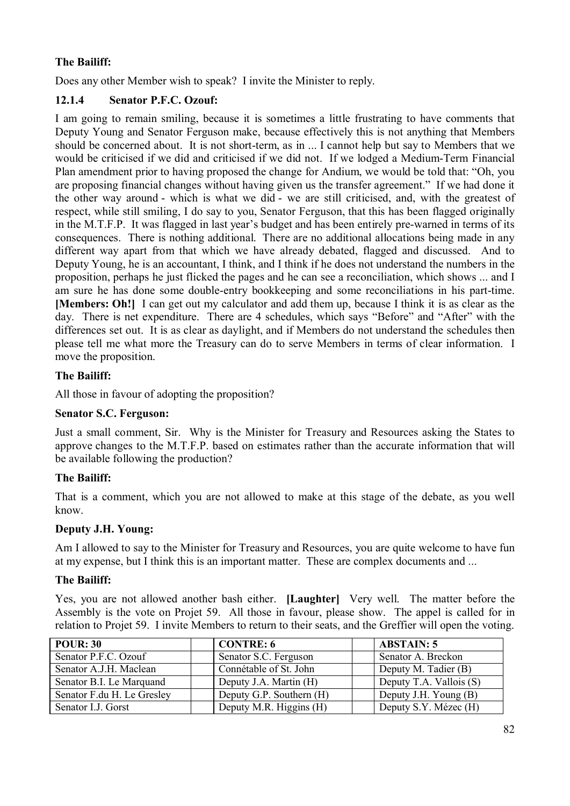Does any other Member wish to speak? I invite the Minister to reply.

# **12.1.4 Senator P.F.C. Ozouf:**

I am going to remain smiling, because it is sometimes a little frustrating to have comments that Deputy Young and Senator Ferguson make, because effectively this is not anything that Members should be concerned about. It is not short-term, as in ... I cannot help but say to Members that we would be criticised if we did and criticised if we did not. If we lodged a Medium-Term Financial Plan amendment prior to having proposed the change for Andium, we would be told that: "Oh, you are proposing financial changes without having given us the transfer agreement." If we had done it the other way around - which is what we did - we are still criticised, and, with the greatest of respect, while still smiling, I do say to you, Senator Ferguson, that this has been flagged originally in the M.T.F.P. It was flagged in last year's budget and has been entirely pre-warned in terms of its consequences. There is nothing additional. There are no additional allocations being made in any different way apart from that which we have already debated, flagged and discussed. And to Deputy Young, he is an accountant, I think, and I think if he does not understand the numbers in the proposition, perhaps he just flicked the pages and he can see a reconciliation, which shows ... and I am sure he has done some double-entry bookkeeping and some reconciliations in his part-time. **[Members: Oh!]** I can get out my calculator and add them up, because I think it is as clear as the day. There is net expenditure. There are 4 schedules, which says "Before" and "After" with the differences set out. It is as clear as daylight, and if Members do not understand the schedules then please tell me what more the Treasury can do to serve Members in terms of clear information. I move the proposition.

### **The Bailiff:**

All those in favour of adopting the proposition?

### **Senator S.C. Ferguson:**

Just a small comment, Sir. Why is the Minister for Treasury and Resources asking the States to approve changes to the M.T.F.P. based on estimates rather than the accurate information that will be available following the production?

### **The Bailiff:**

That is a comment, which you are not allowed to make at this stage of the debate, as you well know.

### **Deputy J.H. Young:**

Am I allowed to say to the Minister for Treasury and Resources, you are quite welcome to have fun at my expense, but I think this is an important matter. These are complex documents and ...

### **The Bailiff:**

Yes, you are not allowed another bash either. **[Laughter]** Very well. The matter before the Assembly is the vote on Projet 59. All those in favour, please show. The appel is called for in relation to Projet 59. I invite Members to return to their seats, and the Greffier will open the voting.

| <b>POUR: 30</b>            | <b>CONTRE: 6</b>         | <b>ABSTAIN: 5</b>       |
|----------------------------|--------------------------|-------------------------|
| Senator P.F.C. Ozouf       | Senator S.C. Ferguson    | Senator A. Breckon      |
| Senator A.J.H. Maclean     | Connétable of St. John   | Deputy M. Tadier (B)    |
| Senator B.I. Le Marquand   | Deputy J.A. Martin (H)   | Deputy T.A. Vallois (S) |
| Senator F.du H. Le Gresley | Deputy G.P. Southern (H) | Deputy J.H. Young (B)   |
| Senator I.J. Gorst         | Deputy M.R. Higgins (H)  | Deputy S.Y. Mézec (H)   |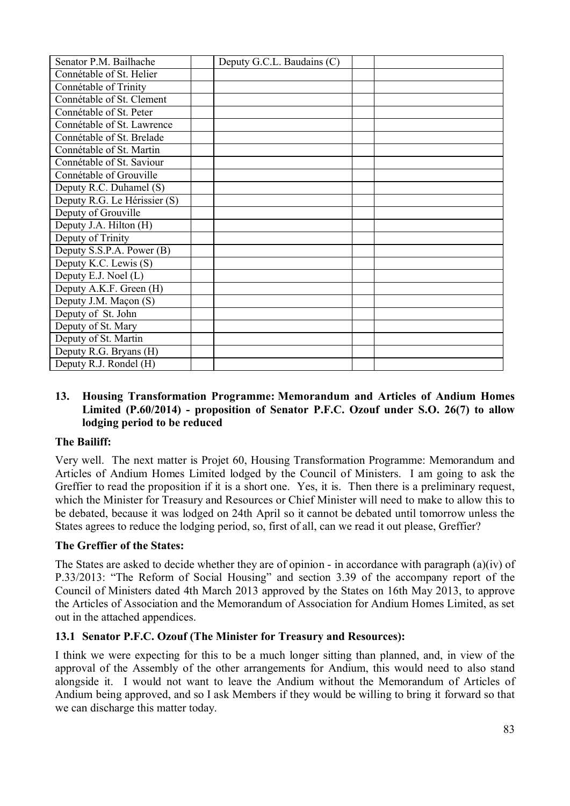| Senator P.M. Bailhache       | Deputy G.C.L. Baudains (C) |  |
|------------------------------|----------------------------|--|
| Connétable of St. Helier     |                            |  |
| Connétable of Trinity        |                            |  |
| Connétable of St. Clement    |                            |  |
| Connétable of St. Peter      |                            |  |
| Connétable of St. Lawrence   |                            |  |
| Connétable of St. Brelade    |                            |  |
| Connétable of St. Martin     |                            |  |
| Connétable of St. Saviour    |                            |  |
| Connétable of Grouville      |                            |  |
| Deputy R.C. Duhamel (S)      |                            |  |
| Deputy R.G. Le Hérissier (S) |                            |  |
| Deputy of Grouville          |                            |  |
| Deputy J.A. Hilton (H)       |                            |  |
| Deputy of Trinity            |                            |  |
| Deputy S.S.P.A. Power (B)    |                            |  |
| Deputy K.C. Lewis (S)        |                            |  |
| Deputy E.J. Noel (L)         |                            |  |
| Deputy A.K.F. Green (H)      |                            |  |
| Deputy J.M. Maçon (S)        |                            |  |
| Deputy of St. John           |                            |  |
| Deputy of St. Mary           |                            |  |
| Deputy of St. Martin         |                            |  |
| Deputy R.G. Bryans (H)       |                            |  |
| Deputy R.J. Rondel (H)       |                            |  |

#### **13. Housing Transformation Programme: Memorandum and Articles of Andium Homes Limited (P.60/2014) - proposition of Senator P.F.C. Ozouf under S.O. 26(7) to allow lodging period to be reduced**

### **The Bailiff:**

Very well. The next matter is Projet 60, Housing Transformation Programme: Memorandum and Articles of Andium Homes Limited lodged by the Council of Ministers. I am going to ask the Greffier to read the proposition if it is a short one. Yes, it is. Then there is a preliminary request, which the Minister for Treasury and Resources or Chief Minister will need to make to allow this to be debated, because it was lodged on 24th April so it cannot be debated until tomorrow unless the States agrees to reduce the lodging period, so, first of all, can we read it out please, Greffier?

### **The Greffier of the States:**

The States are asked to decide whether they are of opinion - in accordance with paragraph (a)(iv) of P.33/2013: "The Reform of Social Housing" and section 3.39 of the accompany report of the Council of Ministers dated 4th March 2013 approved by the States on 16th May 2013, to approve the Articles of Association and the Memorandum of Association for Andium Homes Limited, as set out in the attached appendices.

# **13.1 Senator P.F.C. Ozouf (The Minister for Treasury and Resources):**

I think we were expecting for this to be a much longer sitting than planned, and, in view of the approval of the Assembly of the other arrangements for Andium, this would need to also stand alongside it. I would not want to leave the Andium without the Memorandum of Articles of Andium being approved, and so I ask Members if they would be willing to bring it forward so that we can discharge this matter today.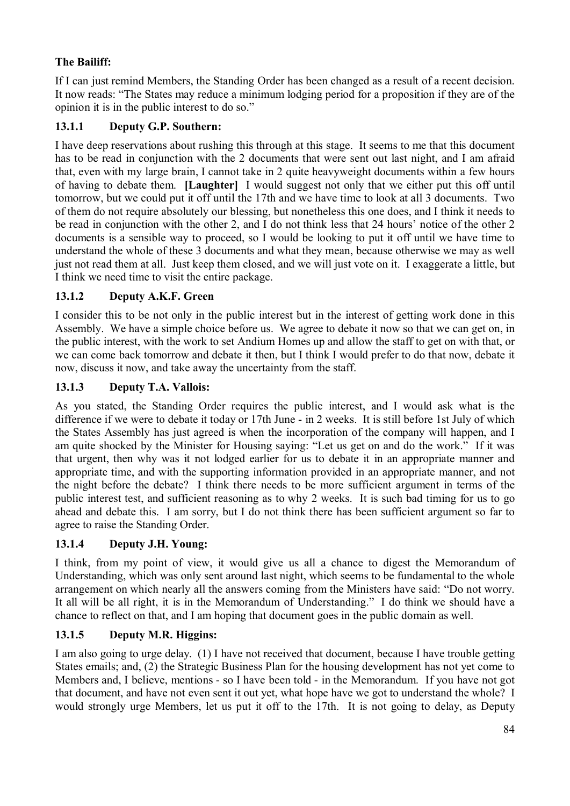If I can just remind Members, the Standing Order has been changed as a result of a recent decision. It now reads: "The States may reduce a minimum lodging period for a proposition if they are of the opinion it is in the public interest to do so."

# **13.1.1 Deputy G.P. Southern:**

I have deep reservations about rushing this through at this stage. It seems to me that this document has to be read in conjunction with the 2 documents that were sent out last night, and I am afraid that, even with my large brain, I cannot take in 2 quite heavyweight documents within a few hours of having to debate them. **[Laughter]** I would suggest not only that we either put this off until tomorrow, but we could put it off until the 17th and we have time to look at all 3 documents. Two of them do not require absolutely our blessing, but nonetheless this one does, and I think it needs to be read in conjunction with the other 2, and I do not think less that 24 hours' notice of the other 2 documents is a sensible way to proceed, so I would be looking to put it off until we have time to understand the whole of these 3 documents and what they mean, because otherwise we may as well just not read them at all. Just keep them closed, and we will just vote on it. I exaggerate a little, but I think we need time to visit the entire package.

# **13.1.2 Deputy A.K.F. Green**

I consider this to be not only in the public interest but in the interest of getting work done in this Assembly. We have a simple choice before us. We agree to debate it now so that we can get on, in the public interest, with the work to set Andium Homes up and allow the staff to get on with that, or we can come back tomorrow and debate it then, but I think I would prefer to do that now, debate it now, discuss it now, and take away the uncertainty from the staff.

# **13.1.3 Deputy T.A. Vallois:**

As you stated, the Standing Order requires the public interest, and I would ask what is the difference if we were to debate it today or 17th June - in 2 weeks. It is still before 1st July of which the States Assembly has just agreed is when the incorporation of the company will happen, and I am quite shocked by the Minister for Housing saying: "Let us get on and do the work." If it was that urgent, then why was it not lodged earlier for us to debate it in an appropriate manner and appropriate time, and with the supporting information provided in an appropriate manner, and not the night before the debate? I think there needs to be more sufficient argument in terms of the public interest test, and sufficient reasoning as to why 2 weeks. It is such bad timing for us to go ahead and debate this. I am sorry, but I do not think there has been sufficient argument so far to agree to raise the Standing Order.

# **13.1.4 Deputy J.H. Young:**

I think, from my point of view, it would give us all a chance to digest the Memorandum of Understanding, which was only sent around last night, which seems to be fundamental to the whole arrangement on which nearly all the answers coming from the Ministers have said: "Do not worry. It all will be all right, it is in the Memorandum of Understanding." I do think we should have a chance to reflect on that, and I am hoping that document goes in the public domain as well.

# **13.1.5 Deputy M.R. Higgins:**

I am also going to urge delay. (1) I have not received that document, because I have trouble getting States emails; and, (2) the Strategic Business Plan for the housing development has not yet come to Members and, I believe, mentions - so I have been told - in the Memorandum. If you have not got that document, and have not even sent it out yet, what hope have we got to understand the whole? I would strongly urge Members, let us put it off to the 17th. It is not going to delay, as Deputy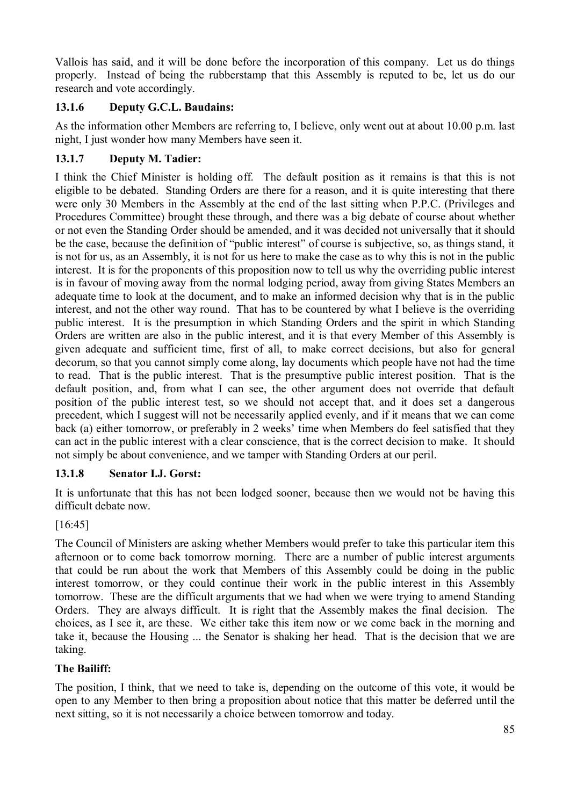Vallois has said, and it will be done before the incorporation of this company. Let us do things properly. Instead of being the rubberstamp that this Assembly is reputed to be, let us do our research and vote accordingly.

# **13.1.6 Deputy G.C.L. Baudains:**

As the information other Members are referring to, I believe, only went out at about 10.00 p.m. last night, I just wonder how many Members have seen it.

# **13.1.7 Deputy M. Tadier:**

I think the Chief Minister is holding off. The default position as it remains is that this is not eligible to be debated. Standing Orders are there for a reason, and it is quite interesting that there were only 30 Members in the Assembly at the end of the last sitting when P.P.C. (Privileges and Procedures Committee) brought these through, and there was a big debate of course about whether or not even the Standing Order should be amended, and it was decided not universally that it should be the case, because the definition of "public interest" of course is subjective, so, as things stand, it is not for us, as an Assembly, it is not for us here to make the case as to why this is not in the public interest. It is for the proponents of this proposition now to tell us why the overriding public interest is in favour of moving away from the normal lodging period, away from giving States Members an adequate time to look at the document, and to make an informed decision why that is in the public interest, and not the other way round. That has to be countered by what I believe is the overriding public interest. It is the presumption in which Standing Orders and the spirit in which Standing Orders are written are also in the public interest, and it is that every Member of this Assembly is given adequate and sufficient time, first of all, to make correct decisions, but also for general decorum, so that you cannot simply come along, lay documents which people have not had the time to read. That is the public interest. That is the presumptive public interest position. That is the default position, and, from what I can see, the other argument does not override that default position of the public interest test, so we should not accept that, and it does set a dangerous precedent, which I suggest will not be necessarily applied evenly, and if it means that we can come back (a) either tomorrow, or preferably in 2 weeks' time when Members do feel satisfied that they can act in the public interest with a clear conscience, that is the correct decision to make. It should not simply be about convenience, and we tamper with Standing Orders at our peril.

# **13.1.8 Senator I.J. Gorst:**

It is unfortunate that this has not been lodged sooner, because then we would not be having this difficult debate now.

# [16:45]

The Council of Ministers are asking whether Members would prefer to take this particular item this afternoon or to come back tomorrow morning. There are a number of public interest arguments that could be run about the work that Members of this Assembly could be doing in the public interest tomorrow, or they could continue their work in the public interest in this Assembly tomorrow. These are the difficult arguments that we had when we were trying to amend Standing Orders. They are always difficult. It is right that the Assembly makes the final decision. The choices, as I see it, are these. We either take this item now or we come back in the morning and take it, because the Housing ... the Senator is shaking her head. That is the decision that we are taking.

# **The Bailiff:**

The position, I think, that we need to take is, depending on the outcome of this vote, it would be open to any Member to then bring a proposition about notice that this matter be deferred until the next sitting, so it is not necessarily a choice between tomorrow and today.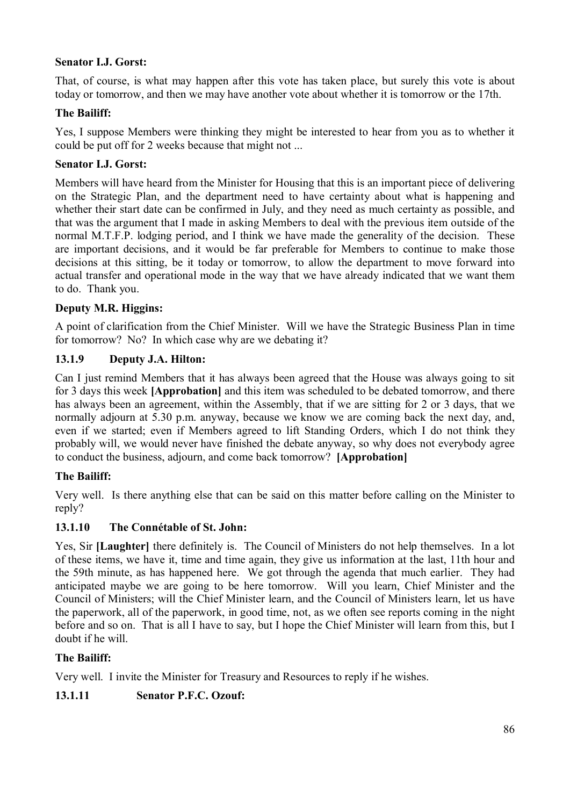### **Senator I.J. Gorst:**

That, of course, is what may happen after this vote has taken place, but surely this vote is about today or tomorrow, and then we may have another vote about whether it is tomorrow or the 17th.

#### **The Bailiff:**

Yes, I suppose Members were thinking they might be interested to hear from you as to whether it could be put off for 2 weeks because that might not ...

#### **Senator I.J. Gorst:**

Members will have heard from the Minister for Housing that this is an important piece of delivering on the Strategic Plan, and the department need to have certainty about what is happening and whether their start date can be confirmed in July, and they need as much certainty as possible, and that was the argument that I made in asking Members to deal with the previous item outside of the normal M.T.F.P. lodging period, and I think we have made the generality of the decision. These are important decisions, and it would be far preferable for Members to continue to make those decisions at this sitting, be it today or tomorrow, to allow the department to move forward into actual transfer and operational mode in the way that we have already indicated that we want them to do. Thank you.

### **Deputy M.R. Higgins:**

A point of clarification from the Chief Minister. Will we have the Strategic Business Plan in time for tomorrow? No? In which case why are we debating it?

#### **13.1.9 Deputy J.A. Hilton:**

Can I just remind Members that it has always been agreed that the House was always going to sit for 3 days this week **[Approbation]** and this item was scheduled to be debated tomorrow, and there has always been an agreement, within the Assembly, that if we are sitting for 2 or 3 days, that we normally adjourn at 5.30 p.m. anyway, because we know we are coming back the next day, and, even if we started; even if Members agreed to lift Standing Orders, which I do not think they probably will, we would never have finished the debate anyway, so why does not everybody agree to conduct the business, adjourn, and come back tomorrow? **[Approbation]**

### **The Bailiff:**

Very well. Is there anything else that can be said on this matter before calling on the Minister to reply?

#### **13.1.10 The Connétable of St. John:**

Yes, Sir **[Laughter]** there definitely is. The Council of Ministers do not help themselves. In a lot of these items, we have it, time and time again, they give us information at the last, 11th hour and the 59th minute, as has happened here. We got through the agenda that much earlier. They had anticipated maybe we are going to be here tomorrow. Will you learn, Chief Minister and the Council of Ministers; will the Chief Minister learn, and the Council of Ministers learn, let us have the paperwork, all of the paperwork, in good time, not, as we often see reports coming in the night before and so on. That is all I have to say, but I hope the Chief Minister will learn from this, but I doubt if he will.

### **The Bailiff:**

Very well. I invite the Minister for Treasury and Resources to reply if he wishes.

### **13.1.11 Senator P.F.C. Ozouf:**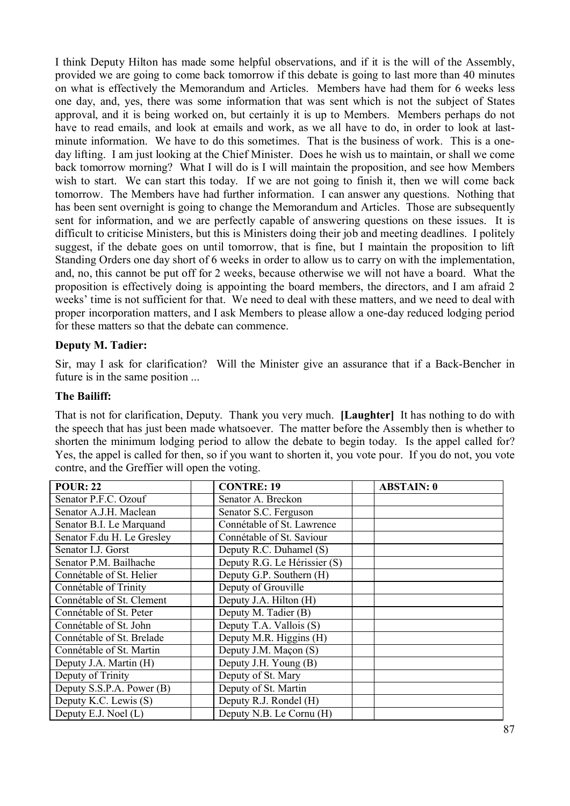I think Deputy Hilton has made some helpful observations, and if it is the will of the Assembly, provided we are going to come back tomorrow if this debate is going to last more than 40 minutes on what is effectively the Memorandum and Articles. Members have had them for 6 weeks less one day, and, yes, there was some information that was sent which is not the subject of States approval, and it is being worked on, but certainly it is up to Members. Members perhaps do not have to read emails, and look at emails and work, as we all have to do, in order to look at lastminute information. We have to do this sometimes. That is the business of work. This is a oneday lifting. I am just looking at the Chief Minister. Does he wish us to maintain, or shall we come back tomorrow morning? What I will do is I will maintain the proposition, and see how Members wish to start. We can start this today. If we are not going to finish it, then we will come back tomorrow. The Members have had further information. I can answer any questions. Nothing that has been sent overnight is going to change the Memorandum and Articles. Those are subsequently sent for information, and we are perfectly capable of answering questions on these issues. It is difficult to criticise Ministers, but this is Ministers doing their job and meeting deadlines. I politely suggest, if the debate goes on until tomorrow, that is fine, but I maintain the proposition to lift Standing Orders one day short of 6 weeks in order to allow us to carry on with the implementation, and, no, this cannot be put off for 2 weeks, because otherwise we will not have a board. What the proposition is effectively doing is appointing the board members, the directors, and I am afraid 2 weeks' time is not sufficient for that. We need to deal with these matters, and we need to deal with proper incorporation matters, and I ask Members to please allow a one-day reduced lodging period for these matters so that the debate can commence.

#### **Deputy M. Tadier:**

Sir, may I ask for clarification? Will the Minister give an assurance that if a Back-Bencher in future is in the same position ...

#### **The Bailiff:**

That is not for clarification, Deputy. Thank you very much. **[Laughter]** It has nothing to do with the speech that has just been made whatsoever. The matter before the Assembly then is whether to shorten the minimum lodging period to allow the debate to begin today. Is the appel called for? Yes, the appel is called for then, so if you want to shorten it, you vote pour. If you do not, you vote contre, and the Greffier will open the voting.

| <b>POUR: 22</b>            | <b>CONTRE: 19</b>            | <b>ABSTAIN: 0</b> |
|----------------------------|------------------------------|-------------------|
| Senator P.F.C. Ozouf       | Senator A. Breckon           |                   |
| Senator A.J.H. Maclean     | Senator S.C. Ferguson        |                   |
| Senator B.I. Le Marquand   | Connétable of St. Lawrence   |                   |
| Senator F.du H. Le Gresley | Connétable of St. Saviour    |                   |
| Senator I.J. Gorst         | Deputy R.C. Duhamel (S)      |                   |
| Senator P.M. Bailhache     | Deputy R.G. Le Hérissier (S) |                   |
| Connétable of St. Helier   | Deputy G.P. Southern (H)     |                   |
| Connétable of Trinity      | Deputy of Grouville          |                   |
| Connétable of St. Clement  | Deputy J.A. Hilton (H)       |                   |
| Connétable of St. Peter    | Deputy M. Tadier (B)         |                   |
| Connétable of St. John     | Deputy T.A. Vallois (S)      |                   |
| Connétable of St. Brelade  | Deputy M.R. Higgins (H)      |                   |
| Connétable of St. Martin   | Deputy J.M. Maçon (S)        |                   |
| Deputy J.A. Martin (H)     | Deputy J.H. Young (B)        |                   |
| Deputy of Trinity          | Deputy of St. Mary           |                   |
| Deputy S.S.P.A. Power (B)  | Deputy of St. Martin         |                   |
| Deputy K.C. Lewis (S)      | Deputy R.J. Rondel (H)       |                   |
| Deputy E.J. Noel (L)       | Deputy N.B. Le Cornu (H)     |                   |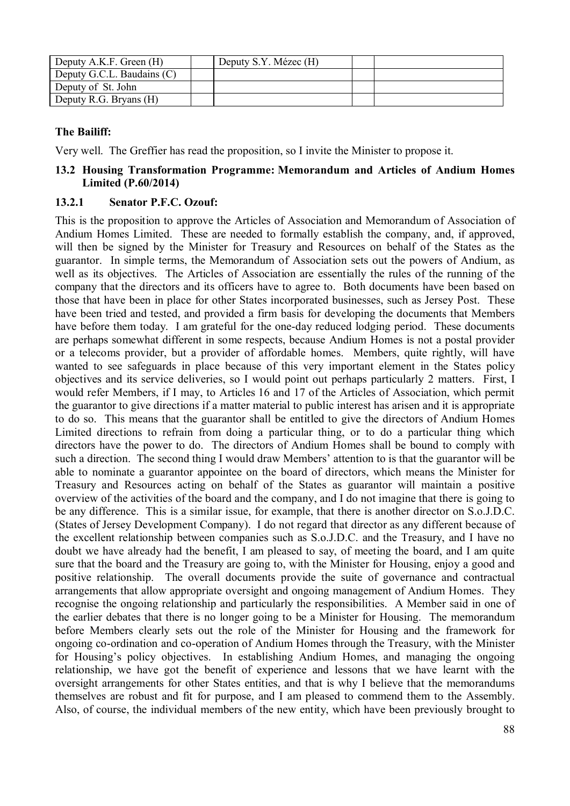| Deputy A.K.F. Green (H)    | Deputy S.Y. Mézec (H) |  |
|----------------------------|-----------------------|--|
| Deputy G.C.L. Baudains (C) |                       |  |
| Deputy of St. John         |                       |  |
| Deputy R.G. Bryans (H)     |                       |  |

Very well. The Greffier has read the proposition, so I invite the Minister to propose it.

#### **13.2 Housing Transformation Programme: Memorandum and Articles of Andium Homes Limited (P.60/2014)**

#### **13.2.1 Senator P.F.C. Ozouf:**

This is the proposition to approve the Articles of Association and Memorandum of Association of Andium Homes Limited. These are needed to formally establish the company, and, if approved, will then be signed by the Minister for Treasury and Resources on behalf of the States as the guarantor. In simple terms, the Memorandum of Association sets out the powers of Andium, as well as its objectives. The Articles of Association are essentially the rules of the running of the company that the directors and its officers have to agree to. Both documents have been based on those that have been in place for other States incorporated businesses, such as Jersey Post. These have been tried and tested, and provided a firm basis for developing the documents that Members have before them today. I am grateful for the one-day reduced lodging period. These documents are perhaps somewhat different in some respects, because Andium Homes is not a postal provider or a telecoms provider, but a provider of affordable homes. Members, quite rightly, will have wanted to see safeguards in place because of this very important element in the States policy objectives and its service deliveries, so I would point out perhaps particularly 2 matters. First, I would refer Members, if I may, to Articles 16 and 17 of the Articles of Association, which permit the guarantor to give directions if a matter material to public interest has arisen and it is appropriate to do so. This means that the guarantor shall be entitled to give the directors of Andium Homes Limited directions to refrain from doing a particular thing, or to do a particular thing which directors have the power to do. The directors of Andium Homes shall be bound to comply with such a direction. The second thing I would draw Members' attention to is that the guarantor will be able to nominate a guarantor appointee on the board of directors, which means the Minister for Treasury and Resources acting on behalf of the States as guarantor will maintain a positive overview of the activities of the board and the company, and I do not imagine that there is going to be any difference. This is a similar issue, for example, that there is another director on S.o.J.D.C. (States of Jersey Development Company). I do not regard that director as any different because of the excellent relationship between companies such as S.o.J.D.C. and the Treasury, and I have no doubt we have already had the benefit, I am pleased to say, of meeting the board, and I am quite sure that the board and the Treasury are going to, with the Minister for Housing, enjoy a good and positive relationship. The overall documents provide the suite of governance and contractual arrangements that allow appropriate oversight and ongoing management of Andium Homes. They recognise the ongoing relationship and particularly the responsibilities. A Member said in one of the earlier debates that there is no longer going to be a Minister for Housing. The memorandum before Members clearly sets out the role of the Minister for Housing and the framework for ongoing co-ordination and co-operation of Andium Homes through the Treasury, with the Minister for Housing's policy objectives. In establishing Andium Homes, and managing the ongoing relationship, we have got the benefit of experience and lessons that we have learnt with the oversight arrangements for other States entities, and that is why I believe that the memorandums themselves are robust and fit for purpose, and I am pleased to commend them to the Assembly. Also, of course, the individual members of the new entity, which have been previously brought to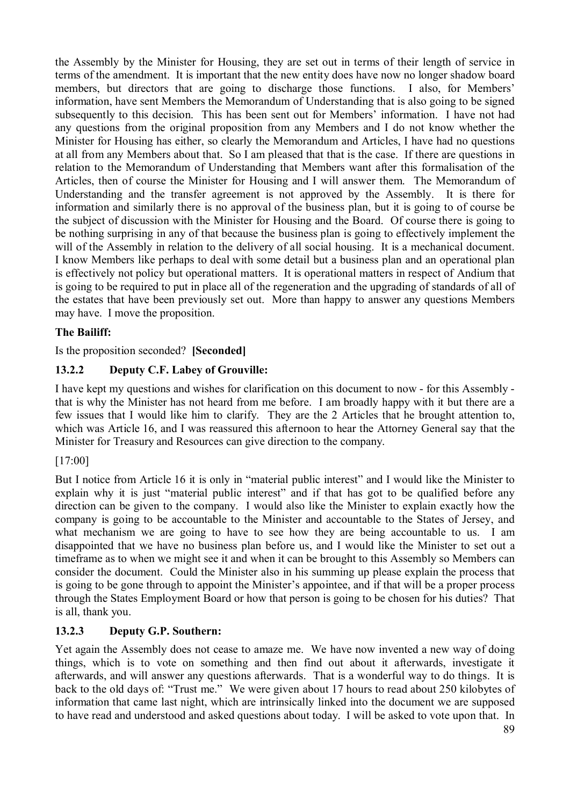the Assembly by the Minister for Housing, they are set out in terms of their length of service in terms of the amendment. It is important that the new entity does have now no longer shadow board members, but directors that are going to discharge those functions. I also, for Members' information, have sent Members the Memorandum of Understanding that is also going to be signed subsequently to this decision. This has been sent out for Members' information. I have not had any questions from the original proposition from any Members and I do not know whether the Minister for Housing has either, so clearly the Memorandum and Articles, I have had no questions at all from any Members about that. So I am pleased that that is the case. If there are questions in relation to the Memorandum of Understanding that Members want after this formalisation of the Articles, then of course the Minister for Housing and I will answer them. The Memorandum of Understanding and the transfer agreement is not approved by the Assembly. It is there for information and similarly there is no approval of the business plan, but it is going to of course be the subject of discussion with the Minister for Housing and the Board. Of course there is going to be nothing surprising in any of that because the business plan is going to effectively implement the will of the Assembly in relation to the delivery of all social housing. It is a mechanical document. I know Members like perhaps to deal with some detail but a business plan and an operational plan is effectively not policy but operational matters. It is operational matters in respect of Andium that is going to be required to put in place all of the regeneration and the upgrading of standards of all of the estates that have been previously set out. More than happy to answer any questions Members may have. I move the proposition.

### **The Bailiff:**

Is the proposition seconded? **[Seconded]**

# **13.2.2 Deputy C.F. Labey of Grouville:**

I have kept my questions and wishes for clarification on this document to now - for this Assembly that is why the Minister has not heard from me before. I am broadly happy with it but there are a few issues that I would like him to clarify. They are the 2 Articles that he brought attention to, which was Article 16, and I was reassured this afternoon to hear the Attorney General say that the Minister for Treasury and Resources can give direction to the company.

### [17:00]

But I notice from Article 16 it is only in "material public interest" and I would like the Minister to explain why it is just "material public interest" and if that has got to be qualified before any direction can be given to the company. I would also like the Minister to explain exactly how the company is going to be accountable to the Minister and accountable to the States of Jersey, and what mechanism we are going to have to see how they are being accountable to us. I am disappointed that we have no business plan before us, and I would like the Minister to set out a timeframe as to when we might see it and when it can be brought to this Assembly so Members can consider the document. Could the Minister also in his summing up please explain the process that is going to be gone through to appoint the Minister's appointee, and if that will be a proper process through the States Employment Board or how that person is going to be chosen for his duties? That is all, thank you.

# **13.2.3 Deputy G.P. Southern:**

Yet again the Assembly does not cease to amaze me. We have now invented a new way of doing things, which is to vote on something and then find out about it afterwards, investigate it afterwards, and will answer any questions afterwards. That is a wonderful way to do things. It is back to the old days of: "Trust me." We were given about 17 hours to read about 250 kilobytes of information that came last night, which are intrinsically linked into the document we are supposed to have read and understood and asked questions about today. I will be asked to vote upon that. In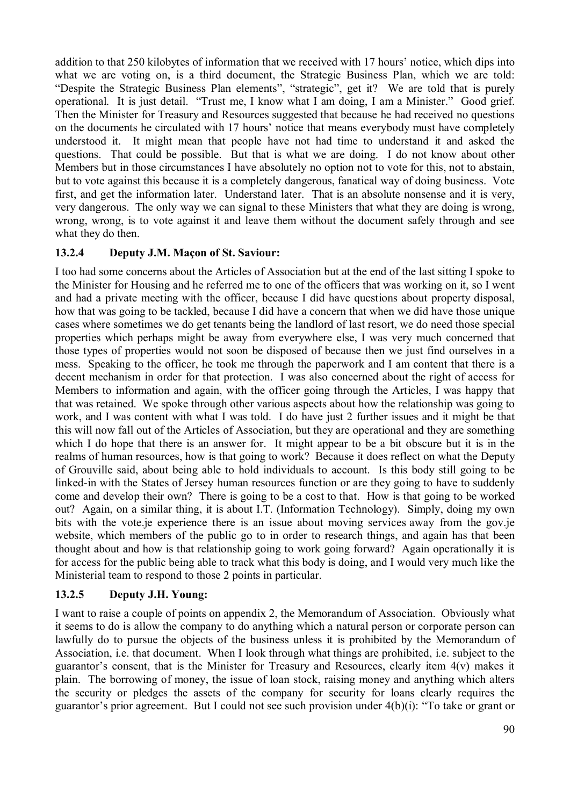addition to that 250 kilobytes of information that we received with 17 hours' notice, which dips into what we are voting on, is a third document, the Strategic Business Plan, which we are told: "Despite the Strategic Business Plan elements", "strategic", get it? We are told that is purely operational. It is just detail. "Trust me, I know what I am doing, I am a Minister." Good grief. Then the Minister for Treasury and Resources suggested that because he had received no questions on the documents he circulated with 17 hours' notice that means everybody must have completely understood it. It might mean that people have not had time to understand it and asked the questions. That could be possible. But that is what we are doing. I do not know about other Members but in those circumstances I have absolutely no option not to vote for this, not to abstain, but to vote against this because it is a completely dangerous, fanatical way of doing business. Vote first, and get the information later. Understand later. That is an absolute nonsense and it is very, very dangerous. The only way we can signal to these Ministers that what they are doing is wrong, wrong, wrong, is to vote against it and leave them without the document safely through and see what they do then.

### **13.2.4 Deputy J.M. Maçon of St. Saviour:**

I too had some concerns about the Articles of Association but at the end of the last sitting I spoke to the Minister for Housing and he referred me to one of the officers that was working on it, so I went and had a private meeting with the officer, because I did have questions about property disposal, how that was going to be tackled, because I did have a concern that when we did have those unique cases where sometimes we do get tenants being the landlord of last resort, we do need those special properties which perhaps might be away from everywhere else, I was very much concerned that those types of properties would not soon be disposed of because then we just find ourselves in a mess. Speaking to the officer, he took me through the paperwork and I am content that there is a decent mechanism in order for that protection. I was also concerned about the right of access for Members to information and again, with the officer going through the Articles, I was happy that that was retained. We spoke through other various aspects about how the relationship was going to work, and I was content with what I was told. I do have just 2 further issues and it might be that this will now fall out of the Articles of Association, but they are operational and they are something which I do hope that there is an answer for. It might appear to be a bit obscure but it is in the realms of human resources, how is that going to work? Because it does reflect on what the Deputy of Grouville said, about being able to hold individuals to account. Is this body still going to be linked-in with the States of Jersey human resources function or are they going to have to suddenly come and develop their own? There is going to be a cost to that. How is that going to be worked out? Again, on a similar thing, it is about I.T. (Information Technology). Simply, doing my own bits with the vote.je experience there is an issue about moving services away from the gov.je website, which members of the public go to in order to research things, and again has that been thought about and how is that relationship going to work going forward? Again operationally it is for access for the public being able to track what this body is doing, and I would very much like the Ministerial team to respond to those 2 points in particular.

### **13.2.5 Deputy J.H. Young:**

I want to raise a couple of points on appendix 2, the Memorandum of Association. Obviously what it seems to do is allow the company to do anything which a natural person or corporate person can lawfully do to pursue the objects of the business unless it is prohibited by the Memorandum of Association, i.e. that document. When I look through what things are prohibited, i.e. subject to the guarantor's consent, that is the Minister for Treasury and Resources, clearly item 4(v) makes it plain. The borrowing of money, the issue of loan stock, raising money and anything which alters the security or pledges the assets of the company for security for loans clearly requires the guarantor's prior agreement. But I could not see such provision under 4(b)(i): "To take or grant or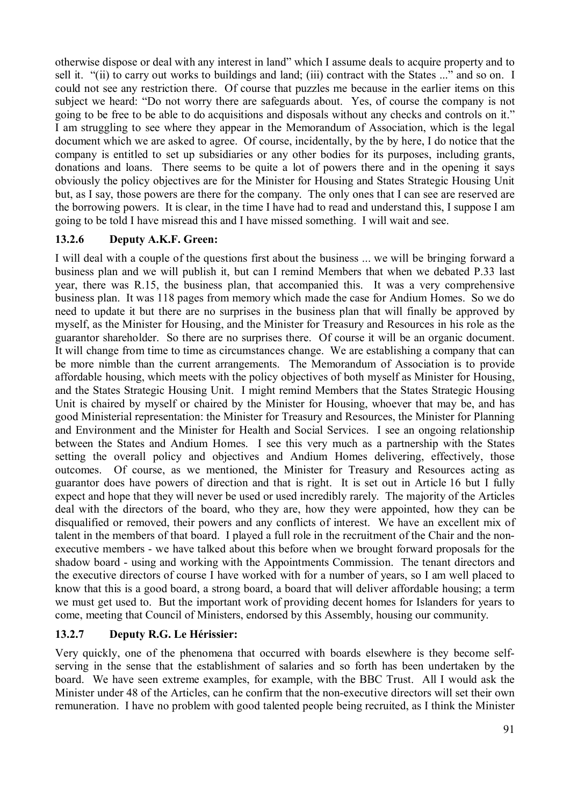otherwise dispose or deal with any interest in land" which I assume deals to acquire property and to sell it. "(ii) to carry out works to buildings and land; (iii) contract with the States ..." and so on. I could not see any restriction there. Of course that puzzles me because in the earlier items on this subject we heard: "Do not worry there are safeguards about. Yes, of course the company is not going to be free to be able to do acquisitions and disposals without any checks and controls on it." I am struggling to see where they appear in the Memorandum of Association, which is the legal document which we are asked to agree. Of course, incidentally, by the by here, I do notice that the company is entitled to set up subsidiaries or any other bodies for its purposes, including grants, donations and loans. There seems to be quite a lot of powers there and in the opening it says obviously the policy objectives are for the Minister for Housing and States Strategic Housing Unit but, as I say, those powers are there for the company. The only ones that I can see are reserved are the borrowing powers. It is clear, in the time I have had to read and understand this, I suppose I am going to be told I have misread this and I have missed something. I will wait and see.

# **13.2.6 Deputy A.K.F. Green:**

I will deal with a couple of the questions first about the business ... we will be bringing forward a business plan and we will publish it, but can I remind Members that when we debated P.33 last year, there was R.15, the business plan, that accompanied this. It was a very comprehensive business plan. It was 118 pages from memory which made the case for Andium Homes. So we do need to update it but there are no surprises in the business plan that will finally be approved by myself, as the Minister for Housing, and the Minister for Treasury and Resources in his role as the guarantor shareholder. So there are no surprises there. Of course it will be an organic document. It will change from time to time as circumstances change. We are establishing a company that can be more nimble than the current arrangements. The Memorandum of Association is to provide affordable housing, which meets with the policy objectives of both myself as Minister for Housing, and the States Strategic Housing Unit. I might remind Members that the States Strategic Housing Unit is chaired by myself or chaired by the Minister for Housing, whoever that may be, and has good Ministerial representation: the Minister for Treasury and Resources, the Minister for Planning and Environment and the Minister for Health and Social Services. I see an ongoing relationship between the States and Andium Homes. I see this very much as a partnership with the States setting the overall policy and objectives and Andium Homes delivering, effectively, those outcomes. Of course, as we mentioned, the Minister for Treasury and Resources acting as guarantor does have powers of direction and that is right. It is set out in Article 16 but I fully expect and hope that they will never be used or used incredibly rarely. The majority of the Articles deal with the directors of the board, who they are, how they were appointed, how they can be disqualified or removed, their powers and any conflicts of interest. We have an excellent mix of talent in the members of that board. I played a full role in the recruitment of the Chair and the nonexecutive members - we have talked about this before when we brought forward proposals for the shadow board - using and working with the Appointments Commission. The tenant directors and the executive directors of course I have worked with for a number of years, so I am well placed to know that this is a good board, a strong board, a board that will deliver affordable housing; a term we must get used to. But the important work of providing decent homes for Islanders for years to come, meeting that Council of Ministers, endorsed by this Assembly, housing our community.

# **13.2.7 Deputy R.G. Le Hérissier:**

Very quickly, one of the phenomena that occurred with boards elsewhere is they become selfserving in the sense that the establishment of salaries and so forth has been undertaken by the board. We have seen extreme examples, for example, with the BBC Trust. All I would ask the Minister under 48 of the Articles, can he confirm that the non-executive directors will set their own remuneration. I have no problem with good talented people being recruited, as I think the Minister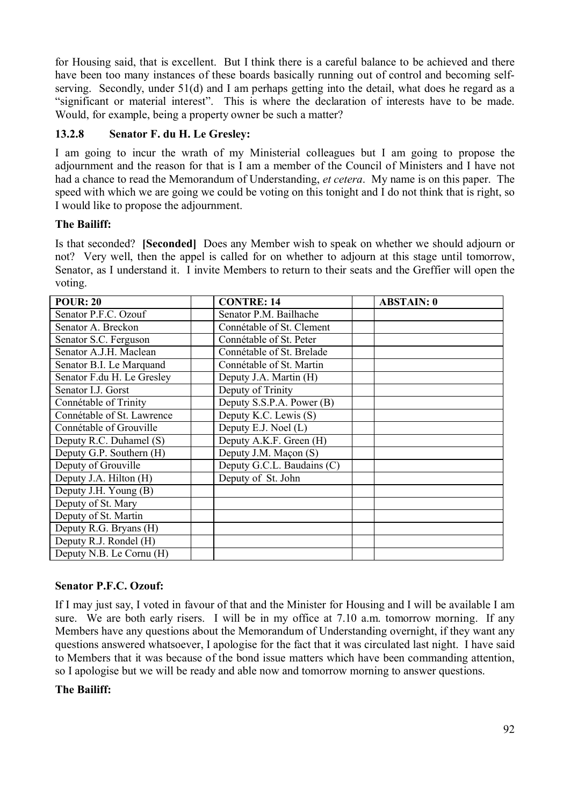for Housing said, that is excellent. But I think there is a careful balance to be achieved and there have been too many instances of these boards basically running out of control and becoming selfserving. Secondly, under 51(d) and I am perhaps getting into the detail, what does he regard as a "significant or material interest". This is where the declaration of interests have to be made. Would, for example, being a property owner be such a matter?

### **13.2.8 Senator F. du H. Le Gresley:**

I am going to incur the wrath of my Ministerial colleagues but I am going to propose the adjournment and the reason for that is I am a member of the Council of Ministers and I have not had a chance to read the Memorandum of Understanding, *et cetera*. My name is on this paper. The speed with which we are going we could be voting on this tonight and I do not think that is right, so I would like to propose the adjournment.

### **The Bailiff:**

Is that seconded? **[Seconded]** Does any Member wish to speak on whether we should adjourn or not? Very well, then the appel is called for on whether to adjourn at this stage until tomorrow, Senator, as I understand it. I invite Members to return to their seats and the Greffier will open the voting.

| <b>POUR: 20</b>            | <b>CONTRE: 14</b>          | <b>ABSTAIN: 0</b> |
|----------------------------|----------------------------|-------------------|
| Senator P.F.C. Ozouf       | Senator P.M. Bailhache     |                   |
| Senator A. Breckon         | Connétable of St. Clement  |                   |
| Senator S.C. Ferguson      | Connétable of St. Peter    |                   |
| Senator A.J.H. Maclean     | Connétable of St. Brelade  |                   |
| Senator B.I. Le Marquand   | Connétable of St. Martin   |                   |
| Senator F.du H. Le Gresley | Deputy J.A. Martin (H)     |                   |
| Senator I.J. Gorst         | Deputy of Trinity          |                   |
| Connétable of Trinity      | Deputy S.S.P.A. Power (B)  |                   |
| Connétable of St. Lawrence | Deputy K.C. Lewis (S)      |                   |
| Connétable of Grouville    | Deputy E.J. Noel (L)       |                   |
| Deputy R.C. Duhamel (S)    | Deputy A.K.F. Green (H)    |                   |
| Deputy G.P. Southern (H)   | Deputy J.M. Maçon (S)      |                   |
| Deputy of Grouville        | Deputy G.C.L. Baudains (C) |                   |
| Deputy J.A. Hilton (H)     | Deputy of St. John         |                   |
| Deputy J.H. Young (B)      |                            |                   |
| Deputy of St. Mary         |                            |                   |
| Deputy of St. Martin       |                            |                   |
| Deputy R.G. Bryans (H)     |                            |                   |
| Deputy R.J. Rondel (H)     |                            |                   |
| Deputy N.B. Le Cornu (H)   |                            |                   |

# **Senator P.F.C. Ozouf:**

If I may just say, I voted in favour of that and the Minister for Housing and I will be available I am sure. We are both early risers. I will be in my office at 7.10 a.m. tomorrow morning. If any Members have any questions about the Memorandum of Understanding overnight, if they want any questions answered whatsoever, I apologise for the fact that it was circulated last night. I have said to Members that it was because of the bond issue matters which have been commanding attention, so I apologise but we will be ready and able now and tomorrow morning to answer questions.

# **The Bailiff:**